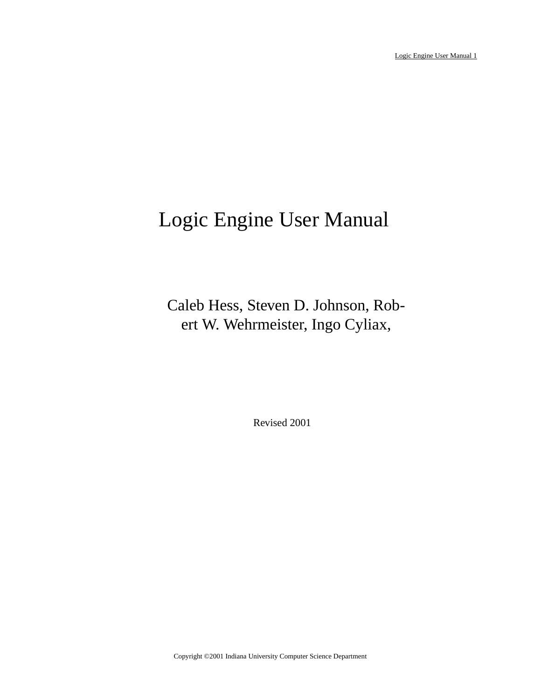Caleb Hess, Steven D. Johnson, Robert W. Wehrmeister, Ingo Cyliax,

Revised 2001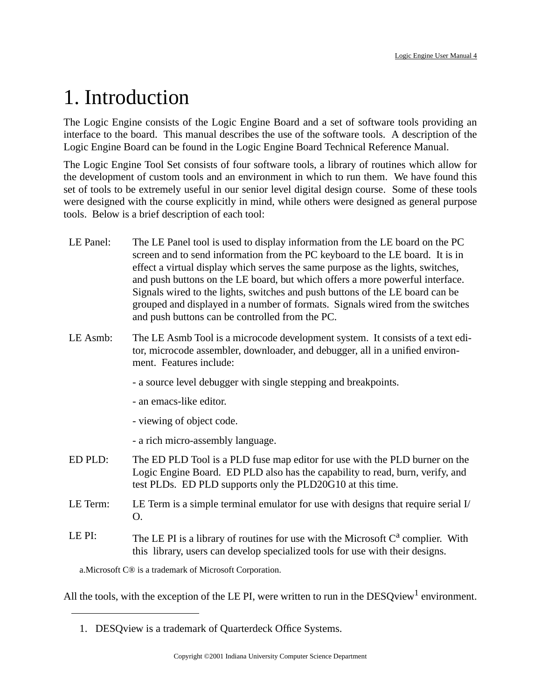# <span id="page-3-0"></span>1. Introduction

The Logic Engine consists of the Logic Engine Board and a set of software tools providing an interface to the board. This manual describes the use of the software tools. A description of the Logic Engine Board can be found in the Logic Engine Board Technical Reference Manual.

The Logic Engine Tool Set consists of four software tools, a library of routines which allow for the development of custom tools and an environment in which to run them. We have found this set of tools to be extremely useful in our senior level digital design course. Some of these tools were designed with the course explicitly in mind, while others were designed as general purpose tools. Below is a brief description of each tool:

- LE Panel: The LE Panel tool is used to display information from the LE board on the PC screen and to send information from the PC keyboard to the LE board. It is in effect a virtual display which serves the same purpose as the lights, switches, and push buttons on the LE board, but which offers a more powerful interface. Signals wired to the lights, switches and push buttons of the LE board can be grouped and displayed in a number of formats. Signals wired from the switches and push buttons can be controlled from the PC.
- LE Asmb: The LE Asmb Tool is a microcode development system. It consists of a text editor, microcode assembler, downloader, and debugger, all in a unified environment. Features include:
	- a source level debugger with single stepping and breakpoints.
	- an emacs-like editor.
	- viewing of object code.
	- a rich micro-assembly language.
- ED PLD: The ED PLD Tool is a PLD fuse map editor for use with the PLD burner on the Logic Engine Board. ED PLD also has the capability to read, burn, verify, and test PLDs. ED PLD supports only the PLD20G10 at this time.
- LE Term: LE Term is a simple terminal emulator for use with designs that require serial I/  $\Omega$ .
- LE PI: The LE PI is a library of routines for use with the Microsoft  $C^a$  complier. With this library, users can develop specialized tools for use with their designs.

a.Microsoft C® is a trademark of Microsoft Corporation.

All the tools, with the exception of the LE PI, were written to run in the DESO view<sup>1</sup> environment.

<sup>1.</sup> DESQview is a trademark of Quarterdeck Office Systems.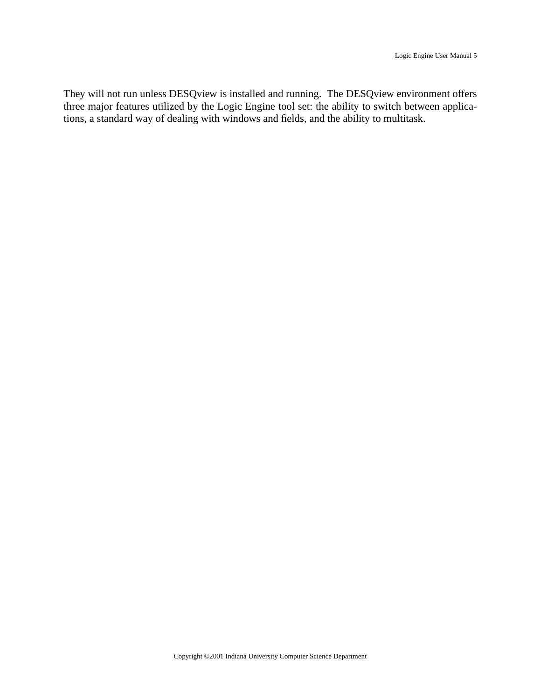They will not run unless DESQview is installed and running. The DESQview environment offers three major features utilized by the Logic Engine tool set: the ability to switch between applications, a standard way of dealing with windows and fields, and the ability to multitask.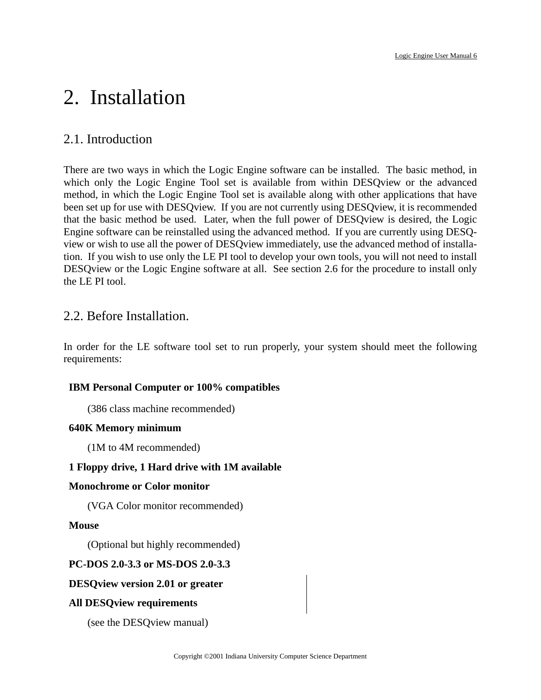# <span id="page-5-0"></span>2. Installation

# <span id="page-5-1"></span>2.1. Introduction

There are two ways in which the Logic Engine software can be installed. The basic method, in which only the Logic Engine Tool set is available from within DESQview or the advanced method, in which the Logic Engine Tool set is available along with other applications that have been set up for use with DESQview. If you are not currently using DESQview, it is recommended that the basic method be used. Later, when the full power of DESQview is desired, the Logic Engine software can be reinstalled using the advanced method. If you are currently using DESQview or wish to use all the power of DESQview immediately, use the advanced method of installation. If you wish to use only the LE PI tool to develop your own tools, you will not need to install DESQview or the Logic Engine software at all. See section 2.6 for the procedure to install only the LE PI tool.

### <span id="page-5-2"></span>2.2. Before Installation.

In order for the LE software tool set to run properly, your system should meet the following requirements:

#### **IBM Personal Computer or 100% compatibles**

(386 class machine recommended)

#### **640K Memory minimum**

(1M to 4M recommended)

#### **1 Floppy drive, 1 Hard drive with 1M available**

#### **Monochrome or Color monitor**

(VGA Color monitor recommended)

#### **Mouse**

(Optional but highly recommended)

#### **PC-DOS 2.0-3.3 or MS-DOS 2.0-3.3**

#### **DESQview version 2.01 or greater**

#### **All DESQview requirements**

(see the DESQview manual)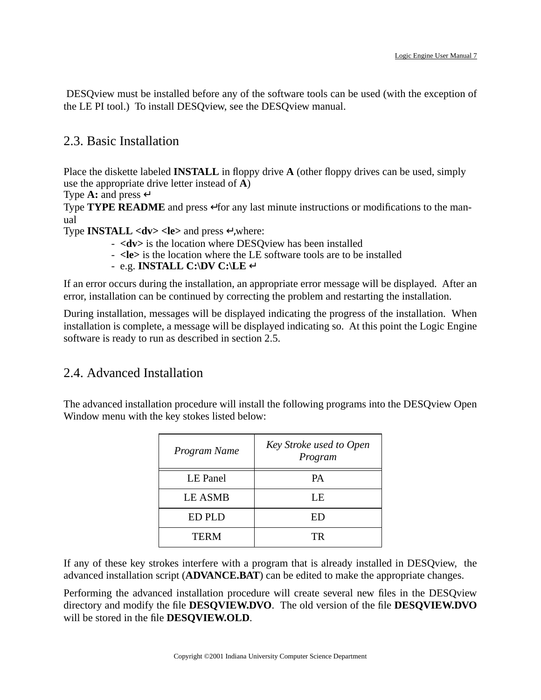DESQview must be installed before any of the software tools can be used (with the exception of the LE PI tool.) To install DESQview, see the DESQview manual.

### <span id="page-6-0"></span>2.3. Basic Installation

Place the diskette labeled **INSTALL** in floppy drive **A** (other floppy drives can be used, simply use the appropriate drive letter instead of **A**)

Type **A:** and press ↵

Type **TYPE README** and press ↵for any last minute instructions or modifications to the manual

Type **INSTALL <dv> <le>** and press ↵,where:

- **<dv>** is the location where DESQview has been installed
- **<le>** is the location where the LE software tools are to be installed
- $-$  e.g. **INSTALL C:**\DV C:\LE  $\rightarrow$

If an error occurs during the installation, an appropriate error message will be displayed. After an error, installation can be continued by correcting the problem and restarting the installation.

During installation, messages will be displayed indicating the progress of the installation. When installation is complete, a message will be displayed indicating so. At this point the Logic Engine software is ready to run as described in section 2.5.

## <span id="page-6-1"></span>2.4. Advanced Installation

The advanced installation procedure will install the following programs into the DESQview Open Window menu with the key stokes listed below:

| Program Name    | Key Stroke used to Open<br>Program |
|-----------------|------------------------------------|
| <b>LE</b> Panel | PА                                 |
| <b>LE ASMB</b>  | LE                                 |
| <b>ED PLD</b>   | ED                                 |
| <b>TERM</b>     | TR                                 |

If any of these key strokes interfere with a program that is already installed in DESQview, the advanced installation script (**ADVANCE.BAT**) can be edited to make the appropriate changes.

Performing the advanced installation procedure will create several new files in the DESQview directory and modify the file **DESQVIEW.DVO**. The old version of the file **DESQVIEW.DVO** will be stored in the file **DESQVIEW.OLD**.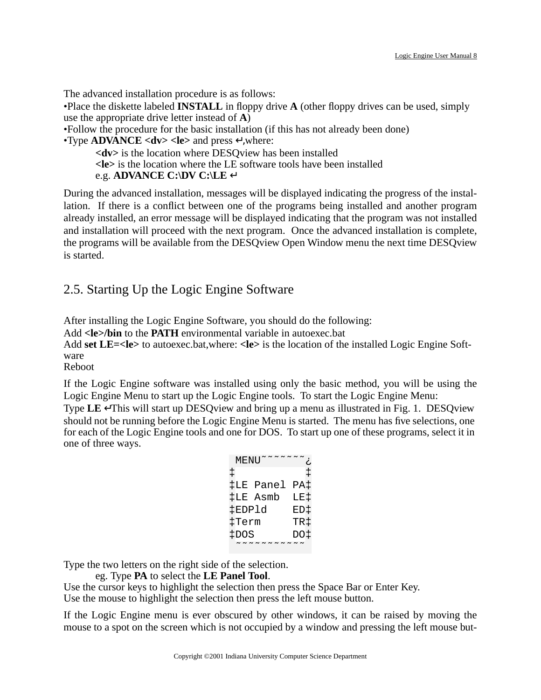The advanced installation procedure is as follows: •Place the diskette labeled **INSTALL** in floppy drive **A** (other floppy drives can be used, simply use the appropriate drive letter instead of **A**) •Follow the procedure for the basic installation (if this has not already been done) •Type **ADVANCE <dv> <le>** and press ↵,where: **<dv>** is the location where DESQview has been installed **<le>** is the location where the LE software tools have been installed e.g. **ADVANCE C:\DV C:\LE** ↵ During the advanced installation, messages will be displayed indicating the progress of the instal-

lation. If there is a conflict between one of the programs being installed and another program already installed, an error message will be displayed indicating that the program was not installed and installation will proceed with the next program. Once the advanced installation is complete, the programs will be available from the DESQview Open Window menu the next time DESQview is started.

## <span id="page-7-0"></span>2.5. Starting Up the Logic Engine Software

After installing the Logic Engine Software, you should do the following: Add **<le>/bin** to the **PATH** environmental variable in autoexec.bat Add **set LE=<le>** to autoexec.bat,where: **<le>** is the location of the installed Logic Engine Software Reboot

If the Logic Engine software was installed using only the basic method, you will be using the Logic Engine Menu to start up the Logic Engine tools. To start the Logic Engine Menu:

Type **LE** ↵This will start up DESQview and bring up a menu as illustrated in Fig. 1. DESQview should not be running before the Logic Engine Menu is started. The menu has five selections, one for each of the Logic Engine tools and one for DOS. To start up one of these programs, select it in one of three ways.

| $MENU^{\sim}$               |                 | قح. |
|-----------------------------|-----------------|-----|
| ŧ                           |                 | ŧ   |
| #LE Panel                   | PA <sub>‡</sub> |     |
| ‡LE Asmb                    | LE‡             |     |
| #EDPld                      | ED‡             |     |
| ‡Term                       | TR‡             |     |
| ‡DOS                        | DO <sub>‡</sub> |     |
| $\sim$ $\sim$ $\sim$ $\sim$ |                 |     |

Type the two letters on the right side of the selection.

eg. Type **PA** to select the **LE Panel Tool**.

Use the cursor keys to highlight the selection then press the Space Bar or Enter Key.

Use the mouse to highlight the selection then press the left mouse button.

If the Logic Engine menu is ever obscured by other windows, it can be raised by moving the mouse to a spot on the screen which is not occupied by a window and pressing the left mouse but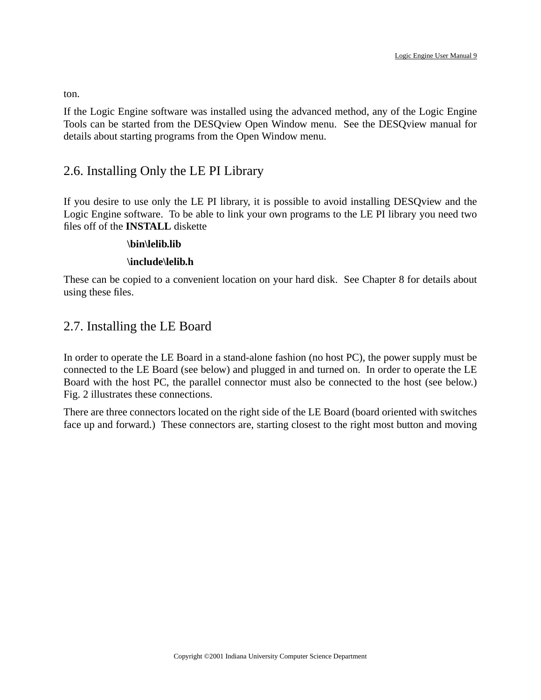ton.

If the Logic Engine software was installed using the advanced method, any of the Logic Engine Tools can be started from the DESQview Open Window menu. See the DESQview manual for details about starting programs from the Open Window menu.

## <span id="page-8-0"></span>2.6. Installing Only the LE PI Library

If you desire to use only the LE PI library, it is possible to avoid installing DESQview and the Logic Engine software. To be able to link your own programs to the LE PI library you need two files off of the **INSTALL** diskette

#### **\bin\lelib.lib**

#### **\include\lelib.h**

These can be copied to a convenient location on your hard disk. See Chapter 8 for details about using these files.

## <span id="page-8-1"></span>2.7. Installing the LE Board

In order to operate the LE Board in a stand-alone fashion (no host PC), the power supply must be connected to the LE Board (see below) and plugged in and turned on. In order to operate the LE Board with the host PC, the parallel connector must also be connected to the host (see below.) Fig. 2 illustrates these connections.

There are three connectors located on the right side of the LE Board (board oriented with switches face up and forward.) These connectors are, starting closest to the right most button and moving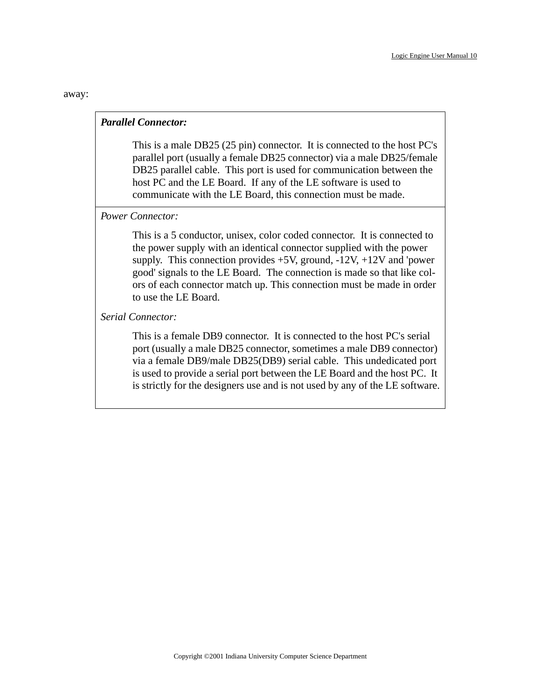#### away:

#### *Parallel Connector:*

This is a male DB25 (25 pin) connector. It is connected to the host PC's parallel port (usually a female DB25 connector) via a male DB25/female DB25 parallel cable. This port is used for communication between the host PC and the LE Board. If any of the LE software is used to communicate with the LE Board, this connection must be made.

#### *Power Connector:*

This is a 5 conductor, unisex, color coded connector. It is connected to the power supply with an identical connector supplied with the power supply. This connection provides  $+5V$ , ground,  $-12V$ ,  $+12V$  and 'power good' signals to the LE Board. The connection is made so that like colors of each connector match up. This connection must be made in order to use the LE Board.

#### *Serial Connector:*

This is a female DB9 connector. It is connected to the host PC's serial port (usually a male DB25 connector, sometimes a male DB9 connector) via a female DB9/male DB25(DB9) serial cable. This undedicated port is used to provide a serial port between the LE Board and the host PC. It is strictly for the designers use and is not used by any of the LE software.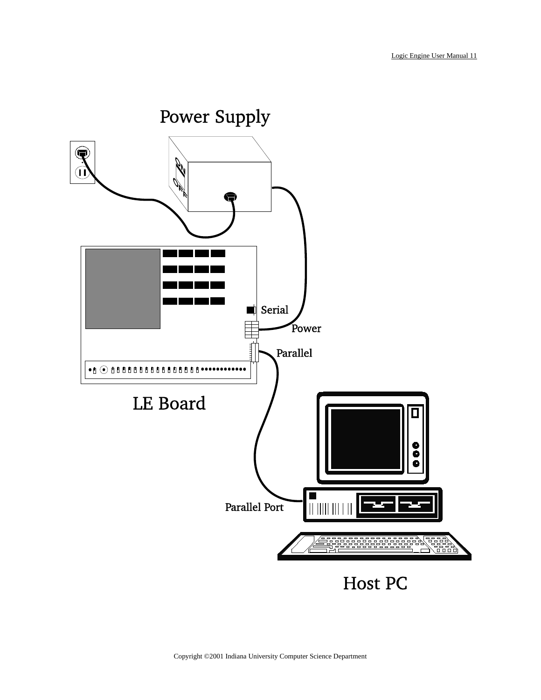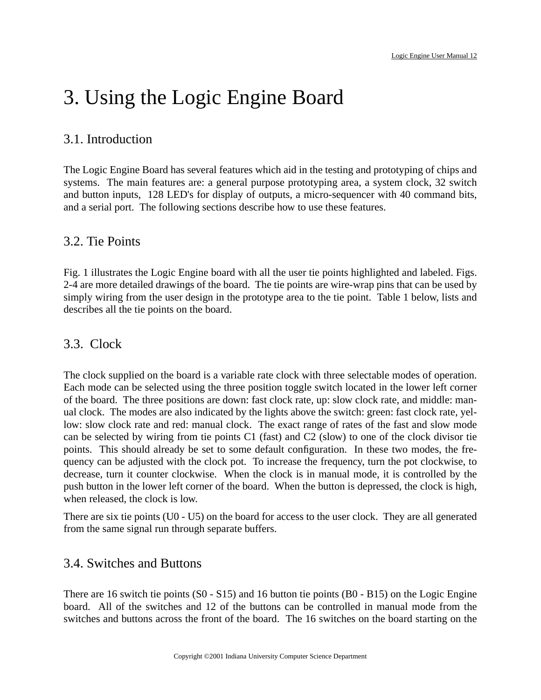# <span id="page-11-0"></span>3. Using the Logic Engine Board

## <span id="page-11-1"></span>3.1. Introduction

The Logic Engine Board has several features which aid in the testing and prototyping of chips and systems. The main features are: a general purpose prototyping area, a system clock, 32 switch and button inputs, 128 LED's for display of outputs, a micro-sequencer with 40 command bits, and a serial port. The following sections describe how to use these features.

## <span id="page-11-2"></span>3.2. Tie Points

Fig. 1 illustrates the Logic Engine board with all the user tie points highlighted and labeled. Figs. 2-4 are more detailed drawings of the board. The tie points are wire-wrap pins that can be used by simply wiring from the user design in the prototype area to the tie point. Table 1 below, lists and describes all the tie points on the board.

### <span id="page-11-3"></span>3.3. Clock

The clock supplied on the board is a variable rate clock with three selectable modes of operation. Each mode can be selected using the three position toggle switch located in the lower left corner of the board. The three positions are down: fast clock rate, up: slow clock rate, and middle: manual clock. The modes are also indicated by the lights above the switch: green: fast clock rate, yellow: slow clock rate and red: manual clock. The exact range of rates of the fast and slow mode can be selected by wiring from tie points C1 (fast) and C2 (slow) to one of the clock divisor tie points. This should already be set to some default configuration. In these two modes, the frequency can be adjusted with the clock pot. To increase the frequency, turn the pot clockwise, to decrease, turn it counter clockwise. When the clock is in manual mode, it is controlled by the push button in the lower left corner of the board. When the button is depressed, the clock is high, when released, the clock is low.

There are six tie points (U0 - U5) on the board for access to the user clock. They are all generated from the same signal run through separate buffers.

## <span id="page-11-4"></span>3.4. Switches and Buttons

There are 16 switch tie points (S0 - S15) and 16 button tie points (B0 - B15) on the Logic Engine board. All of the switches and 12 of the buttons can be controlled in manual mode from the switches and buttons across the front of the board. The 16 switches on the board starting on the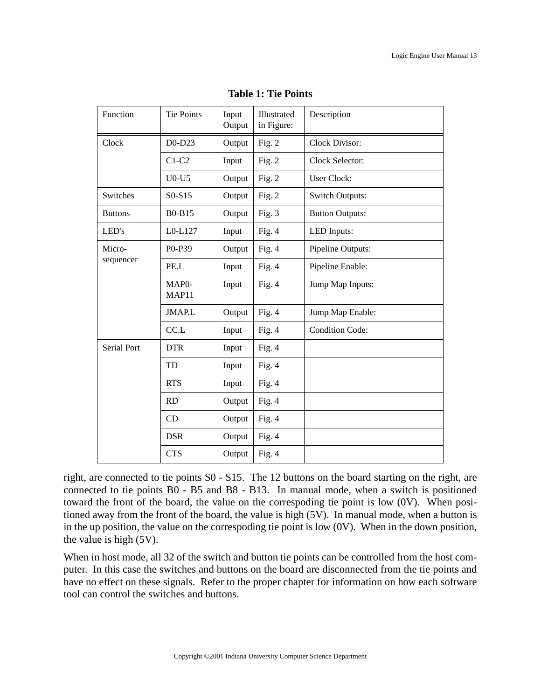| Function           | <b>Tie Points</b>           | Input<br>Output | Illustrated<br>in Figure: | Description            |
|--------------------|-----------------------------|-----------------|---------------------------|------------------------|
| Clock              | $D0-D23$                    | Output          | Fig. 2                    | Clock Divisor:         |
|                    | $C1-C2$                     | Input           | Fig. 2                    | Clock Selector:        |
|                    | $U0-U5$                     | Output          | Fig. 2                    | <b>User Clock:</b>     |
| Switches           | $S0-S15$                    | Output          | Fig. 2                    | Switch Outputs:        |
| <b>Buttons</b>     | <b>B0-B15</b>               | Output          | Fig. 3                    | <b>Button Outputs:</b> |
| LED's              | L0-L127                     | Input           | Fig. 4                    | LED Inputs:            |
| Micro-             | P0-P39                      | Output          | Fig. 4                    | Pipeline Outputs:      |
| sequencer          | PE.L                        | Input           | Fig. 4                    | Pipeline Enable:       |
|                    | MAP <sub>0</sub> -<br>MAP11 | Input           | Fig. 4                    | Jump Map Inputs:       |
|                    | <b>JMAP.L</b>               | Output          | Fig. 4                    | Jump Map Enable:       |
|                    | CC.L                        | Input           | Fig. 4                    | <b>Condition Code:</b> |
| <b>Serial Port</b> | <b>DTR</b>                  | Input           | Fig. 4                    |                        |
|                    | TD                          | Input           | Fig. 4                    |                        |
|                    | <b>RTS</b>                  | Input           | Fig. 4                    |                        |
|                    | <b>RD</b>                   | Output          | Fig. 4                    |                        |
|                    | CD                          | Output          | Fig. 4                    |                        |
|                    | <b>DSR</b>                  | Output          | Fig. 4                    |                        |
|                    | <b>CTS</b>                  | Output          | Fig. 4                    |                        |
|                    |                             |                 |                           |                        |

**Table 1: Tie Points**

right, are connected to tie points S0 - S15. The 12 buttons on the board starting on the right, are connected to tie points B0 - B5 and B8 - B13. In manual mode, when a switch is positioned toward the front of the board, the value on the correspoding tie point is low (0V). When positioned away from the front of the board, the value is high (5V). In manual mode, when a button is in the up position, the value on the correspoding tie point is low  $(0V)$ . When in the down position, the value is high (5V).

When in host mode, all 32 of the switch and button tie points can be controlled from the host computer. In this case the switches and buttons on the board are disconnected from the tie points and have no effect on these signals. Refer to the proper chapter for information on how each software tool can control the switches and buttons.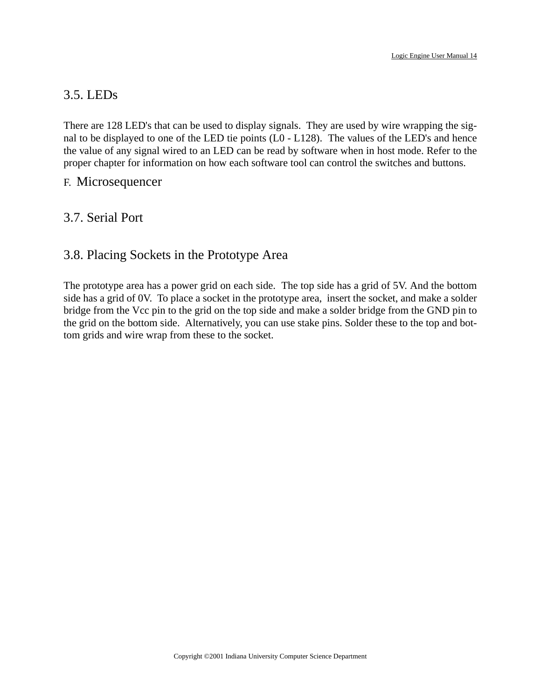# <span id="page-13-0"></span>3.5. LEDs

There are 128 LED's that can be used to display signals. They are used by wire wrapping the signal to be displayed to one of the LED tie points (L0 - L128). The values of the LED's and hence the value of any signal wired to an LED can be read by software when in host mode. Refer to the proper chapter for information on how each software tool can control the switches and buttons.

#### F. Microsequencer

## <span id="page-13-1"></span>3.7. Serial Port

## <span id="page-13-2"></span>3.8. Placing Sockets in the Prototype Area

The prototype area has a power grid on each side. The top side has a grid of 5V. And the bottom side has a grid of 0V. To place a socket in the prototype area, insert the socket, and make a solder bridge from the Vcc pin to the grid on the top side and make a solder bridge from the GND pin to the grid on the bottom side. Alternatively, you can use stake pins. Solder these to the top and bottom grids and wire wrap from these to the socket.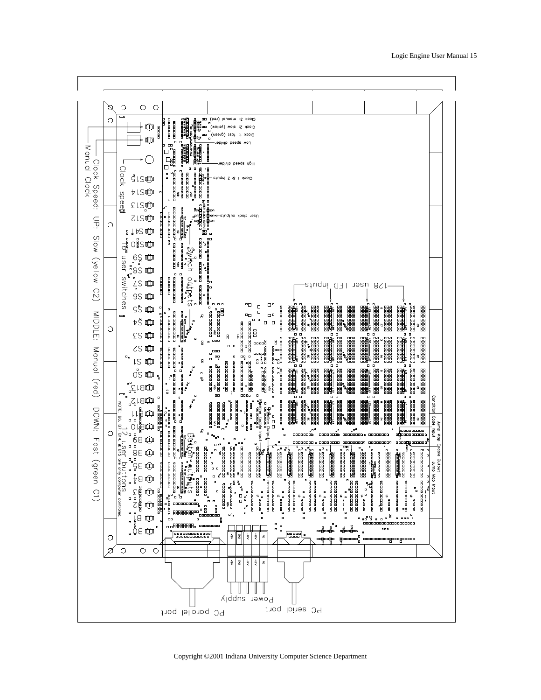

Copyright ©2001 Indiana University Computer Science Department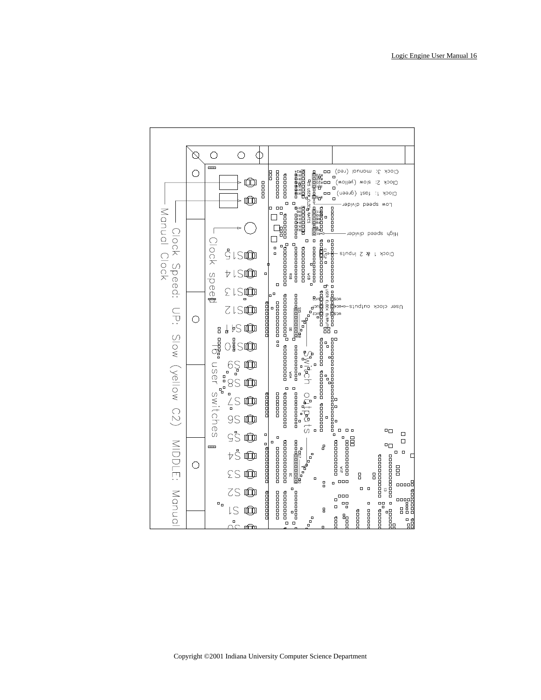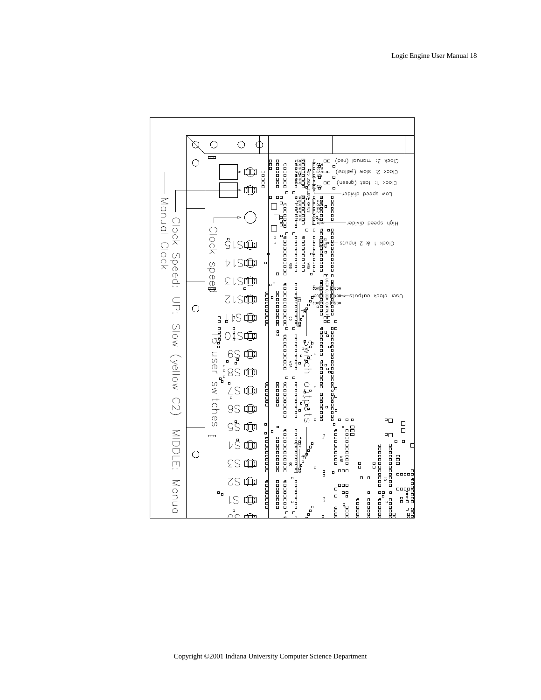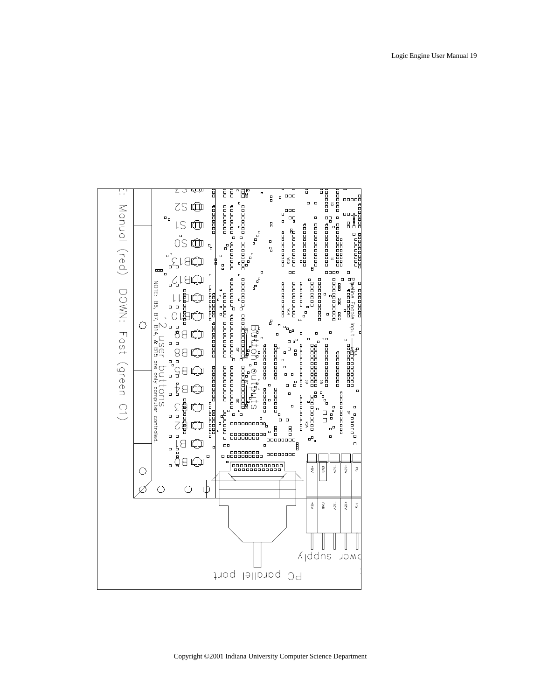

Copyright ©2001 Indiana University Computer Science Department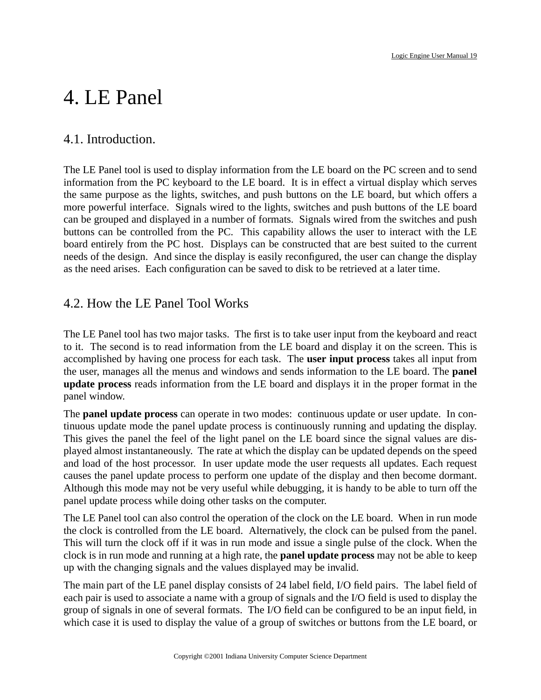# <span id="page-21-0"></span>4. LE Panel

# <span id="page-21-1"></span>4.1. Introduction.

The LE Panel tool is used to display information from the LE board on the PC screen and to send information from the PC keyboard to the LE board. It is in effect a virtual display which serves the same purpose as the lights, switches, and push buttons on the LE board, but which offers a more powerful interface. Signals wired to the lights, switches and push buttons of the LE board can be grouped and displayed in a number of formats. Signals wired from the switches and push buttons can be controlled from the PC. This capability allows the user to interact with the LE board entirely from the PC host. Displays can be constructed that are best suited to the current needs of the design. And since the display is easily reconfigured, the user can change the display as the need arises. Each configuration can be saved to disk to be retrieved at a later time.

# <span id="page-21-2"></span>4.2. How the LE Panel Tool Works

The LE Panel tool has two major tasks. The first is to take user input from the keyboard and react to it. The second is to read information from the LE board and display it on the screen. This is accomplished by having one process for each task. The **user input process** takes all input from the user, manages all the menus and windows and sends information to the LE board. The **panel update process** reads information from the LE board and displays it in the proper format in the panel window.

The **panel update process** can operate in two modes: continuous update or user update. In continuous update mode the panel update process is continuously running and updating the display. This gives the panel the feel of the light panel on the LE board since the signal values are displayed almost instantaneously. The rate at which the display can be updated depends on the speed and load of the host processor. In user update mode the user requests all updates. Each request causes the panel update process to perform one update of the display and then become dormant. Although this mode may not be very useful while debugging, it is handy to be able to turn off the panel update process while doing other tasks on the computer.

The LE Panel tool can also control the operation of the clock on the LE board. When in run mode the clock is controlled from the LE board. Alternatively, the clock can be pulsed from the panel. This will turn the clock off if it was in run mode and issue a single pulse of the clock. When the clock is in run mode and running at a high rate, the **panel update process** may not be able to keep up with the changing signals and the values displayed may be invalid.

The main part of the LE panel display consists of 24 label field, I/O field pairs. The label field of each pair is used to associate a name with a group of signals and the I/O field is used to display the group of signals in one of several formats. The I/O field can be configured to be an input field, in which case it is used to display the value of a group of switches or buttons from the LE board, or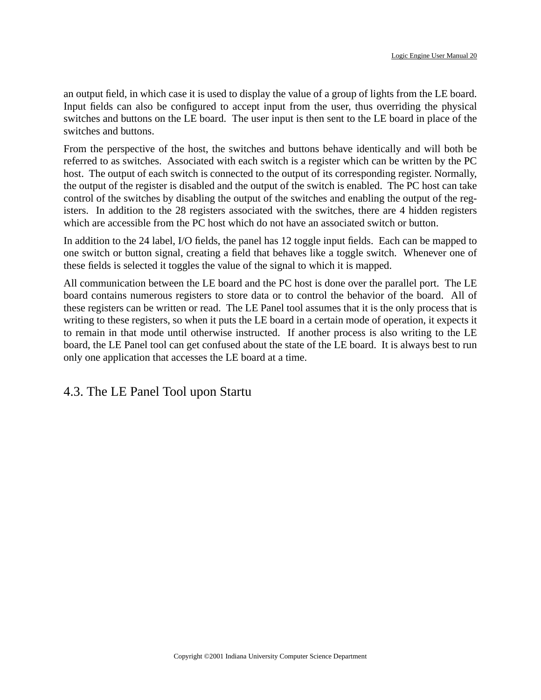an output field, in which case it is used to display the value of a group of lights from the LE board. Input fields can also be configured to accept input from the user, thus overriding the physical switches and buttons on the LE board. The user input is then sent to the LE board in place of the switches and buttons.

From the perspective of the host, the switches and buttons behave identically and will both be referred to as switches. Associated with each switch is a register which can be written by the PC host. The output of each switch is connected to the output of its corresponding register. Normally, the output of the register is disabled and the output of the switch is enabled. The PC host can take control of the switches by disabling the output of the switches and enabling the output of the registers. In addition to the 28 registers associated with the switches, there are 4 hidden registers which are accessible from the PC host which do not have an associated switch or button.

In addition to the 24 label, I/O fields, the panel has 12 toggle input fields. Each can be mapped to one switch or button signal, creating a field that behaves like a toggle switch. Whenever one of these fields is selected it toggles the value of the signal to which it is mapped.

All communication between the LE board and the PC host is done over the parallel port. The LE board contains numerous registers to store data or to control the behavior of the board. All of these registers can be written or read. The LE Panel tool assumes that it is the only process that is writing to these registers, so when it puts the LE board in a certain mode of operation, it expects it to remain in that mode until otherwise instructed. If another process is also writing to the LE board, the LE Panel tool can get confused about the state of the LE board. It is always best to run only one application that accesses the LE board at a time.

<span id="page-22-0"></span>4.3. The LE Panel Tool upon Startu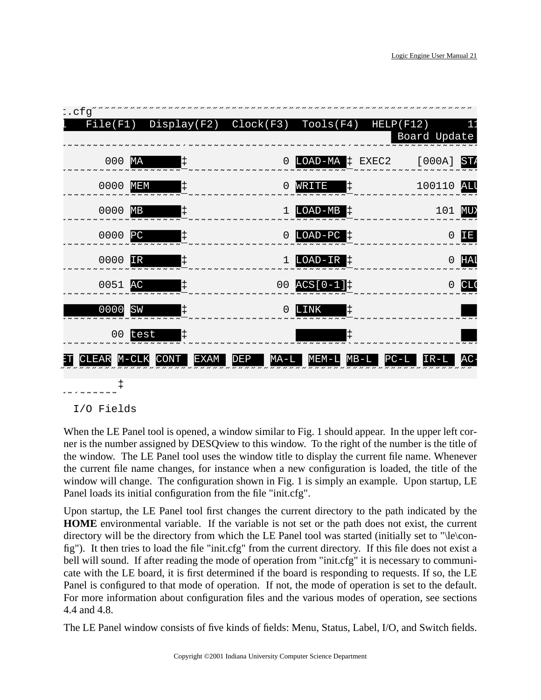

I/O Fields

When the LE Panel tool is opened, a window similar to Fig. 1 should appear. In the upper left corner is the number assigned by DESQview to this window. To the right of the number is the title of the window. The LE Panel tool uses the window title to display the current file name. Whenever the current file name changes, for instance when a new configuration is loaded, the title of the window will change. The configuration shown in Fig. 1 is simply an example. Upon startup, LE Panel loads its initial configuration from the file "init.cfg".

Upon startup, the LE Panel tool first changes the current directory to the path indicated by the **HOME** environmental variable. If the variable is not set or the path does not exist, the current directory will be the directory from which the LE Panel tool was started (initially set to "\le\config"). It then tries to load the file "init.cfg" from the current directory. If this file does not exist a bell will sound. If after reading the mode of operation from "init.cfg" it is necessary to communicate with the LE board, it is first determined if the board is responding to requests. If so, the LE Panel is configured to that mode of operation. If not, the mode of operation is set to the default. For more information about configuration files and the various modes of operation, see sections 4.4 and 4.8.

The LE Panel window consists of five kinds of fields: Menu, Status, Label, I/O, and Switch fields.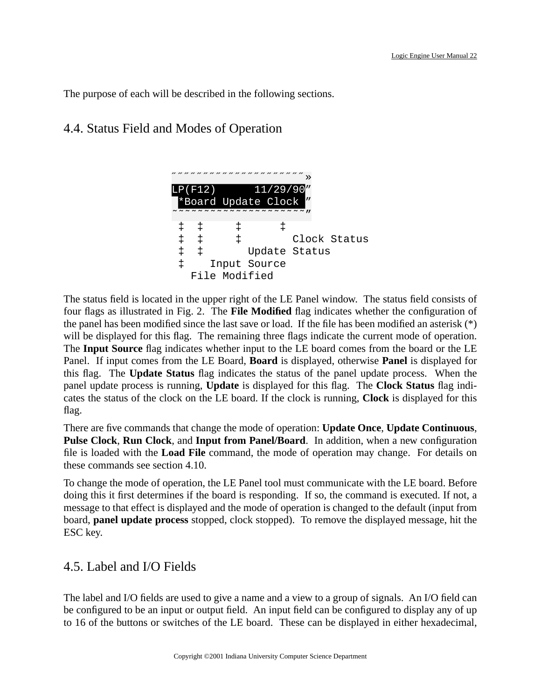The purpose of each will be described in the following sections.

# 4.4. Status Field and Modes of Operation



The status field is located in the upper right of the LE Panel window. The status field consists of four flags as illustrated in Fig. 2. The **File Modified** flag indicates whether the configuration of the panel has been modified since the last save or load. If the file has been modified an asterisk (\*) will be displayed for this flag. The remaining three flags indicate the current mode of operation. The **Input Source** flag indicates whether input to the LE board comes from the board or the LE Panel. If input comes from the LE Board, **Board** is displayed, otherwise **Panel** is displayed for this flag. The **Update Status** flag indicates the status of the panel update process. When the panel update process is running, **Update** is displayed for this flag. The **Clock Status** flag indicates the status of the clock on the LE board. If the clock is running, **Clock** is displayed for this flag.

There are five commands that change the mode of operation: **Update Once**, **Update Continuous**, **Pulse Clock**, **Run Clock**, and **Input from Panel/Board**. In addition, when a new configuration file is loaded with the **Load File** command, the mode of operation may change. For details on these commands see section 4.10.

To change the mode of operation, the LE Panel tool must communicate with the LE board. Before doing this it first determines if the board is responding. If so, the command is executed. If not, a message to that effect is displayed and the mode of operation is changed to the default (input from board, **panel update process** stopped, clock stopped). To remove the displayed message, hit the ESC key.

## <span id="page-24-0"></span>4.5. Label and I/O Fields

The label and I/O fields are used to give a name and a view to a group of signals. An I/O field can be configured to be an input or output field. An input field can be configured to display any of up to 16 of the buttons or switches of the LE board. These can be displayed in either hexadecimal,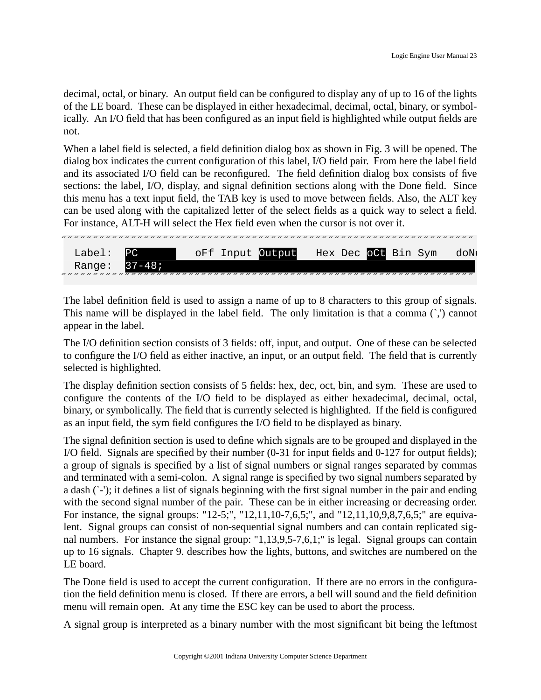decimal, octal, or binary. An output field can be configured to display any of up to 16 of the lights of the LE board. These can be displayed in either hexadecimal, decimal, octal, binary, or symbolically. An I/O field that has been configured as an input field is highlighted while output fields are not.

When a label field is selected, a field definition dialog box as shown in Fig. 3 will be opened. The dialog box indicates the current configuration of this label, I/O field pair. From here the label field and its associated I/O field can be reconfigured. The field definition dialog box consists of five sections: the label, I/O, display, and signal definition sections along with the Done field. Since this menu has a text input field, the TAB key is used to move between fields. Also, the ALT key can be used along with the capitalized letter of the select fields as a quick way to select a field. For instance, ALT-H will select the Hex field even when the cursor is not over it.



The label definition field is used to assign a name of up to 8 characters to this group of signals. This name will be displayed in the label field. The only limitation is that a comma (`,') cannot appear in the label.

The I/O definition section consists of 3 fields: off, input, and output. One of these can be selected to configure the I/O field as either inactive, an input, or an output field. The field that is currently selected is highlighted.

The display definition section consists of 5 fields: hex, dec, oct, bin, and sym. These are used to configure the contents of the I/O field to be displayed as either hexadecimal, decimal, octal, binary, or symbolically. The field that is currently selected is highlighted. If the field is configured as an input field, the sym field configures the I/O field to be displayed as binary.

The signal definition section is used to define which signals are to be grouped and displayed in the I/O field. Signals are specified by their number (0-31 for input fields and 0-127 for output fields); a group of signals is specified by a list of signal numbers or signal ranges separated by commas and terminated with a semi-colon. A signal range is specified by two signal numbers separated by a dash (`-'); it defines a list of signals beginning with the first signal number in the pair and ending with the second signal number of the pair. These can be in either increasing or decreasing order. For instance, the signal groups: "12-5;", "12,11,10-7,6,5;", and "12,11,10,9,8,7,6,5;" are equivalent. Signal groups can consist of non-sequential signal numbers and can contain replicated signal numbers. For instance the signal group: "1,13,9,5-7,6,1;" is legal. Signal groups can contain up to 16 signals. Chapter 9. describes how the lights, buttons, and switches are numbered on the LE board.

The Done field is used to accept the current configuration. If there are no errors in the configuration the field definition menu is closed. If there are errors, a bell will sound and the field definition menu will remain open. At any time the ESC key can be used to abort the process.

A signal group is interpreted as a binary number with the most significant bit being the leftmost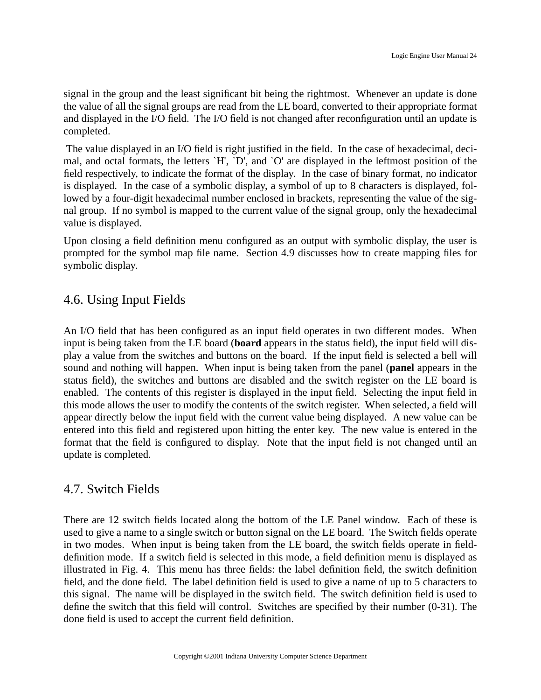signal in the group and the least significant bit being the rightmost. Whenever an update is done the value of all the signal groups are read from the LE board, converted to their appropriate format and displayed in the I/O field. The I/O field is not changed after reconfiguration until an update is completed.

The value displayed in an I/O field is right justified in the field. In the case of hexadecimal, decimal, and octal formats, the letters `H', `D', and `O' are displayed in the leftmost position of the field respectively, to indicate the format of the display. In the case of binary format, no indicator is displayed. In the case of a symbolic display, a symbol of up to 8 characters is displayed, followed by a four-digit hexadecimal number enclosed in brackets, representing the value of the signal group. If no symbol is mapped to the current value of the signal group, only the hexadecimal value is displayed.

Upon closing a field definition menu configured as an output with symbolic display, the user is prompted for the symbol map file name. Section 4.9 discusses how to create mapping files for symbolic display.

# <span id="page-26-0"></span>4.6. Using Input Fields

An I/O field that has been configured as an input field operates in two different modes. When input is being taken from the LE board (**board** appears in the status field), the input field will display a value from the switches and buttons on the board. If the input field is selected a bell will sound and nothing will happen. When input is being taken from the panel (**panel** appears in the status field), the switches and buttons are disabled and the switch register on the LE board is enabled. The contents of this register is displayed in the input field. Selecting the input field in this mode allows the user to modify the contents of the switch register. When selected, a field will appear directly below the input field with the current value being displayed. A new value can be entered into this field and registered upon hitting the enter key. The new value is entered in the format that the field is configured to display. Note that the input field is not changed until an update is completed.

## <span id="page-26-1"></span>4.7. Switch Fields

There are 12 switch fields located along the bottom of the LE Panel window. Each of these is used to give a name to a single switch or button signal on the LE board. The Switch fields operate in two modes. When input is being taken from the LE board, the switch fields operate in fielddefinition mode. If a switch field is selected in this mode, a field definition menu is displayed as illustrated in Fig. 4. This menu has three fields: the label definition field, the switch definition field, and the done field. The label definition field is used to give a name of up to 5 characters to this signal. The name will be displayed in the switch field. The switch definition field is used to define the switch that this field will control. Switches are specified by their number (0-31). The done field is used to accept the current field definition.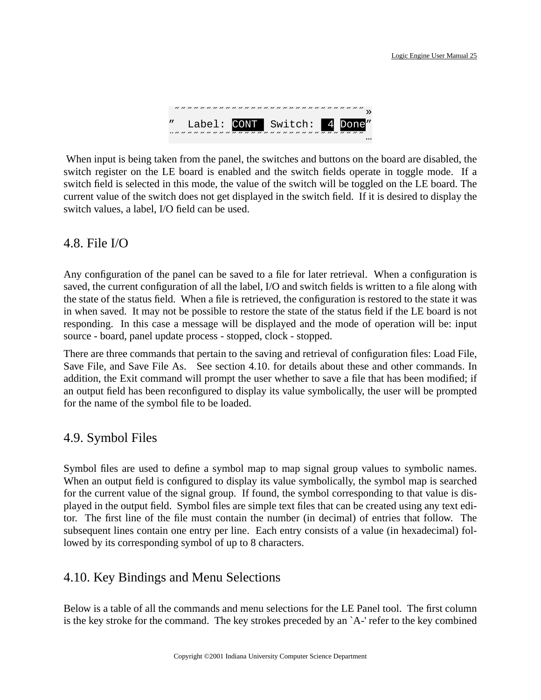

When input is being taken from the panel, the switches and buttons on the board are disabled, the switch register on the LE board is enabled and the switch fields operate in toggle mode. If a switch field is selected in this mode, the value of the switch will be toggled on the LE board. The current value of the switch does not get displayed in the switch field. If it is desired to display the switch values, a label, I/O field can be used.

### <span id="page-27-0"></span>4.8. File I/O

Any configuration of the panel can be saved to a file for later retrieval. When a configuration is saved, the current configuration of all the label, I/O and switch fields is written to a file along with the state of the status field. When a file is retrieved, the configuration is restored to the state it was in when saved. It may not be possible to restore the state of the status field if the LE board is not responding. In this case a message will be displayed and the mode of operation will be: input source - board, panel update process - stopped, clock - stopped.

There are three commands that pertain to the saving and retrieval of configuration files: Load File, Save File, and Save File As. See section 4.10. for details about these and other commands. In addition, the Exit command will prompt the user whether to save a file that has been modified; if an output field has been reconfigured to display its value symbolically, the user will be prompted for the name of the symbol file to be loaded.

## <span id="page-27-1"></span>4.9. Symbol Files

Symbol files are used to define a symbol map to map signal group values to symbolic names. When an output field is configured to display its value symbolically, the symbol map is searched for the current value of the signal group. If found, the symbol corresponding to that value is displayed in the output field. Symbol files are simple text files that can be created using any text editor. The first line of the file must contain the number (in decimal) of entries that follow. The subsequent lines contain one entry per line. Each entry consists of a value (in hexadecimal) followed by its corresponding symbol of up to 8 characters.

# <span id="page-27-2"></span>4.10. Key Bindings and Menu Selections

Below is a table of all the commands and menu selections for the LE Panel tool. The first column is the key stroke for the command. The key strokes preceded by an `A-' refer to the key combined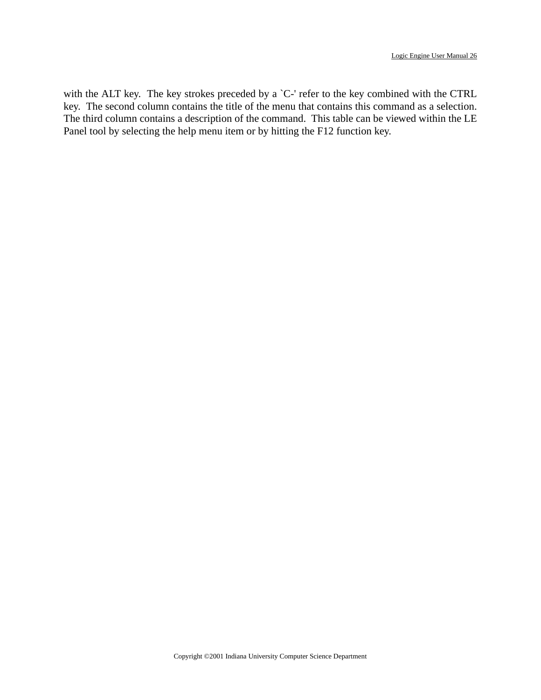with the ALT key. The key strokes preceded by a 'C-' refer to the key combined with the CTRL key. The second column contains the title of the menu that contains this command as a selection. The third column contains a description of the command. This table can be viewed within the LE Panel tool by selecting the help menu item or by hitting the F12 function key.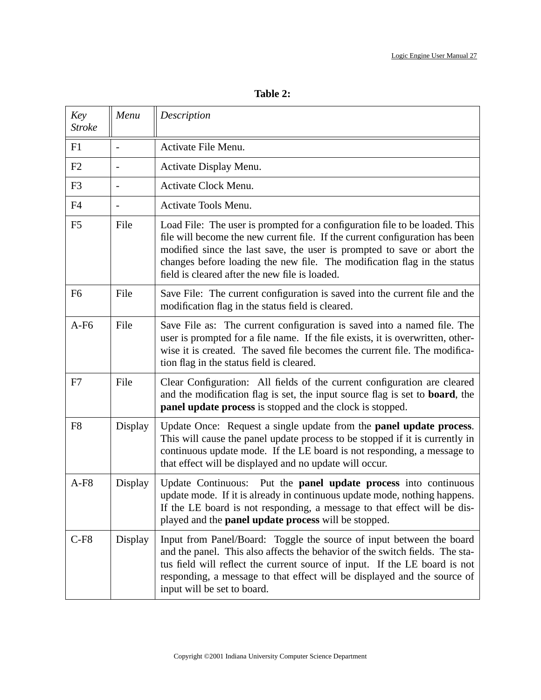| l'able | ∼ |
|--------|---|
|--------|---|

| Key<br><b>Stroke</b> | Menu                     | Description                                                                                                                                                                                                                                                                                                                                                          |  |
|----------------------|--------------------------|----------------------------------------------------------------------------------------------------------------------------------------------------------------------------------------------------------------------------------------------------------------------------------------------------------------------------------------------------------------------|--|
| F1                   |                          | Activate File Menu.                                                                                                                                                                                                                                                                                                                                                  |  |
| F2                   | $\overline{\phantom{0}}$ | Activate Display Menu.                                                                                                                                                                                                                                                                                                                                               |  |
| F <sub>3</sub>       |                          | Activate Clock Menu.                                                                                                                                                                                                                                                                                                                                                 |  |
| F <sub>4</sub>       |                          | Activate Tools Menu.                                                                                                                                                                                                                                                                                                                                                 |  |
| F <sub>5</sub>       | File                     | Load File: The user is prompted for a configuration file to be loaded. This<br>file will become the new current file. If the current configuration has been<br>modified since the last save, the user is prompted to save or abort the<br>changes before loading the new file. The modification flag in the status<br>field is cleared after the new file is loaded. |  |
| F <sub>6</sub>       | File                     | Save File: The current configuration is saved into the current file and the<br>modification flag in the status field is cleared.                                                                                                                                                                                                                                     |  |
| $A-F6$               | File                     | Save File as: The current configuration is saved into a named file. The<br>user is prompted for a file name. If the file exists, it is overwritten, other-<br>wise it is created. The saved file becomes the current file. The modifica-<br>tion flag in the status field is cleared.                                                                                |  |
| F7                   | File                     | Clear Configuration: All fields of the current configuration are cleared<br>and the modification flag is set, the input source flag is set to <b>board</b> , the<br>panel update process is stopped and the clock is stopped.                                                                                                                                        |  |
| F <sub>8</sub>       | Display                  | Update Once: Request a single update from the <b>panel update process</b> .<br>This will cause the panel update process to be stopped if it is currently in<br>continuous update mode. If the LE board is not responding, a message to<br>that effect will be displayed and no update will occur.                                                                    |  |
| $A-F8$               | Display                  | Update Continuous: Put the <b>panel update process</b> into continuous<br>update mode. If it is already in continuous update mode, nothing happens.<br>If the LE board is not responding, a message to that effect will be dis-<br>played and the <b>panel update process</b> will be stopped.                                                                       |  |
| $C-F8$               | Display                  | Input from Panel/Board: Toggle the source of input between the board<br>and the panel. This also affects the behavior of the switch fields. The sta-<br>tus field will reflect the current source of input. If the LE board is not<br>responding, a message to that effect will be displayed and the source of<br>input will be set to board.                        |  |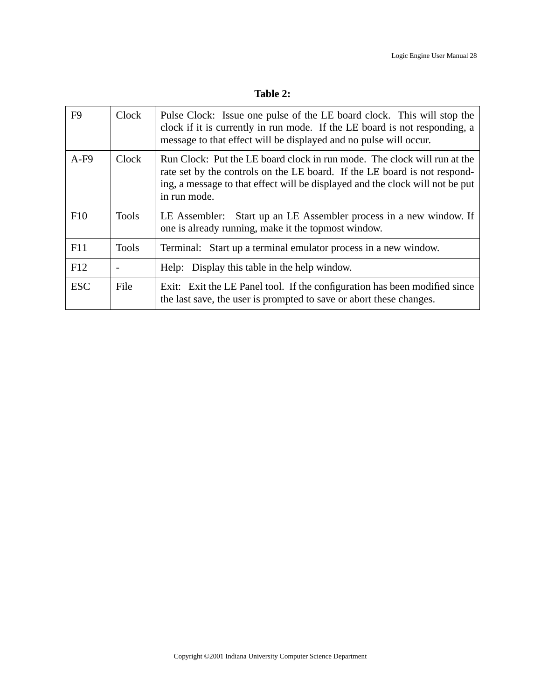| F <sub>9</sub> | Clock        | Pulse Clock: Issue one pulse of the LE board clock. This will stop the<br>clock if it is currently in run mode. If the LE board is not responding, a<br>message to that effect will be displayed and no pulse will occur.                              |  |
|----------------|--------------|--------------------------------------------------------------------------------------------------------------------------------------------------------------------------------------------------------------------------------------------------------|--|
| $A-F9$         | Clock        | Run Clock: Put the LE board clock in run mode. The clock will run at the<br>rate set by the controls on the LE board. If the LE board is not respond-<br>ing, a message to that effect will be displayed and the clock will not be put<br>in run mode. |  |
| F10            | <b>Tools</b> | Start up an LE Assembler process in a new window. If<br>LE Assembler:<br>one is already running, make it the topmost window.                                                                                                                           |  |
| F11            | <b>Tools</b> | Terminal: Start up a terminal emulator process in a new window.                                                                                                                                                                                        |  |
| F12            |              | Help: Display this table in the help window.                                                                                                                                                                                                           |  |
| <b>ESC</b>     | File         | Exit: Exit the LE Panel tool. If the configuration has been modified since<br>the last save, the user is prompted to save or abort these changes.                                                                                                      |  |

**Table 2:**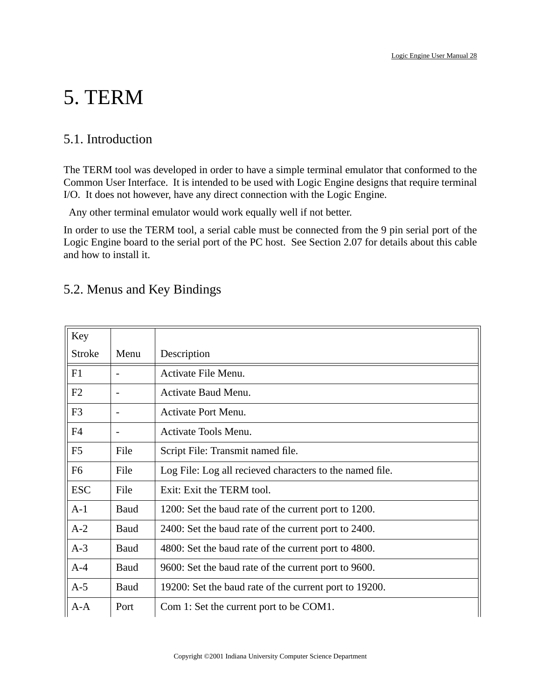# <span id="page-31-0"></span>5. TERM

# <span id="page-31-1"></span>5.1. Introduction

The TERM tool was developed in order to have a simple terminal emulator that conformed to the Common User Interface. It is intended to be used with Logic Engine designs that require terminal I/O. It does not however, have any direct connection with the Logic Engine.

Any other terminal emulator would work equally well if not better.

In order to use the TERM tool, a serial cable must be connected from the 9 pin serial port of the Logic Engine board to the serial port of the PC host. See Section 2.07 for details about this cable and how to install it.

| Key            |      |                                                          |  |
|----------------|------|----------------------------------------------------------|--|
| <b>Stroke</b>  | Menu | Description                                              |  |
| F1             |      | Activate File Menu.                                      |  |
| F <sub>2</sub> |      | Activate Baud Menu.                                      |  |
| F <sub>3</sub> |      | <b>Activate Port Menu.</b>                               |  |
| F <sub>4</sub> |      | Activate Tools Menu.                                     |  |
| F <sub>5</sub> | File | Script File: Transmit named file.                        |  |
| F <sub>6</sub> | File | Log File: Log all recieved characters to the named file. |  |
| <b>ESC</b>     | File | Exit: Exit the TERM tool.                                |  |
| $A-1$          | Baud | 1200: Set the baud rate of the current port to 1200.     |  |
| $A-2$          | Baud | 2400: Set the baud rate of the current port to 2400.     |  |
| $A-3$          | Baud | 4800: Set the baud rate of the current port to 4800.     |  |
| $A-4$          | Baud | 9600: Set the baud rate of the current port to 9600.     |  |
| $A-5$          | Baud | 19200: Set the baud rate of the current port to 19200.   |  |
| $A-A$          | Port | Com 1: Set the current port to be COM1.                  |  |

## <span id="page-31-2"></span>5.2. Menus and Key Bindings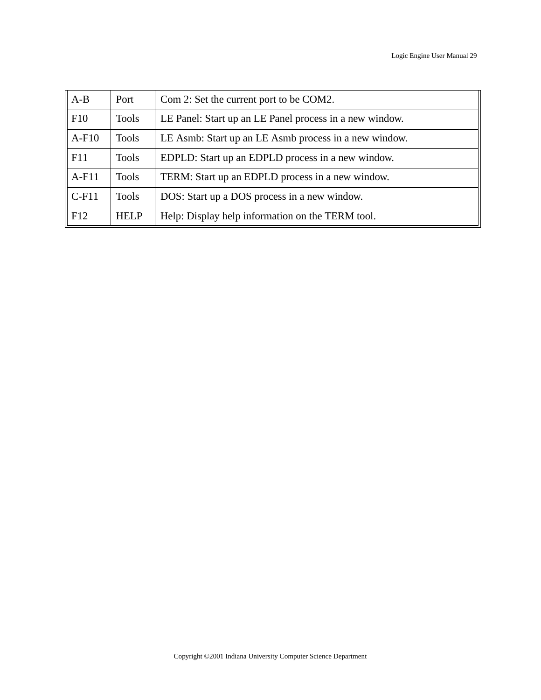| $A-B$    | Port         | Com 2: Set the current port to be COM2.                 |  |
|----------|--------------|---------------------------------------------------------|--|
| F10      | <b>Tools</b> | LE Panel: Start up an LE Panel process in a new window. |  |
| $A-F10$  | <b>Tools</b> | LE Asmb: Start up an LE Asmb process in a new window.   |  |
| F11      | <b>Tools</b> | EDPLD: Start up an EDPLD process in a new window.       |  |
| $A-F11$  | <b>Tools</b> | TERM: Start up an EDPLD process in a new window.        |  |
| $C$ -F11 | <b>Tools</b> | DOS: Start up a DOS process in a new window.            |  |
| F12      | <b>HELP</b>  | Help: Display help information on the TERM tool.        |  |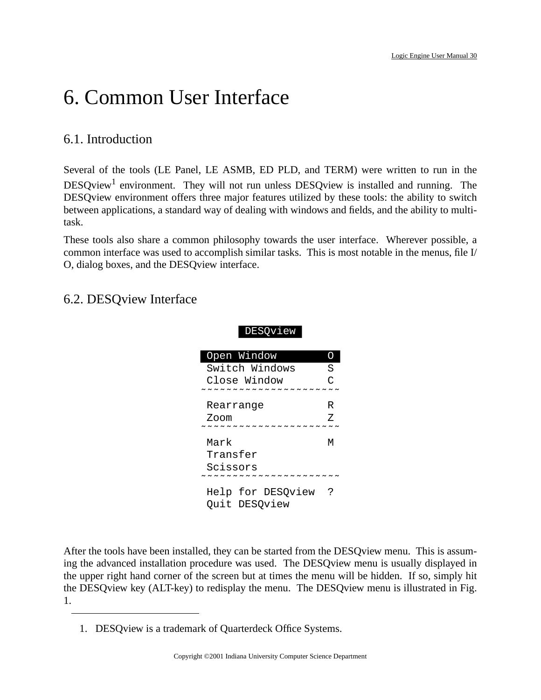# <span id="page-33-0"></span>6. Common User Interface

# <span id="page-33-1"></span>6.1. Introduction

Several of the tools (LE Panel, LE ASMB, ED PLD, and TERM) were written to run in the  $DESQview<sup>1</sup>$  environment. They will not run unless  $DESQview$  is installed and running. The DESQview environment offers three major features utilized by these tools: the ability to switch between applications, a standard way of dealing with windows and fields, and the ability to multitask.

These tools also share a common philosophy towards the user interface. Wherever possible, a common interface was used to accomplish similar tasks. This is most notable in the menus, file I/ O, dialog boxes, and the DESQview interface.

DESQview

# <span id="page-33-2"></span>6.2. DESQview Interface

| Open Window       |   |
|-------------------|---|
| Switch Windows    | S |
| Close Window      | ⊂ |
|                   |   |
| Rearrange         | R |
| Zoom              | Ζ |
|                   |   |
| Mark              | М |
| Transfer          |   |
| Scissors          |   |
|                   |   |
| Help for DESQview |   |
| Quit DESQview     |   |

After the tools have been installed, they can be started from the DESQview menu. This is assuming the advanced installation procedure was used. The DESQview menu is usually displayed in the upper right hand corner of the screen but at times the menu will be hidden. If so, simply hit the DESQview key (ALT-key) to redisplay the menu. The DESQview menu is illustrated in Fig. 1.

<sup>1.</sup> DESQview is a trademark of Quarterdeck Office Systems.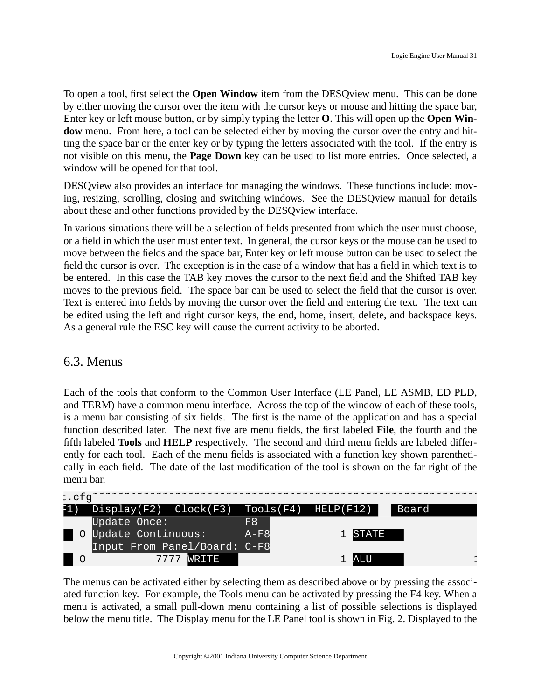To open a tool, first select the **Open Window** item from the DESQview menu. This can be done by either moving the cursor over the item with the cursor keys or mouse and hitting the space bar, Enter key or left mouse button, or by simply typing the letter **O**. This will open up the **Open Window** menu. From here, a tool can be selected either by moving the cursor over the entry and hitting the space bar or the enter key or by typing the letters associated with the tool. If the entry is not visible on this menu, the **Page Down** key can be used to list more entries. Once selected, a window will be opened for that tool.

DESQview also provides an interface for managing the windows. These functions include: moving, resizing, scrolling, closing and switching windows. See the DESQview manual for details about these and other functions provided by the DESQview interface.

In various situations there will be a selection of fields presented from which the user must choose, or a field in which the user must enter text. In general, the cursor keys or the mouse can be used to move between the fields and the space bar, Enter key or left mouse button can be used to select the field the cursor is over. The exception is in the case of a window that has a field in which text is to be entered. In this case the TAB key moves the cursor to the next field and the Shifted TAB key moves to the previous field. The space bar can be used to select the field that the cursor is over. Text is entered into fields by moving the cursor over the field and entering the text. The text can be edited using the left and right cursor keys, the end, home, insert, delete, and backspace keys. As a general rule the ESC key will cause the current activity to be aborted.

### <span id="page-34-0"></span>6.3. Menus

Each of the tools that conform to the Common User Interface (LE Panel, LE ASMB, ED PLD, and TERM) have a common menu interface. Across the top of the window of each of these tools, is a menu bar consisting of six fields. The first is the name of the application and has a special function described later. The next five are menu fields, the first labeled **File**, the fourth and the fifth labeled **Tools** and **HELP** respectively. The second and third menu fields are labeled differently for each tool. Each of the menu fields is associated with a function key shown parenthetically in each field. The date of the last modification of the tool is shown on the far right of the menu bar.

| :.ctq |  |                                                   |        |        |       |  |  |
|-------|--|---------------------------------------------------|--------|--------|-------|--|--|
|       |  | $Display(F2)$ $Clock(F3)$ $Tools(F4)$ $HELP(F12)$ |        |        | Board |  |  |
|       |  | Update Once:                                      | F8     |        |       |  |  |
|       |  | Update Continuous:                                | $A-F8$ | STATE. |       |  |  |
|       |  | Input From Panel/Board: C-F8                      |        |        |       |  |  |
|       |  |                                                   |        |        |       |  |  |

The menus can be activated either by selecting them as described above or by pressing the associated function key. For example, the Tools menu can be activated by pressing the F4 key. When a menu is activated, a small pull-down menu containing a list of possible selections is displayed below the menu title. The Display menu for the LE Panel tool is shown in Fig. 2. Displayed to the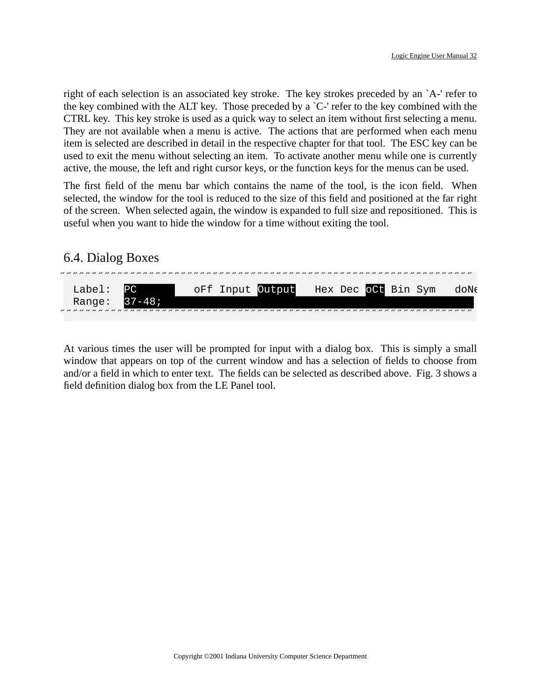right of each selection is an associated key stroke. The key strokes preceded by an `A-' refer to the key combined with the ALT key. Those preceded by a `C-' refer to the key combined with the CTRL key. This key stroke is used as a quick way to select an item without first selecting a menu. They are not available when a menu is active. The actions that are performed when each menu item is selected are described in detail in the respective chapter for that tool. The ESC key can be used to exit the menu without selecting an item. To activate another menu while one is currently active, the mouse, the left and right cursor keys, or the function keys for the menus can be used.

The first field of the menu bar which contains the name of the tool, is the icon field. When selected, the window for the tool is reduced to the size of this field and positioned at the far right of the screen. When selected again, the window is expanded to full size and repositioned. This is useful when you want to hide the window for a time without exiting the tool.

# <span id="page-35-0"></span>6.4. Dialog Boxes



At various times the user will be prompted for input with a dialog box. This is simply a small window that appears on top of the current window and has a selection of fields to choose from and/or a field in which to enter text. The fields can be selected as described above. Fig. 3 shows a field definition dialog box from the LE Panel tool.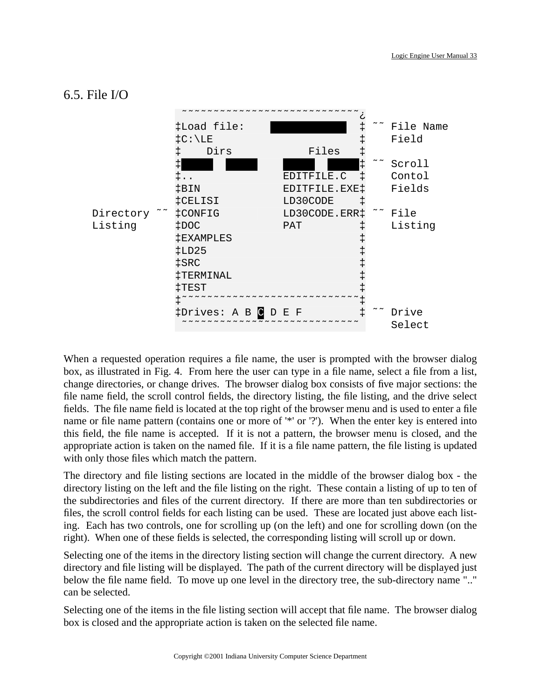## 6.5. File I/O



When a requested operation requires a file name, the user is prompted with the browser dialog box, as illustrated in Fig. 4. From here the user can type in a file name, select a file from a list, change directories, or change drives. The browser dialog box consists of five major sections: the file name field, the scroll control fields, the directory listing, the file listing, and the drive select fields. The file name field is located at the top right of the browser menu and is used to enter a file name or file name pattern (contains one or more of '\*' or '?'). When the enter key is entered into this field, the file name is accepted. If it is not a pattern, the browser menu is closed, and the appropriate action is taken on the named file. If it is a file name pattern, the file listing is updated with only those files which match the pattern.

The directory and file listing sections are located in the middle of the browser dialog box - the directory listing on the left and the file listing on the right. These contain a listing of up to ten of the subdirectories and files of the current directory. If there are more than ten subdirectories or files, the scroll control fields for each listing can be used. These are located just above each listing. Each has two controls, one for scrolling up (on the left) and one for scrolling down (on the right). When one of these fields is selected, the corresponding listing will scroll up or down.

Selecting one of the items in the directory listing section will change the current directory. A new directory and file listing will be displayed. The path of the current directory will be displayed just below the file name field. To move up one level in the directory tree, the sub-directory name ".." can be selected.

Selecting one of the items in the file listing section will accept that file name. The browser dialog box is closed and the appropriate action is taken on the selected file name.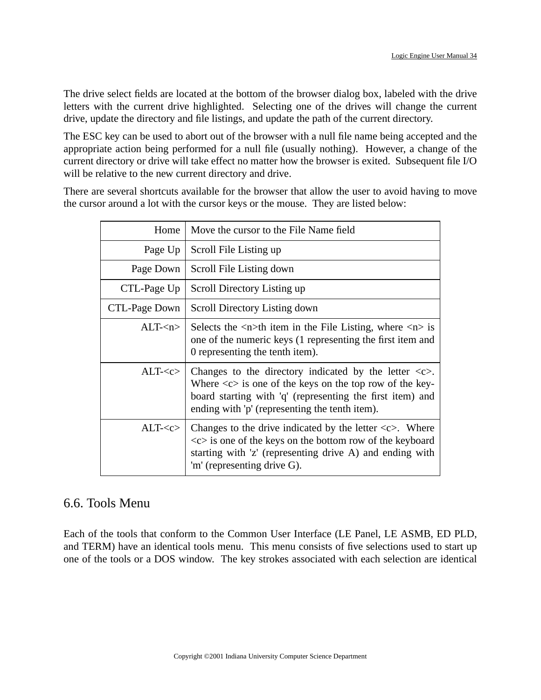The drive select fields are located at the bottom of the browser dialog box, labeled with the drive letters with the current drive highlighted. Selecting one of the drives will change the current drive, update the directory and file listings, and update the path of the current directory.

The ESC key can be used to abort out of the browser with a null file name being accepted and the appropriate action being performed for a null file (usually nothing). However, a change of the current directory or drive will take effect no matter how the browser is exited. Subsequent file I/O will be relative to the new current directory and drive.

There are several shortcuts available for the browser that allow the user to avoid having to move the cursor around a lot with the cursor keys or the mouse. They are listed below:

| Home           | Move the cursor to the File Name field                                                                                                                                                                                                                                                    |  |  |  |  |  |
|----------------|-------------------------------------------------------------------------------------------------------------------------------------------------------------------------------------------------------------------------------------------------------------------------------------------|--|--|--|--|--|
| Page $Up$      | Scroll File Listing up                                                                                                                                                                                                                                                                    |  |  |  |  |  |
| Page Down      | Scroll File Listing down                                                                                                                                                                                                                                                                  |  |  |  |  |  |
| $CTL$ -Page Up | Scroll Directory Listing up                                                                                                                                                                                                                                                               |  |  |  |  |  |
| CTL-Page Down  | Scroll Directory Listing down                                                                                                                                                                                                                                                             |  |  |  |  |  |
| ALT < n >      | Selects the $\langle n \rangle$ th item in the File Listing, where $\langle n \rangle$ is<br>one of the numeric keys (1 representing the first item and<br>0 representing the tenth item.                                                                                                 |  |  |  |  |  |
|                | ALT- $\langle c \rangle$ Changes to the directory indicated by the letter $\langle c \rangle$ .<br>Where $\langle c \rangle$ is one of the keys on the top row of the key-<br>board starting with 'q' (representing the first item) and<br>ending with 'p' (representing the tenth item). |  |  |  |  |  |
|                | ALT- $\langle c \rangle$ Changes to the drive indicated by the letter $\langle c \rangle$ . Where<br>$<<$ is one of the keys on the bottom row of the keyboard<br>starting with 'z' (representing drive A) and ending with<br>'m' (representing drive G).                                 |  |  |  |  |  |

#### 6.6. Tools Menu

Each of the tools that conform to the Common User Interface (LE Panel, LE ASMB, ED PLD, and TERM) have an identical tools menu. This menu consists of five selections used to start up one of the tools or a DOS window. The key strokes associated with each selection are identical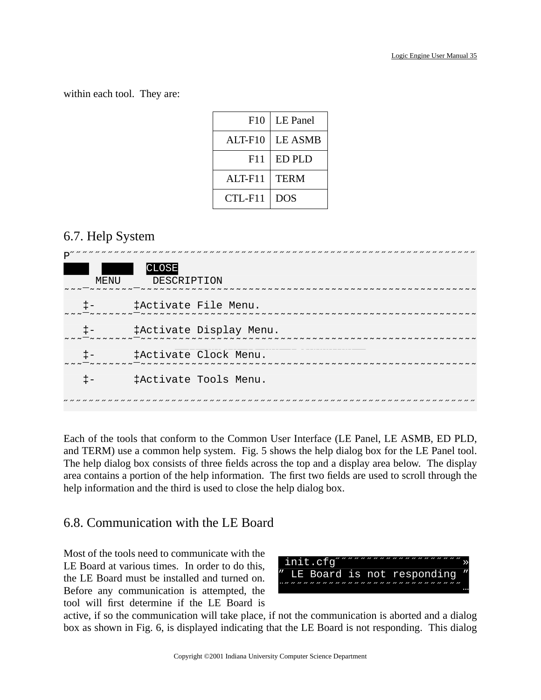within each tool. They are:

|         | $F10$   LE Panel |
|---------|------------------|
| ALT-F10 | <b>LE ASMB</b>   |
| F11     | <b>ED PLD</b>    |
| ALT-F11 | <b>TERM</b>      |
| CTL-F11 | <b>DOS</b>       |

## 6.7. Help System

|              | ,,,,,,,,,,,,,,,,,,,,,,,,, |
|--------------|---------------------------|
|              | CLOSE                     |
| <b>MENU</b>  | DESCRIPTION               |
|              |                           |
| $\pm$ $-$    | #Activate File Menu.      |
|              |                           |
| $\ddagger$ - | #Activate Display Menu.   |
|              |                           |
| $\pm$ $-$    | #Activate Clock Menu.     |
|              |                           |
|              | #Activate Tools Menu.     |
|              |                           |
|              |                           |

Each of the tools that conform to the Common User Interface (LE Panel, LE ASMB, ED PLD, and TERM) use a common help system. Fig. 5 shows the help dialog box for the LE Panel tool. The help dialog box consists of three fields across the top and a display area below. The display area contains a portion of the help information. The first two fields are used to scroll through the help information and the third is used to close the help dialog box.

#### 6.8. Communication with the LE Board

Most of the tools need to communicate with the LE Board at various times. In order to do this, the LE Board must be installed and turned on. Before any communication is attempted, the tool will first determine if the LE Board is



active, if so the communication will take place, if not the communication is aborted and a dialog box as shown in Fig. 6, is displayed indicating that the LE Board is not responding. This dialog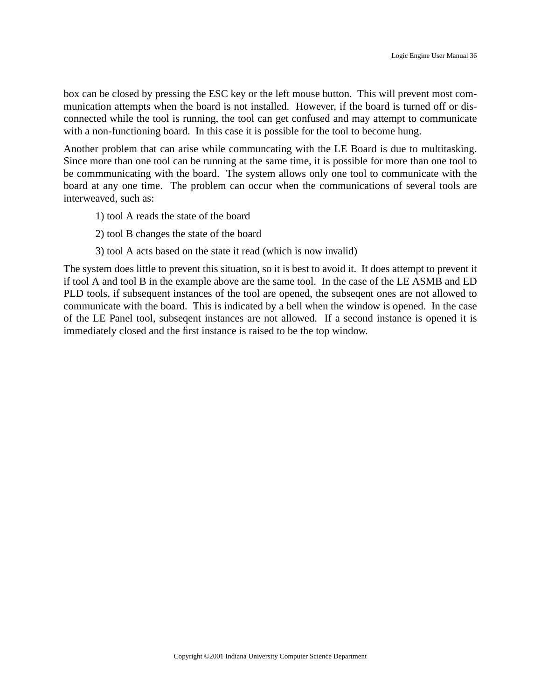box can be closed by pressing the ESC key or the left mouse button. This will prevent most communication attempts when the board is not installed. However, if the board is turned off or disconnected while the tool is running, the tool can get confused and may attempt to communicate with a non-functioning board. In this case it is possible for the tool to become hung.

Another problem that can arise while communcating with the LE Board is due to multitasking. Since more than one tool can be running at the same time, it is possible for more than one tool to be commmunicating with the board. The system allows only one tool to communicate with the board at any one time. The problem can occur when the communications of several tools are interweaved, such as:

- 1) tool A reads the state of the board
- 2) tool B changes the state of the board
- 3) tool A acts based on the state it read (which is now invalid)

The system does little to prevent this situation, so it is best to avoid it. It does attempt to prevent it if tool A and tool B in the example above are the same tool. In the case of the LE ASMB and ED PLD tools, if subsequent instances of the tool are opened, the subseqent ones are not allowed to communicate with the board. This is indicated by a bell when the window is opened. In the case of the LE Panel tool, subseqent instances are not allowed. If a second instance is opened it is immediately closed and the first instance is raised to be the top window.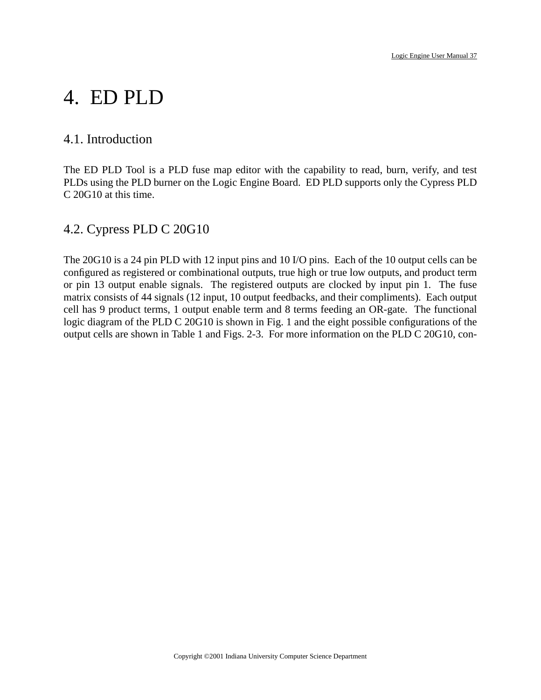# 4. ED PLD

### 4.1. Introduction

The ED PLD Tool is a PLD fuse map editor with the capability to read, burn, verify, and test PLDs using the PLD burner on the Logic Engine Board. ED PLD supports only the Cypress PLD C 20G10 at this time.

## 4.2. Cypress PLD C 20G10

The 20G10 is a 24 pin PLD with 12 input pins and 10 I/O pins. Each of the 10 output cells can be configured as registered or combinational outputs, true high or true low outputs, and product term or pin 13 output enable signals. The registered outputs are clocked by input pin 1. The fuse matrix consists of 44 signals (12 input, 10 output feedbacks, and their compliments). Each output cell has 9 product terms, 1 output enable term and 8 terms feeding an OR-gate. The functional logic diagram of the PLD C 20G10 is shown in Fig. 1 and the eight possible configurations of the output cells are shown in Table 1 and Figs. 2-3. For more information on the PLD C 20G10, con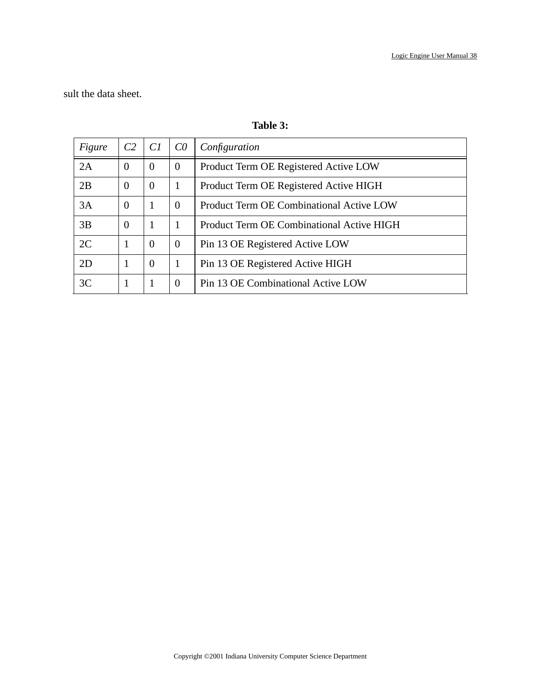sult the data sheet.

| Figure | C <sub>2</sub> | C <sub>1</sub> | CO       | Configuration                             |  |  |  |
|--------|----------------|----------------|----------|-------------------------------------------|--|--|--|
| 2A     | $\Omega$       | $\theta$       | $\theta$ | Product Term OE Registered Active LOW     |  |  |  |
| 2B     | $\overline{0}$ | $\overline{0}$ |          | Product Term OE Registered Active HIGH    |  |  |  |
| 3A     | $\Omega$       | $\mathbf{1}$   | $\Omega$ | Product Term OE Combinational Active LOW  |  |  |  |
| 3B     | $\overline{0}$ |                |          | Product Term OE Combinational Active HIGH |  |  |  |
| 2C     | 1              | $\Omega$       | $\Omega$ | Pin 13 OE Registered Active LOW           |  |  |  |
| 2D     | 1              | $\theta$       |          | Pin 13 OE Registered Active HIGH          |  |  |  |
| 3C     | 1              |                | $\Omega$ | Pin 13 OE Combinational Active LOW        |  |  |  |

**Table 3:**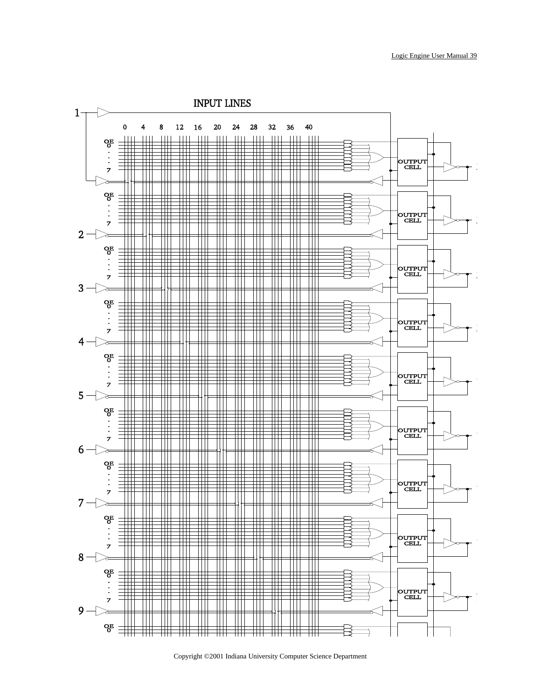

Copyright ©2001 Indiana University Computer Science Department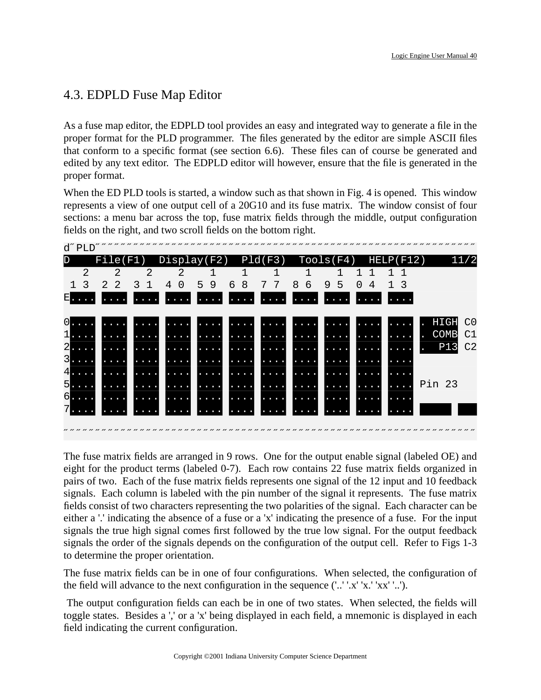## 4.3. EDPLD Fuse Map Editor

As a fuse map editor, the EDPLD tool provides an easy and integrated way to generate a file in the proper format for the PLD programmer. The files generated by the editor are simple ASCII files that conform to a specific format (see section 6.6). These files can of course be generated and edited by any text editor. The EDPLD editor will however, ensure that the file is generated in the proper format.

When the ED PLD tools is started, a window such as that shown in Fig. 4 is opened. This window represents a view of one output cell of a 20G10 and its fuse matrix. The window consist of four sections: a menu bar across the top, fuse matrix fields through the middle, output configuration fields on the right, and two scroll fields on the bottom right.

|                | d″PLD          |                    |   |               |        |        |         |        |           |        |           |                              |
|----------------|----------------|--------------------|---|---------------|--------|--------|---------|--------|-----------|--------|-----------|------------------------------|
| D              |                | File(F1)           |   | Display(F2)   |        |        | P1d(F3) |        | Tools(F4) | HELP ( | FI2)      | 11/2                         |
|                | $\overline{2}$ | 2                  | 2 | 2             | 1      | 1      | 1       | 1      |           |        |           |                              |
| $\mathbf{1}$   | 3              | 2<br>$\mathcal{L}$ | 3 | $\Omega$<br>4 | 9<br>5 | 8<br>6 | 7<br>7  | 8<br>6 | 5<br>9    | 4<br>0 | - 3<br>1. |                              |
| E              |                |                    |   |               |        |        |         |        |           |        |           |                              |
|                |                |                    |   |               |        |        |         |        |           |        |           |                              |
|                |                |                    |   |               |        |        |         |        |           |        |           | HIGH<br>C0                   |
|                |                |                    |   |               |        |        |         |        |           |        |           | COMB<br>C1                   |
|                |                |                    |   |               |        |        |         |        |           |        |           | <b>P13</b><br>C <sub>2</sub> |
| $\overline{3}$ |                |                    |   |               |        |        |         |        |           |        |           |                              |
|                |                |                    |   |               |        |        |         |        |           |        |           |                              |
| 5 <sub>l</sub> |                |                    |   |               |        |        |         |        |           |        |           | Pin 23                       |
| 61             |                |                    |   |               |        |        |         |        |           |        |           |                              |
|                |                |                    |   |               |        |        |         |        |           |        |           |                              |
|                |                |                    |   |               |        |        |         |        |           |        |           |                              |

The fuse matrix fields are arranged in 9 rows. One for the output enable signal (labeled OE) and eight for the product terms (labeled 0-7). Each row contains 22 fuse matrix fields organized in pairs of two. Each of the fuse matrix fields represents one signal of the 12 input and 10 feedback signals. Each column is labeled with the pin number of the signal it represents. The fuse matrix fields consist of two characters representing the two polarities of the signal. Each character can be either a '.' indicating the absence of a fuse or a 'x' indicating the presence of a fuse. For the input signals the true high signal comes first followed by the true low signal. For the output feedback signals the order of the signals depends on the configuration of the output cell. Refer to Figs 1-3 to determine the proper orientation.

The fuse matrix fields can be in one of four configurations. When selected, the configuration of the field will advance to the next configuration in the sequence  $('..'x'x,'x,''x.'')$ .

The output configuration fields can each be in one of two states. When selected, the fields will toggle states. Besides a ',' or a 'x' being displayed in each field, a mnemonic is displayed in each field indicating the current configuration.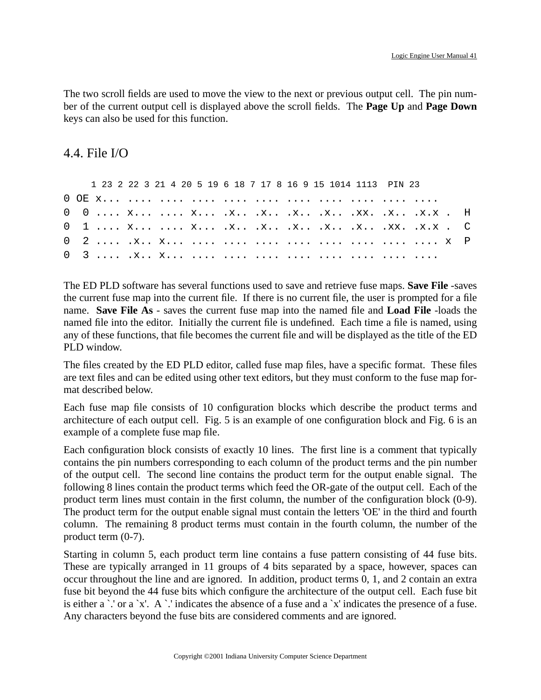The two scroll fields are used to move the view to the next or previous output cell. The pin number of the current output cell is displayed above the scroll fields. The **Page Up** and **Page Down** keys can also be used for this function.

## 4.4. File I/O

|  |  |  |  |  |  |  |  |  |  | 1 23 2 22 3 21 4 20 5 19 6 18 7 17 8 16 9 15 1014 1113 PIN 23 |                                                                                                                                                                                                                                                                                                                                                                                                                                                                                                                                                                       |  |
|--|--|--|--|--|--|--|--|--|--|---------------------------------------------------------------|-----------------------------------------------------------------------------------------------------------------------------------------------------------------------------------------------------------------------------------------------------------------------------------------------------------------------------------------------------------------------------------------------------------------------------------------------------------------------------------------------------------------------------------------------------------------------|--|
|  |  |  |  |  |  |  |  |  |  |                                                               |                                                                                                                                                                                                                                                                                                                                                                                                                                                                                                                                                                       |  |
|  |  |  |  |  |  |  |  |  |  |                                                               |                                                                                                                                                                                                                                                                                                                                                                                                                                                                                                                                                                       |  |
|  |  |  |  |  |  |  |  |  |  |                                                               | $0 \quad 1 \quad \ldots \quad x \ldots \quad \ldots \quad x \ldots \quad x \ldots \quad x \ldots \quad x \ldots \quad x \ldots \quad x \ldots \quad x \ldots \quad x \ldots \quad x \ldots \quad x \ldots \quad x \ldots \quad x \ldots \quad x \ldots \quad x \ldots \quad x \ldots \quad x \ldots \quad x \ldots \quad x \ldots \quad x \ldots \quad x \ldots \quad x \ldots \quad x \ldots \quad x \ldots \quad x \ldots \quad x \ldots \quad x \ldots \quad x \ldots \quad x \ldots \quad x \ldots \quad x \ldots \quad x \ldots \quad x \ldots \quad x \ldots \$ |  |
|  |  |  |  |  |  |  |  |  |  |                                                               |                                                                                                                                                                                                                                                                                                                                                                                                                                                                                                                                                                       |  |
|  |  |  |  |  |  |  |  |  |  |                                                               |                                                                                                                                                                                                                                                                                                                                                                                                                                                                                                                                                                       |  |

The ED PLD software has several functions used to save and retrieve fuse maps. **Save File** -saves the current fuse map into the current file. If there is no current file, the user is prompted for a file name. **Save File As** - saves the current fuse map into the named file and **Load File** -loads the named file into the editor. Initially the current file is undefined. Each time a file is named, using any of these functions, that file becomes the current file and will be displayed as the title of the ED PLD window.

The files created by the ED PLD editor, called fuse map files, have a specific format. These files are text files and can be edited using other text editors, but they must conform to the fuse map format described below.

Each fuse map file consists of 10 configuration blocks which describe the product terms and architecture of each output cell. Fig. 5 is an example of one configuration block and Fig. 6 is an example of a complete fuse map file.

Each configuration block consists of exactly 10 lines. The first line is a comment that typically contains the pin numbers corresponding to each column of the product terms and the pin number of the output cell. The second line contains the product term for the output enable signal. The following 8 lines contain the product terms which feed the OR-gate of the output cell. Each of the product term lines must contain in the first column, the number of the configuration block (0-9). The product term for the output enable signal must contain the letters 'OE' in the third and fourth column. The remaining 8 product terms must contain in the fourth column, the number of the product term (0-7).

Starting in column 5, each product term line contains a fuse pattern consisting of 44 fuse bits. These are typically arranged in 11 groups of 4 bits separated by a space, however, spaces can occur throughout the line and are ignored. In addition, product terms 0, 1, and 2 contain an extra fuse bit beyond the 44 fuse bits which configure the architecture of the output cell. Each fuse bit is either a `.' or a `x'. A `.' indicates the absence of a fuse and a `x' indicates the presence of a fuse. Any characters beyond the fuse bits are considered comments and are ignored.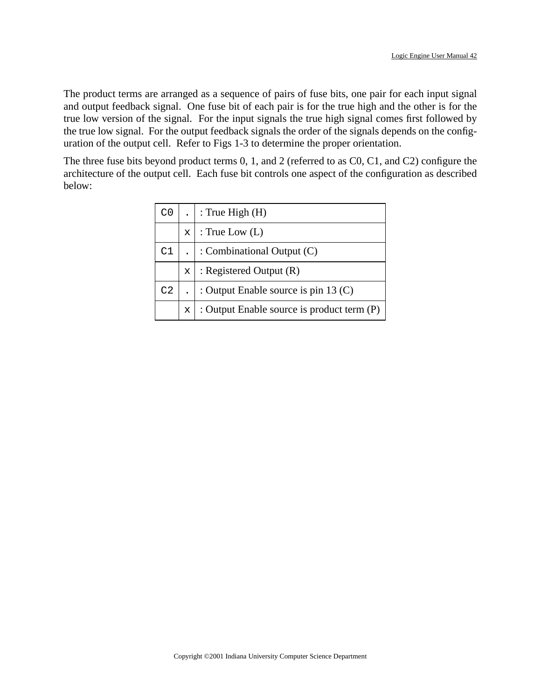The product terms are arranged as a sequence of pairs of fuse bits, one pair for each input signal and output feedback signal. One fuse bit of each pair is for the true high and the other is for the true low version of the signal. For the input signals the true high signal comes first followed by the true low signal. For the output feedback signals the order of the signals depends on the configuration of the output cell. Refer to Figs 1-3 to determine the proper orientation.

The three fuse bits beyond product terms 0, 1, and 2 (referred to as C0, C1, and C2) configure the architecture of the output cell. Each fuse bit controls one aspect of the configuration as described below:

| $CO$ . |   |                                            |
|--------|---|--------------------------------------------|
|        |   | : True High (H)                            |
|        |   | $x$ : True Low (L)                         |
| C1     |   | : Combinational Output $(C)$               |
|        | х | : Registered Output $(R)$                  |
| C2     |   | : Output Enable source is pin 13 (C)       |
|        | х | : Output Enable source is product term (P) |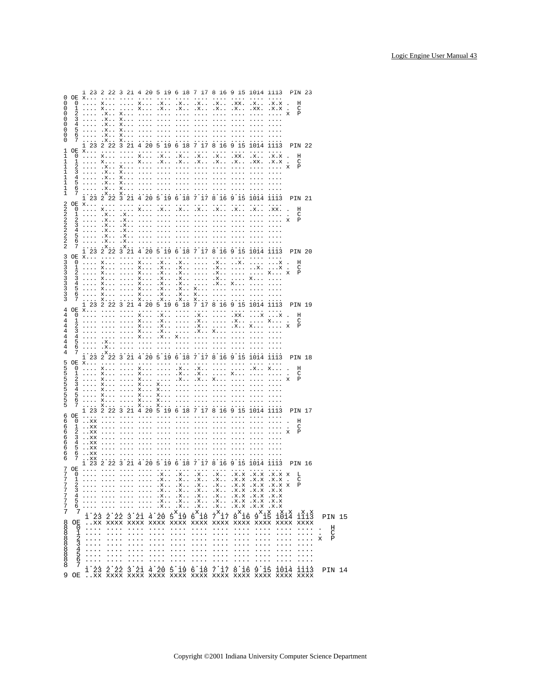| $\begin{smallmatrix}1&1&2&3&2&2&3&2&1&4&20&5&19&6&18&7&17&8&16&9&15\end{smallmatrix}$<br>3<br>$OE X$<br>$\mathcal{A}$ , and $\mathcal{A}$ , and $\mathcal{A}$ , and $\mathcal{A}$<br>$\sim$ $\sim$ $\sim$ $\sim$<br>$\sim$ $\sim$ $\sim$<br>$\frac{1}{3}$<br>$\ldots \ldots \quad {\tt X.} \ldots \quad \ldots \ldots \quad {\tt X.} \ldots$<br>$\,$ . $\,$ x<br>$\cdot$ . X .<br>0<br>$\cdot$ X $\cdot$ .<br>.x.<br>Η<br>$\sim 100$ km s $^{-1}$<br>. $\mathbf{x}$<br>$\sim$ $\sim$ $\sim$ $\sim$<br><b>WWWWWW</b><br>1<br>$\ldots$ X. $\ldots$ $\ldots$ X. $\ldots$<br>.x .x<br>$\ldots$ $\ldots$ $X \ldots$<br>$\sim 100$ km s $^{-1}$<br>С<br>$\ldots$ X .<br>$\ldots$ X $\ldots$<br>$\overline{a}$<br>$\ldots \quad \texttt{x} \ldots \quad \ldots \quad \texttt{x} \ldots \quad \texttt{x} \ldots \quad \texttt{x} \ldots$<br>$\ldots$ . $X \ldots$<br>$\cdots$ $\cdots$ $x \cdots x$<br>Ρ<br>$\frac{1}{3}$<br>X  X .X .X  .X  X<br>$\overline{4}$<br>$\ldots\quad X\ldots\quad X\ldots\quad X\ldots\quad X\ldots\quad \ldots\quad X\ldots\quad X\ldots\quad$<br>$\ldots$ X. $\ldots$<br>$\sim$ $\sim$ $\sim$ $\sim$<br>5<br>$\ldots$ X X X X X<br>$\ldots$ X.<br>$\alpha$ , $\alpha$ , $\alpha$<br>$\sim$ $\sim$ $\sim$<br>6<br>$\sim$ $\sim$ $\sim$<br>7<br>1014 1113<br><b>PIN 19</b><br>4 OE x<br>$\sim$ $\sim$ $\sim$<br>$\ldots$ $\ldots$ $\ldots$<br>4<br>$\cdot$ x. $\cdot$<br>$\ldots$<br>.xx.<br>0<br>$x \ldots$<br>Η<br>$\overline{4}$<br>1<br>$\ldots$ X, $\ldots$ $\ldots$ $\ldots$ $\ldots$ $\ldots$ $\ldots$<br>$\ldots \ldots \ldots \ldots \ldots \ldots \times \ldots$<br>.x  x<br>С<br>$\overline{\mathbf{c}}$<br>4<br>$\ldots \ldots \ldots \mathbf{x}, \ldots \ldots \ldots$<br>$\ldots$ X. $\ldots$ $\ldots$ .<br>Ρ<br>х<br>$\ldots$ x $\ldots$ $\ldots$<br>$\frac{3}{4}$<br>4<br>$\mathbb{R}^n \times \mathbb{R}^n \times \mathbb{R}^n \times \mathbb{R}^n \times \mathbb{R}^n$<br>$\alpha$ , $\alpha$ , $\alpha$<br>$\sim$ $\sim$ $\sim$ $\sim$<br>$\ldots. \quad \texttt{x} \ldots. \quad \texttt{x} \ldots \quad \texttt{x} \ldots$<br>4<br>$\mathcal{A}$ is a set of a set of $\mathcal{A}$<br>$\sim$ $\sim$ $\sim$<br>$\sim$ $\sim$ $\sim$ $\sim$<br>4<br>5<br>$\mathcal{A}$ is a set of the set of $\mathcal{A}$<br>$\sim 100$ km s $^{-1}$<br>$\alpha$ , $\alpha$ , $\alpha$ , $\alpha$ , $\alpha$ , $\alpha$<br>$\sim$ $\sim$ $\sim$<br>$\sim$ $\sim$ $\sim$ $\sim$ |
|----------------------------------------------------------------------------------------------------------------------------------------------------------------------------------------------------------------------------------------------------------------------------------------------------------------------------------------------------------------------------------------------------------------------------------------------------------------------------------------------------------------------------------------------------------------------------------------------------------------------------------------------------------------------------------------------------------------------------------------------------------------------------------------------------------------------------------------------------------------------------------------------------------------------------------------------------------------------------------------------------------------------------------------------------------------------------------------------------------------------------------------------------------------------------------------------------------------------------------------------------------------------------------------------------------------------------------------------------------------------------------------------------------------------------------------------------------------------------------------------------------------------------------------------------------------------------------------------------------------------------------------------------------------------------------------------------------------------------------------------------------------------------------------------------------------------------------------------------------------------------------------------------------------------------------------------------------------------------------------------------------------------------------------------------------------------------------------------------------------------------------------------------------------------------------------------------------------------------------------------------------------------------------------------------------------------------------------------------------------------------------------------------------|
|                                                                                                                                                                                                                                                                                                                                                                                                                                                                                                                                                                                                                                                                                                                                                                                                                                                                                                                                                                                                                                                                                                                                                                                                                                                                                                                                                                                                                                                                                                                                                                                                                                                                                                                                                                                                                                                                                                                                                                                                                                                                                                                                                                                                                                                                                                                                                                                                          |
| 1<br>1<br>. X. X.<br>. X. X. .<br>С<br>. X. .<br>. X. .<br>.x .xx.<br>.x.x.                                                                                                                                                                                                                                                                                                                                                                                                                                                                                                                                                                                                                                                                                                                                                                                                                                                                                                                                                                                                                                                                                                                                                                                                                                                                                                                                                                                                                                                                                                                                                                                                                                                                                                                                                                                                                                                                                                                                                                                                                                                                                                                                                                                                                                                                                                                              |

15

 $14$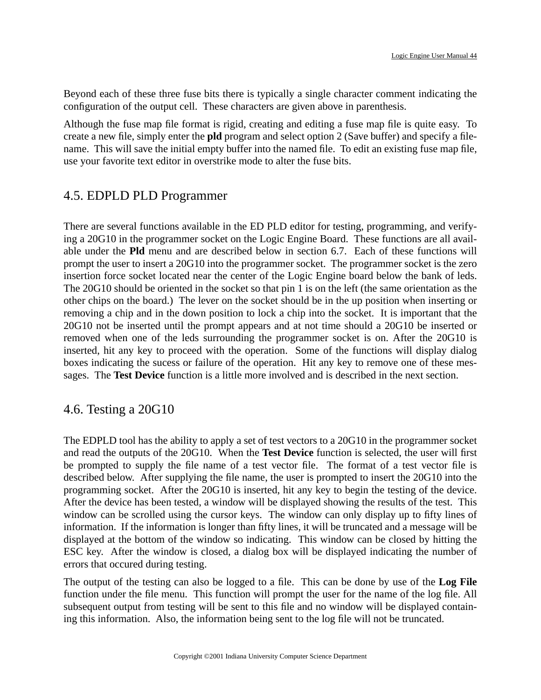Beyond each of these three fuse bits there is typically a single character comment indicating the configuration of the output cell. These characters are given above in parenthesis.

Although the fuse map file format is rigid, creating and editing a fuse map file is quite easy. To create a new file, simply enter the **pld** program and select option 2 (Save buffer) and specify a filename. This will save the initial empty buffer into the named file. To edit an existing fuse map file, use your favorite text editor in overstrike mode to alter the fuse bits.

## 4.5. EDPLD PLD Programmer

There are several functions available in the ED PLD editor for testing, programming, and verifying a 20G10 in the programmer socket on the Logic Engine Board. These functions are all available under the **Pld** menu and are described below in section 6.7. Each of these functions will prompt the user to insert a 20G10 into the programmer socket. The programmer socket is the zero insertion force socket located near the center of the Logic Engine board below the bank of leds. The 20G10 should be oriented in the socket so that pin 1 is on the left (the same orientation as the other chips on the board.) The lever on the socket should be in the up position when inserting or removing a chip and in the down position to lock a chip into the socket. It is important that the 20G10 not be inserted until the prompt appears and at not time should a 20G10 be inserted or removed when one of the leds surrounding the programmer socket is on. After the 20G10 is inserted, hit any key to proceed with the operation. Some of the functions will display dialog boxes indicating the sucess or failure of the operation. Hit any key to remove one of these messages. The **Test Device** function is a little more involved and is described in the next section.

## 4.6. Testing a 20G10

The EDPLD tool has the ability to apply a set of test vectors to a 20G10 in the programmer socket and read the outputs of the 20G10. When the **Test Device** function is selected, the user will first be prompted to supply the file name of a test vector file. The format of a test vector file is described below. After supplying the file name, the user is prompted to insert the 20G10 into the programming socket. After the 20G10 is inserted, hit any key to begin the testing of the device. After the device has been tested, a window will be displayed showing the results of the test. This window can be scrolled using the cursor keys. The window can only display up to fifty lines of information. If the information is longer than fifty lines, it will be truncated and a message will be displayed at the bottom of the window so indicating. This window can be closed by hitting the ESC key. After the window is closed, a dialog box will be displayed indicating the number of errors that occured during testing.

The output of the testing can also be logged to a file. This can be done by use of the **Log File** function under the file menu. This function will prompt the user for the name of the log file. All subsequent output from testing will be sent to this file and no window will be displayed containing this information. Also, the information being sent to the log file will not be truncated.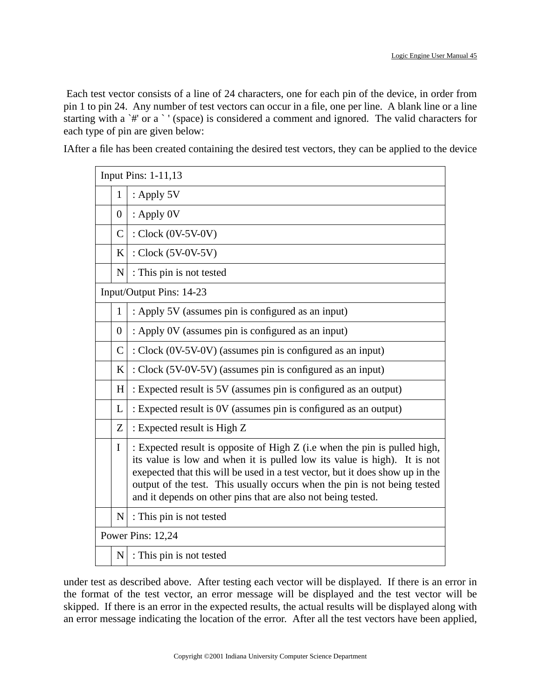Each test vector consists of a line of 24 characters, one for each pin of the device, in order from pin 1 to pin 24. Any number of test vectors can occur in a file, one per line. A blank line or a line starting with a `#' or a ` ' (space) is considered a comment and ignored. The valid characters for each type of pin are given below:

IAfter a file has been created containing the desired test vectors, they can be applied to the device

|                  | Input Pins: 1-11,13                                                                                                                                                                                                                                                                                                                                                                |
|------------------|------------------------------------------------------------------------------------------------------------------------------------------------------------------------------------------------------------------------------------------------------------------------------------------------------------------------------------------------------------------------------------|
| $\mathbf{1}$     | : Apply $5V$                                                                                                                                                                                                                                                                                                                                                                       |
| $\boldsymbol{0}$ | : Apply 0V                                                                                                                                                                                                                                                                                                                                                                         |
| $\mathcal{C}$    | : Clock (0V-5V-0V)                                                                                                                                                                                                                                                                                                                                                                 |
| K                | : Clock (5V-0V-5V)                                                                                                                                                                                                                                                                                                                                                                 |
| $\mathbf N$      | : This pin is not tested                                                                                                                                                                                                                                                                                                                                                           |
|                  | Input/Output Pins: 14-23                                                                                                                                                                                                                                                                                                                                                           |
| $\mathbf{1}$     | : Apply 5V (assumes pin is configured as an input)                                                                                                                                                                                                                                                                                                                                 |
| $\overline{0}$   | : Apply 0V (assumes pin is configured as an input)                                                                                                                                                                                                                                                                                                                                 |
| $\mathcal{C}$    | : Clock (0V-5V-0V) (assumes pin is configured as an input)                                                                                                                                                                                                                                                                                                                         |
| K                | : Clock (5V-0V-5V) (assumes pin is configured as an input)                                                                                                                                                                                                                                                                                                                         |
| H                | : Expected result is 5V (assumes pin is configured as an output)                                                                                                                                                                                                                                                                                                                   |
| L                | : Expected result is 0V (assumes pin is configured as an output)                                                                                                                                                                                                                                                                                                                   |
| Z                | : Expected result is High Z                                                                                                                                                                                                                                                                                                                                                        |
| $\mathbf I$      | : Expected result is opposite of High Z (i.e when the pin is pulled high,<br>its value is low and when it is pulled low its value is high). It is not<br>exepected that this will be used in a test vector, but it does show up in the<br>output of the test. This usually occurs when the pin is not being tested<br>and it depends on other pins that are also not being tested. |
| N                | : This pin is not tested                                                                                                                                                                                                                                                                                                                                                           |
|                  | Power Pins: 12,24                                                                                                                                                                                                                                                                                                                                                                  |
| N                | : This pin is not tested                                                                                                                                                                                                                                                                                                                                                           |

under test as described above. After testing each vector will be displayed. If there is an error in the format of the test vector, an error message will be displayed and the test vector will be skipped. If there is an error in the expected results, the actual results will be displayed along with an error message indicating the location of the error. After all the test vectors have been applied,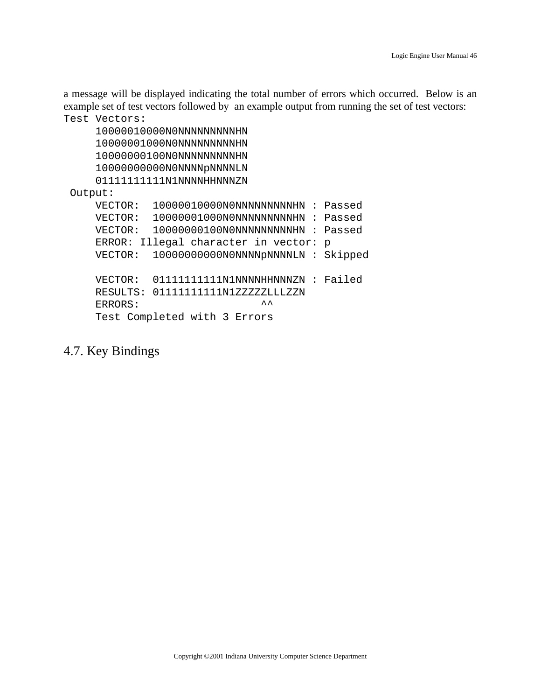a message will be displayed indicating the total number of errors which occurred. Below is an example set of test vectors followed by an example output from running the set of test vectors: Test Vectors:

```
10000010000N0NNNNNNNNNHN
    10000001000N0NNNNNNNNNHN
    10000000100N0NNNNNNNNNHN
    10000000000N0NNNNpNNNNLN
    01111111111N1NNNNHHNNNZN
 Output:
    VECTOR: 10000010000N0NNNNNNNNNHN : Passed
    VECTOR: 10000001000N0NNNNNNNNNHN : Passed
    VECTOR: 10000000100N0NNNNNNNNNHN : Passed
    ERROR: Illegal character in vector: p
    VECTOR: 10000000000N0NNNNpNNNNLN : Skipped
    VECTOR: 01111111111N1NNNNHHNNNZN : Failed
    RESULTS: 01111111111N1ZZZZZLLLZZN
    ERRORS: \overline{\phantom{a}} \overline{\phantom{a}}Test Completed with 3 Errors
```
#### 4.7. Key Bindings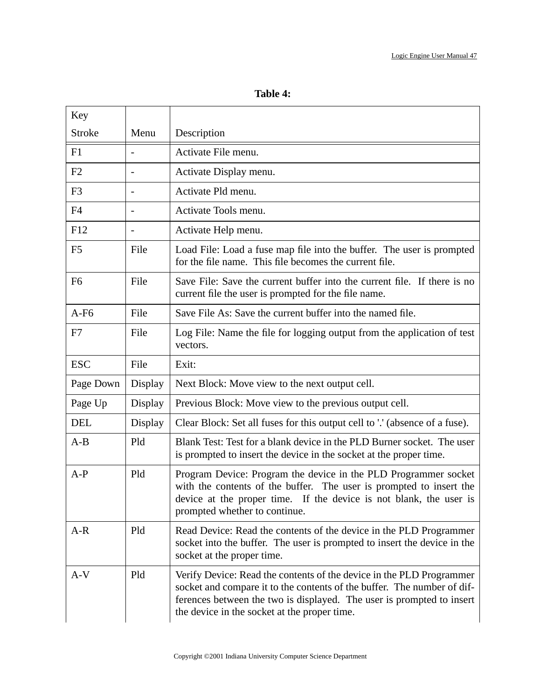**Table 4:**

| Key            |                          |                                                                                                                                                                                                                                                                          |  |  |  |  |  |
|----------------|--------------------------|--------------------------------------------------------------------------------------------------------------------------------------------------------------------------------------------------------------------------------------------------------------------------|--|--|--|--|--|
| <b>Stroke</b>  | Menu                     | Description                                                                                                                                                                                                                                                              |  |  |  |  |  |
| F1             |                          | Activate File menu.                                                                                                                                                                                                                                                      |  |  |  |  |  |
| F2             | $\overline{\phantom{a}}$ | Activate Display menu.                                                                                                                                                                                                                                                   |  |  |  |  |  |
| F <sub>3</sub> |                          | Activate Pld menu.                                                                                                                                                                                                                                                       |  |  |  |  |  |
| F <sub>4</sub> |                          | Activate Tools menu.                                                                                                                                                                                                                                                     |  |  |  |  |  |
| F12            | $\overline{\phantom{a}}$ | Activate Help menu.                                                                                                                                                                                                                                                      |  |  |  |  |  |
| F <sub>5</sub> | File                     | Load File: Load a fuse map file into the buffer. The user is prompted<br>for the file name. This file becomes the current file.                                                                                                                                          |  |  |  |  |  |
| F <sub>6</sub> | File                     | Save File: Save the current buffer into the current file. If there is no<br>current file the user is prompted for the file name.                                                                                                                                         |  |  |  |  |  |
| $A-F6$         | File                     | Save File As: Save the current buffer into the named file.                                                                                                                                                                                                               |  |  |  |  |  |
| F7             | File                     | Log File: Name the file for logging output from the application of test<br>vectors.                                                                                                                                                                                      |  |  |  |  |  |
| <b>ESC</b>     | File                     | Exit:                                                                                                                                                                                                                                                                    |  |  |  |  |  |
| Page Down      | Display                  | Next Block: Move view to the next output cell.                                                                                                                                                                                                                           |  |  |  |  |  |
| Page Up        | Display                  | Previous Block: Move view to the previous output cell.                                                                                                                                                                                                                   |  |  |  |  |  |
| <b>DEL</b>     | Display                  | Clear Block: Set all fuses for this output cell to '.' (absence of a fuse).                                                                                                                                                                                              |  |  |  |  |  |
| $A-B$          | Pld                      | Blank Test: Test for a blank device in the PLD Burner socket. The user<br>is prompted to insert the device in the socket at the proper time.                                                                                                                             |  |  |  |  |  |
| $A-P$<br>Pld   |                          | Program Device: Program the device in the PLD Programmer socket<br>with the contents of the buffer. The user is prompted to insert the<br>device at the proper time. If the device is not blank, the user is<br>prompted whether to continue.                            |  |  |  |  |  |
| $A-R$          | Pld                      | Read Device: Read the contents of the device in the PLD Programmer<br>socket into the buffer. The user is prompted to insert the device in the<br>socket at the proper time.                                                                                             |  |  |  |  |  |
| $A-V$          | Pld                      | Verify Device: Read the contents of the device in the PLD Programmer<br>socket and compare it to the contents of the buffer. The number of dif-<br>ferences between the two is displayed. The user is prompted to insert<br>the device in the socket at the proper time. |  |  |  |  |  |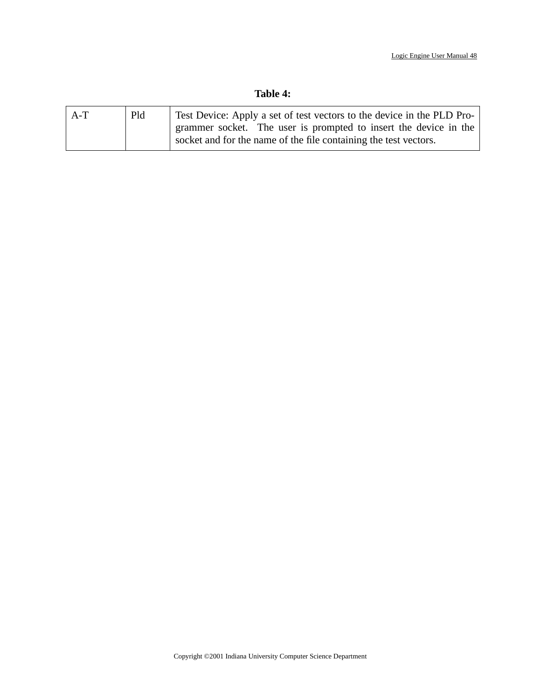#### **Table 4:**

| $A-T$ | Pld | Test Device: Apply a set of test vectors to the device in the PLD Pro- |
|-------|-----|------------------------------------------------------------------------|
|       |     | grammer socket. The user is prompted to insert the device in the       |
|       |     | socket and for the name of the file containing the test vectors.       |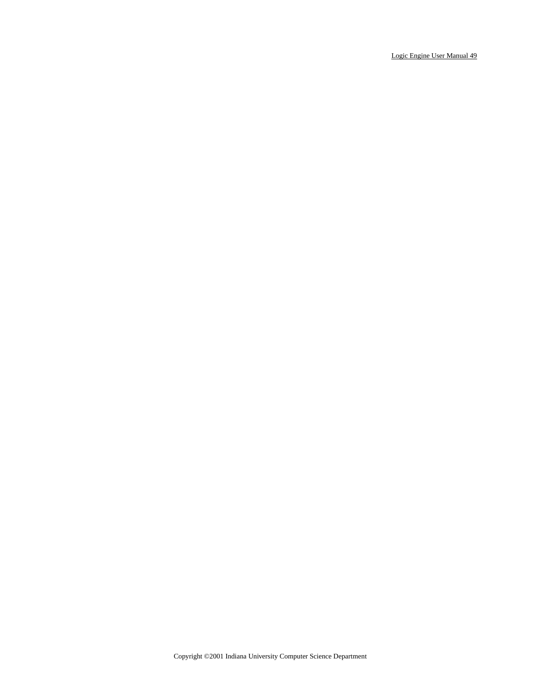Logic Engine User Manual 49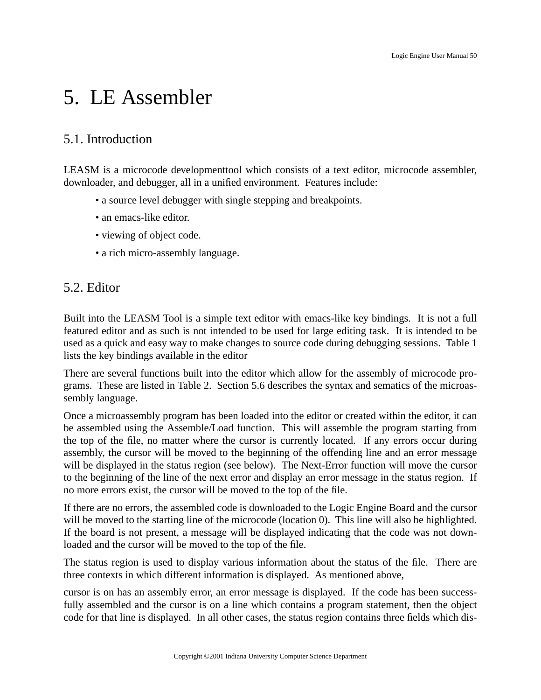# 5. LE Assembler

## 5.1. Introduction

LEASM is a microcode developmenttool which consists of a text editor, microcode assembler, downloader, and debugger, all in a unified environment. Features include:

- a source level debugger with single stepping and breakpoints.
- an emacs-like editor.
- viewing of object code.
- a rich micro-assembly language.

### 5.2. Editor

Built into the LEASM Tool is a simple text editor with emacs-like key bindings. It is not a full featured editor and as such is not intended to be used for large editing task. It is intended to be used as a quick and easy way to make changes to source code during debugging sessions. Table 1 lists the key bindings available in the editor

There are several functions built into the editor which allow for the assembly of microcode programs. These are listed in Table 2. Section 5.6 describes the syntax and sematics of the microassembly language.

Once a microassembly program has been loaded into the editor or created within the editor, it can be assembled using the Assemble/Load function. This will assemble the program starting from the top of the file, no matter where the cursor is currently located. If any errors occur during assembly, the cursor will be moved to the beginning of the offending line and an error message will be displayed in the status region (see below). The Next-Error function will move the cursor to the beginning of the line of the next error and display an error message in the status region. If no more errors exist, the cursor will be moved to the top of the file.

If there are no errors, the assembled code is downloaded to the Logic Engine Board and the cursor will be moved to the starting line of the microcode (location 0). This line will also be highlighted. If the board is not present, a message will be displayed indicating that the code was not downloaded and the cursor will be moved to the top of the file.

The status region is used to display various information about the status of the file. There are three contexts in which different information is displayed. As mentioned above,

cursor is on has an assembly error, an error message is displayed. If the code has been successfully assembled and the cursor is on a line which contains a program statement, then the object code for that line is displayed. In all other cases, the status region contains three fields which dis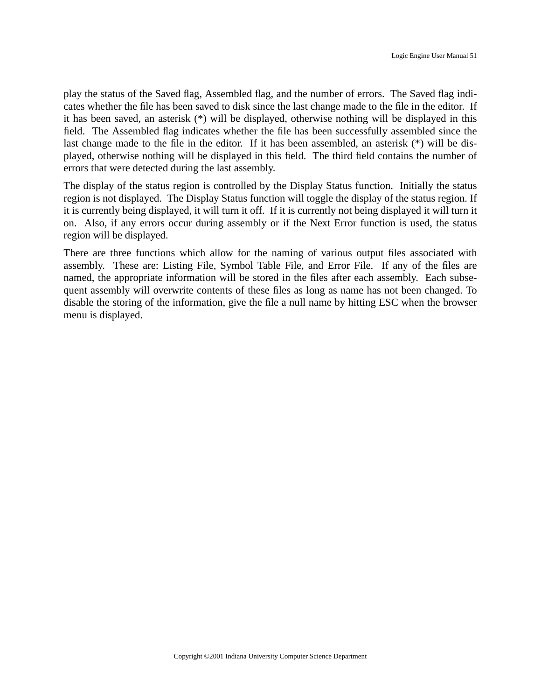play the status of the Saved flag, Assembled flag, and the number of errors. The Saved flag indicates whether the file has been saved to disk since the last change made to the file in the editor. If it has been saved, an asterisk (\*) will be displayed, otherwise nothing will be displayed in this field. The Assembled flag indicates whether the file has been successfully assembled since the last change made to the file in the editor. If it has been assembled, an asterisk (\*) will be displayed, otherwise nothing will be displayed in this field. The third field contains the number of errors that were detected during the last assembly.

The display of the status region is controlled by the Display Status function. Initially the status region is not displayed. The Display Status function will toggle the display of the status region. If it is currently being displayed, it will turn it off. If it is currently not being displayed it will turn it on. Also, if any errors occur during assembly or if the Next Error function is used, the status region will be displayed.

There are three functions which allow for the naming of various output files associated with assembly. These are: Listing File, Symbol Table File, and Error File. If any of the files are named, the appropriate information will be stored in the files after each assembly. Each subsequent assembly will overwrite contents of these files as long as name has not been changed. To disable the storing of the information, give the file a null name by hitting ESC when the browser menu is displayed.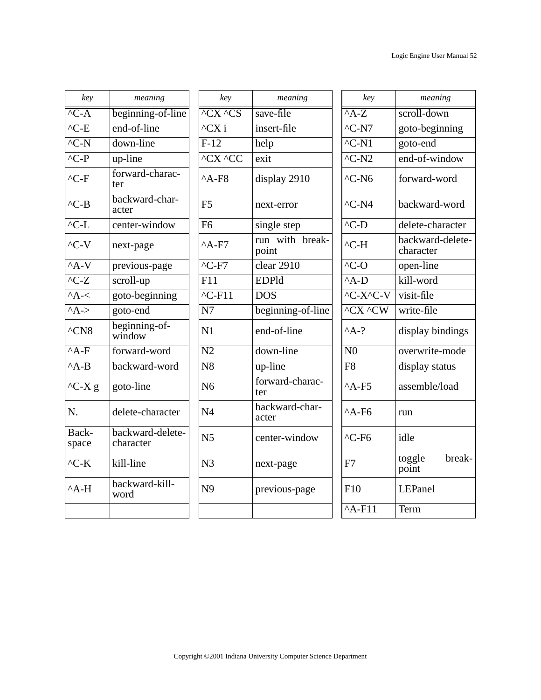| key                     | meaning                       | key                               | meaning                  | key                             | meaning                       |
|-------------------------|-------------------------------|-----------------------------------|--------------------------|---------------------------------|-------------------------------|
| $\overline{AC-A}$       | beginning-of-line             | $\overline{C}$ X $\overline{C}$ S | save-file                | $\sqrt{A-Z}$                    | scroll-down                   |
| $\overline{C-E}$        | end-of-line                   | ^CX i                             | insert-file              | $^{\wedge}$ C-N7                | goto-beginning                |
| $^{\wedge}$ C-N         | down-line                     | $F-12$                            | help                     | $^{\wedge}$ C-N1                | goto-end                      |
| $\overline{PC-P}$       | up-line                       | ^CX ^CC                           | exit                     | $^{\wedge}$ C-N <sub>2</sub>    | end-of-window                 |
| $^{\wedge}$ C-F         | forward-charac-<br>ter        | $^{\wedge}$ A-F8                  | display 2910             | $^{\wedge}$ C-N <sub>6</sub>    | forward-word                  |
| $^{\wedge}$ C-B         | backward-char-<br>acter       | F <sub>5</sub>                    | next-error               | $^{\wedge}$ C-N4                | backward-word                 |
| $^{\wedge}$ C-L         | center-window                 | F <sub>6</sub>                    | single step              | $^{\wedge}$ C-D                 | delete-character              |
| $^{\wedge}$ C-V         | next-page                     | $^{\wedge}$ A-F7                  | run with break-<br>point | $^{\wedge}$ C-H                 | backward-delete-<br>character |
| $^{\wedge}$ A-V         | previous-page                 | $^{\wedge}$ C-F7                  | clear $\overline{2910}$  | $^{\wedge}$ C-O                 | open-line                     |
| $^{\wedge}C-Z$          | scroll-up                     | F11                               | <b>EDPld</b>             | $^{\wedge}$ A-D                 | kill-word                     |
| $^{\wedge}$ A- $<$      | goto-beginning                | $^{\wedge}$ C-F11                 | <b>DOS</b>               | $^{\wedge}$ C-X $^{\wedge}$ C-V | $\overline{v}$ isit-file      |
| $^{\wedge}A\rightarrow$ | goto-end                      | N7                                | beginning-of-line        | ^CX ^CW                         | write-file                    |
| $^{\wedge}$ CN8         | beginning-of-<br>window       | N1                                | end-of-line              | $^{\wedge}$ A-?                 | display bindings              |
| $^{\wedge}$ A-F         | forward-word                  | N <sub>2</sub>                    | down-line                | N <sub>0</sub>                  | overwrite-mode                |
| $^{\wedge}$ A-B         | backward-word                 | N8                                | up-line                  | F <sub>8</sub>                  | display status                |
| ${}^{\wedge}C$ -X g     | goto-line                     | N <sub>6</sub>                    | forward-charac-<br>ter   | $^{\wedge}$ A-F <sub>5</sub>    | assemble/load                 |
| N.                      | delete-character              | N <sub>4</sub>                    | backward-char-<br>acter  | $^{\wedge}$ A-F6                | run                           |
| Back-<br>space          | backward-delete-<br>character | N <sub>5</sub>                    | center-window            | $^{\wedge}$ C-F <sub>6</sub>    | idle                          |
| $^{\wedge}$ C-K         | kill-line                     | N <sub>3</sub>                    | next-page                | F7                              | break-<br>toggle<br>point     |
| $^{\wedge}$ A-H         | backward-kill-<br>word        | N <sub>9</sub>                    | previous-page            | F10                             | LEPanel                       |
|                         |                               |                                   |                          | $^{\wedge}$ A-F11               | Term                          |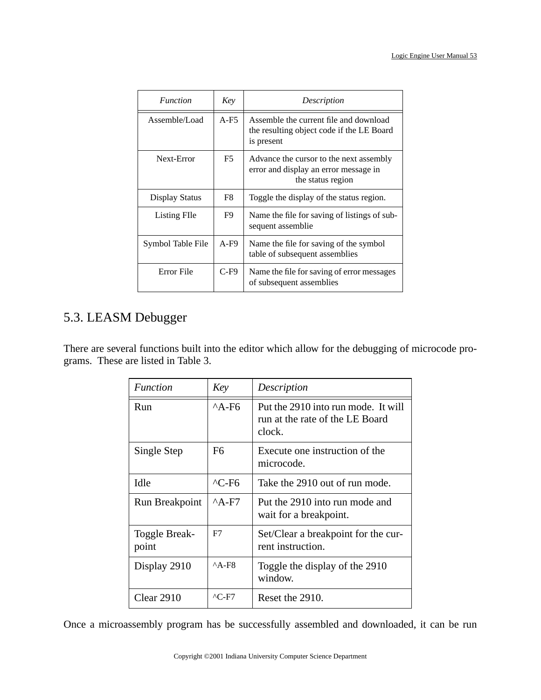| <i>Function</i>   | Key    | Description                                                                                           |  |
|-------------------|--------|-------------------------------------------------------------------------------------------------------|--|
| Assemble/Load     | $A-F5$ | Assemble the current file and download<br>the resulting object code if the LE Board<br>is present     |  |
| Next-Error        | F5     | Advance the cursor to the next assembly<br>error and display an error message in<br>the status region |  |
| Display Status    | F8     | Toggle the display of the status region.                                                              |  |
| Listing FIIe      | F9     | Name the file for saving of listings of sub-<br>sequent assemblie                                     |  |
| Symbol Table File | $A-F9$ | Name the file for saving of the symbol<br>table of subsequent assemblies                              |  |
| Error File        | $C-F9$ | Name the file for saving of error messages<br>of subsequent assemblies                                |  |

# 5.3. LEASM Debugger

There are several functions built into the editor which allow for the debugging of microcode programs. These are listed in Table 3.

| <b>Function</b>        | Key                          | Description                                                                      |
|------------------------|------------------------------|----------------------------------------------------------------------------------|
| Run                    | $^{\wedge}$ A-F6             | Put the 2910 into run mode. It will<br>run at the rate of the LE Board<br>clock. |
| Single Step            | F6                           | Execute one instruction of the<br>microcode.                                     |
| Idle                   | $AC-F6$                      | Take the 2910 out of run mode.                                                   |
| Run Breakpoint         | $^{\wedge}$ A-F7             | Put the 2910 into run mode and<br>wait for a breakpoint.                         |
| Toggle Break-<br>point | F7                           | Set/Clear a breakpoint for the cur-<br>rent instruction.                         |
| Display 2910           | $^{\wedge}$ A-F <sub>8</sub> | Toggle the display of the 2910<br>window.                                        |
| Clear 2910             | $AC-F7$                      | Reset the 2910.                                                                  |

Once a microassembly program has be successfully assembled and downloaded, it can be run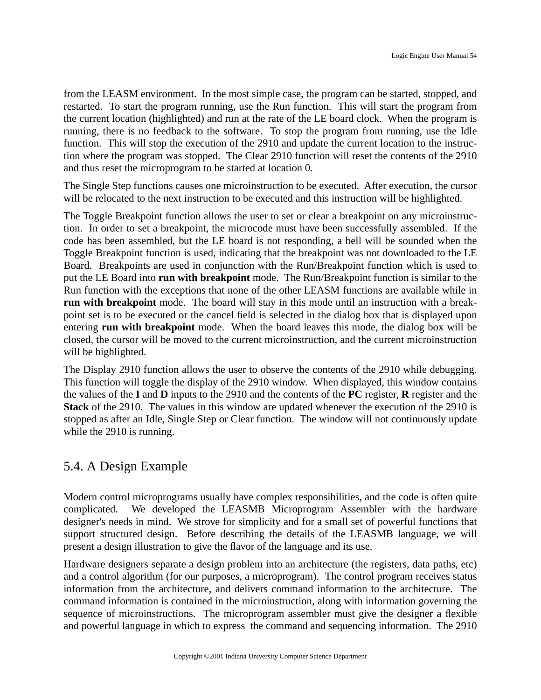from the LEASM environment. In the most simple case, the program can be started, stopped, and restarted. To start the program running, use the Run function. This will start the program from the current location (highlighted) and run at the rate of the LE board clock. When the program is running, there is no feedback to the software. To stop the program from running, use the Idle function. This will stop the execution of the 2910 and update the current location to the instruction where the program was stopped. The Clear 2910 function will reset the contents of the 2910 and thus reset the microprogram to be started at location 0.

The Single Step functions causes one microinstruction to be executed. After execution, the cursor will be relocated to the next instruction to be executed and this instruction will be highlighted.

The Toggle Breakpoint function allows the user to set or clear a breakpoint on any microinstruction. In order to set a breakpoint, the microcode must have been successfully assembled. If the code has been assembled, but the LE board is not responding, a bell will be sounded when the Toggle Breakpoint function is used, indicating that the breakpoint was not downloaded to the LE Board. Breakpoints are used in conjunction with the Run/Breakpoint function which is used to put the LE Board into **run with breakpoint** mode. The Run/Breakpoint function is similar to the Run function with the exceptions that none of the other LEASM functions are available while in **run with breakpoint** mode. The board will stay in this mode until an instruction with a breakpoint set is to be executed or the cancel field is selected in the dialog box that is displayed upon entering **run with breakpoint** mode. When the board leaves this mode, the dialog box will be closed, the cursor will be moved to the current microinstruction, and the current microinstruction will be highlighted.

The Display 2910 function allows the user to observe the contents of the 2910 while debugging. This function will toggle the display of the 2910 window. When displayed, this window contains the values of the **I** and **D** inputs to the 2910 and the contents of the **PC** register, **R** register and the **Stack** of the 2910. The values in this window are updated whenever the execution of the 2910 is stopped as after an Idle, Single Step or Clear function. The window will not continuously update while the 2910 is running.

## 5.4. A Design Example

Modern control microprograms usually have complex responsibilities, and the code is often quite complicated. We developed the LEASMB Microprogram Assembler with the hardware designer's needs in mind. We strove for simplicity and for a small set of powerful functions that support structured design. Before describing the details of the LEASMB language, we will present a design illustration to give the flavor of the language and its use.

Hardware designers separate a design problem into an architecture (the registers, data paths, etc) and a control algorithm (for our purposes, a microprogram). The control program receives status information from the architecture, and delivers command information to the architecture. The command information is contained in the microinstruction, along with information governing the sequence of microinstructions. The microprogram assembler must give the designer a flexible and powerful language in which to express the command and sequencing information. The 2910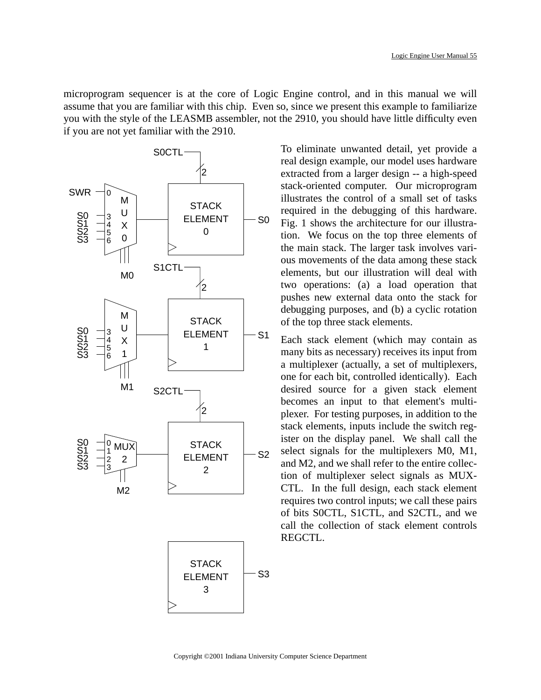microprogram sequencer is at the core of Logic Engine control, and in this manual we will assume that you are familiar with this chip. Even so, since we present this example to familiarize you with the style of the LEASMB assembler, not the 2910, you should have little difficulty even if you are not yet familiar with the 2910.



To eliminate unwanted detail, yet provide a real design example, our model uses hardware extracted from a larger design -- a high-speed stack-oriented computer. Our microprogram illustrates the control of a small set of tasks required in the debugging of this hardware. Fig. 1 shows the architecture for our illustration. We focus on the top three elements of the main stack. The larger task involves various movements of the data among these stack elements, but our illustration will deal with two operations: (a) a load operation that pushes new external data onto the stack for debugging purposes, and (b) a cyclic rotation of the top three stack elements.

Each stack element (which may contain as many bits as necessary) receives its input from a multiplexer (actually, a set of multiplexers, one for each bit, controlled identically). Each desired source for a given stack element becomes an input to that element's multiplexer. For testing purposes, in addition to the stack elements, inputs include the switch register on the display panel. We shall call the select signals for the multiplexers M0, M1, and M2, and we shall refer to the entire collection of multiplexer select signals as MUX-CTL. In the full design, each stack element requires two control inputs; we call these pairs of bits S0CTL, S1CTL, and S2CTL, and we call the collection of stack element controls REGCTL.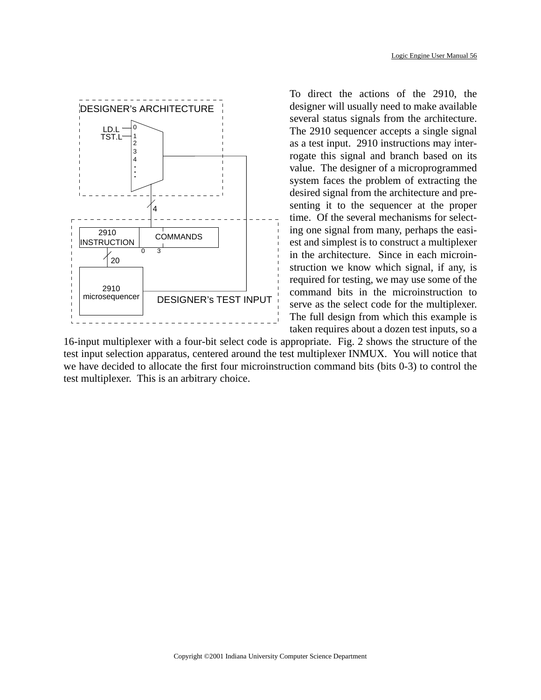

To direct the actions of the 2910, the designer will usually need to make available several status signals from the architecture. The 2910 sequencer accepts a single signal as a test input. 2910 instructions may interrogate this signal and branch based on its value. The designer of a microprogrammed system faces the problem of extracting the desired signal from the architecture and presenting it to the sequencer at the proper time. Of the several mechanisms for selecting one signal from many, perhaps the easiest and simplest is to construct a multiplexer in the architecture. Since in each microinstruction we know which signal, if any, is required for testing, we may use some of the command bits in the microinstruction to serve as the select code for the multiplexer. The full design from which this example is taken requires about a dozen test inputs, so a

16-input multiplexer with a four-bit select code is appropriate. Fig. 2 shows the structure of the test input selection apparatus, centered around the test multiplexer INMUX. You will notice that we have decided to allocate the first four microinstruction command bits (bits 0-3) to control the test multiplexer. This is an arbitrary choice.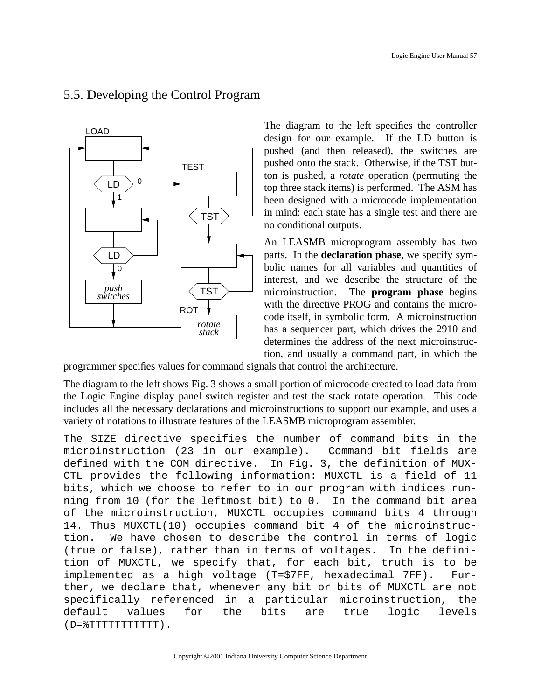

### 5.5. Developing the Control Program

The diagram to the left specifies the controller design for our example. If the LD button is pushed (and then released), the switches are pushed onto the stack. Otherwise, if the TST button is pushed, a *rotate* operation (permuting the top three stack items) is performed. The ASM has been designed with a microcode implementation in mind: each state has a single test and there are no conditional outputs.

An LEASMB microprogram assembly has two parts. In the **declaration phase**, we specify symbolic names for all variables and quantities of interest, and we describe the structure of the microinstruction. The **program phase** begins with the directive PROG and contains the microcode itself, in symbolic form. A microinstruction has a sequencer part, which drives the 2910 and determines the address of the next microinstruction, and usually a command part, in which the

programmer specifies values for command signals that control the architecture.

The diagram to the left shows Fig. 3 shows a small portion of microcode created to load data from the Logic Engine display panel switch register and test the stack rotate operation. This code includes all the necessary declarations and microinstructions to support our example, and uses a variety of notations to illustrate features of the LEASMB microprogram assembler.

The SIZE directive specifies the number of command bits in the microinstruction (23 in our example). Command bit fields are defined with the COM directive. In Fig. 3, the definition of MUX-CTL provides the following information: MUXCTL is a field of 11 bits, which we choose to refer to in our program with indices running from 10 (for the leftmost bit) to 0. In the command bit area of the microinstruction, MUXCTL occupies command bits 4 through 14. Thus MUXCTL(10) occupies command bit 4 of the microinstruction. We have chosen to describe the control in terms of logic (true or false), rather than in terms of voltages. In the definition of MUXCTL, we specify that, for each bit, truth is to be implemented as a high voltage (T=\$7FF, hexadecimal 7FF). Further, we declare that, whenever any bit or bits of MUXCTL are not specifically referenced in a particular microinstruction, the default values for the bits are true logic levels (D=%TTTTTTTTTTT).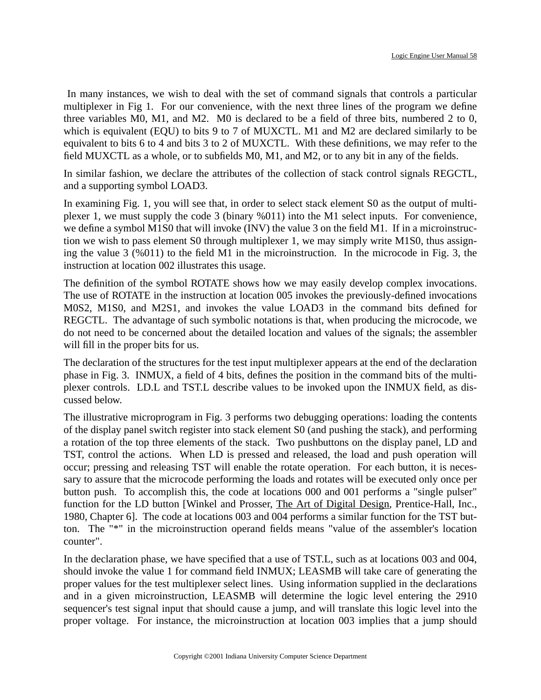In many instances, we wish to deal with the set of command signals that controls a particular multiplexer in Fig 1. For our convenience, with the next three lines of the program we define three variables M0, M1, and M2. M0 is declared to be a field of three bits, numbered 2 to 0, which is equivalent (EQU) to bits 9 to 7 of MUXCTL. M1 and M2 are declared similarly to be equivalent to bits 6 to 4 and bits 3 to 2 of MUXCTL. With these definitions, we may refer to the field MUXCTL as a whole, or to subfields M0, M1, and M2, or to any bit in any of the fields.

In similar fashion, we declare the attributes of the collection of stack control signals REGCTL, and a supporting symbol LOAD3.

In examining Fig. 1, you will see that, in order to select stack element S0 as the output of multiplexer 1, we must supply the code 3 (binary %011) into the M1 select inputs. For convenience, we define a symbol M1S0 that will invoke (INV) the value 3 on the field M1. If in a microinstruction we wish to pass element S0 through multiplexer 1, we may simply write M1S0, thus assigning the value 3 (%011) to the field M1 in the microinstruction. In the microcode in Fig. 3, the instruction at location 002 illustrates this usage.

The definition of the symbol ROTATE shows how we may easily develop complex invocations. The use of ROTATE in the instruction at location 005 invokes the previously-defined invocations M0S2, M1S0, and M2S1, and invokes the value LOAD3 in the command bits defined for REGCTL. The advantage of such symbolic notations is that, when producing the microcode, we do not need to be concerned about the detailed location and values of the signals; the assembler will fill in the proper bits for us.

The declaration of the structures for the test input multiplexer appears at the end of the declaration phase in Fig. 3. INMUX, a field of 4 bits, defines the position in the command bits of the multiplexer controls. LD.L and TST.L describe values to be invoked upon the INMUX field, as discussed below.

The illustrative microprogram in Fig. 3 performs two debugging operations: loading the contents of the display panel switch register into stack element S0 (and pushing the stack), and performing a rotation of the top three elements of the stack. Two pushbuttons on the display panel, LD and TST, control the actions. When LD is pressed and released, the load and push operation will occur; pressing and releasing TST will enable the rotate operation. For each button, it is necessary to assure that the microcode performing the loads and rotates will be executed only once per button push. To accomplish this, the code at locations 000 and 001 performs a "single pulser" function for the LD button [Winkel and Prosser, The Art of Digital Design, Prentice-Hall, Inc., 1980, Chapter 6]. The code at locations 003 and 004 performs a similar function for the TST button. The "\*" in the microinstruction operand fields means "value of the assembler's location counter".

In the declaration phase, we have specified that a use of TST.L, such as at locations 003 and 004, should invoke the value 1 for command field INMUX; LEASMB will take care of generating the proper values for the test multiplexer select lines. Using information supplied in the declarations and in a given microinstruction, LEASMB will determine the logic level entering the 2910 sequencer's test signal input that should cause a jump, and will translate this logic level into the proper voltage. For instance, the microinstruction at location 003 implies that a jump should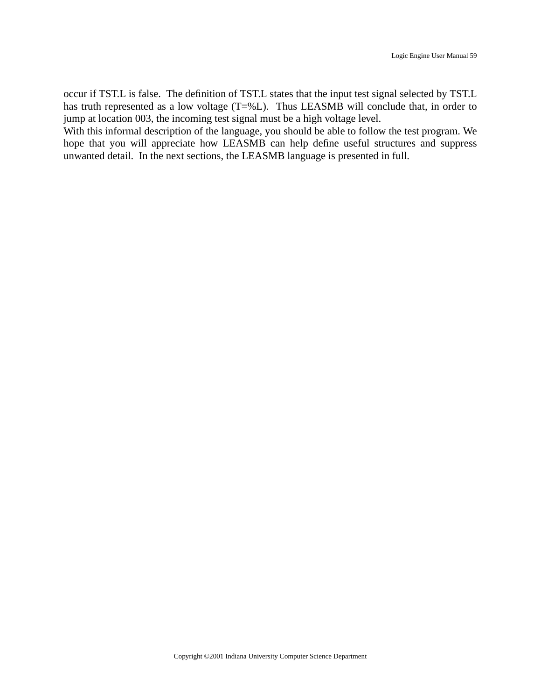occur if TST.L is false. The definition of TST.L states that the input test signal selected by TST.L has truth represented as a low voltage (T=%L). Thus LEASMB will conclude that, in order to jump at location 003, the incoming test signal must be a high voltage level.

With this informal description of the language, you should be able to follow the test program. We hope that you will appreciate how LEASMB can help define useful structures and suppress unwanted detail. In the next sections, the LEASMB language is presented in full.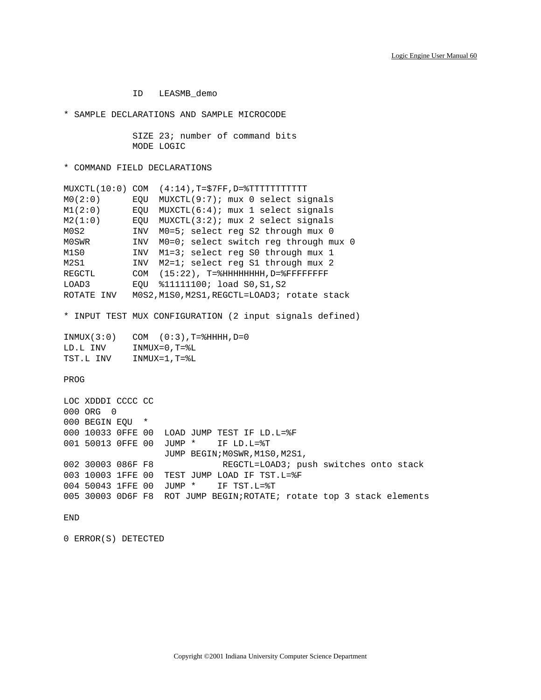ID LEASMB\_demo

\* SAMPLE DECLARATIONS AND SAMPLE MICROCODE

 SIZE 23; number of command bits MODE LOGIC

\* COMMAND FIELD DECLARATIONS

```
MUXCTL(10:0) COM (4:14),T=$7FF,D=%TTTTTTTTTTT
M0(2:0) EQU MUXCTL(9:7); mux 0 select signals
M1(2:0) EQU MUXCTL(6:4); mux 1 select signals
M2(1:0) EQU MUXCTL(3:2); mux 2 select signals
M0S2 INV M0=5; select reg S2 through mux 0
M0SWR INV M0=0; select switch reg through mux 0
M1S0 INV M1=3; select reg S0 through mux 1
M2S1 INV M2=1; select reg S1 through mux 2
REGCTL COM (15:22), T=%HHHHHHHH,D=%FFFFFFFF
LOAD3 EQU %11111100; load S0,S1,S2
ROTATE INV     MOS2, M1S0, M2S1, REGCTL=LOAD3; rotate stack
```
\* INPUT TEST MUX CONFIGURATION (2 input signals defined)

| INMUX(3:0) | $COM (0:3)$ .T= $\text{\textdegree}$ HHHH.D=0 |
|------------|-----------------------------------------------|
| LD.L INV   | INMUX=0,T=%L                                  |
| TST.L INV  | INMUX=1,T=%L                                  |

PROG

LOC XDDDI CCCC CC 000 ORG 0 000 BEGIN EQU \* 000 10033 0FFE 00 LOAD JUMP TEST IF LD.L=%F 001 50013 0FFE 00 JUMP \* IF LD.L=%T JUMP BEGIN; MOSWR, M1S0, M2S1, 002 30003 086F F8 REGCTL=LOAD3; push switches onto stack 003 10003 1FFE 00 TEST JUMP LOAD IF TST.L=%F 004 50043 1FFE 00 JUMP \* IF TST.L=%T 005 30003 0D6F F8 ROT JUMP BEGIN;ROTATE; rotate top 3 stack elements

END

0 ERROR(S) DETECTED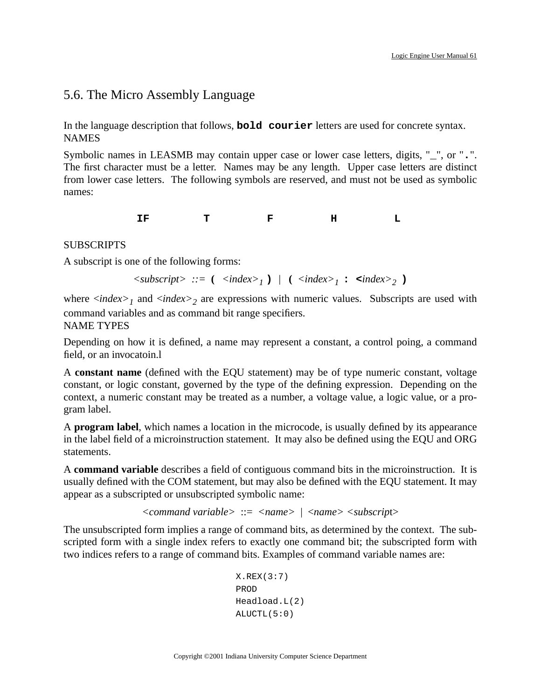### 5.6. The Micro Assembly Language

In the language description that follows, **bold courier** letters are used for concrete syntax. NAMES

Symbolic names in LEASMB may contain upper case or lower case letters, digits, "**\_**", or "**.**". The first character must be a letter. Names may be any length. Upper case letters are distinct from lower case letters. The following symbols are reserved, and must not be used as symbolic names:

**IF T F H L**

#### **SUBSCRIPTS**

A subscript is one of the following forms:

 $\langle$  *subscript>* ::=  $($   $\langle$  *index><sub>1</sub>*  $)$   $|$   $($   $\langle$  *index><sub>1</sub>* **:**  $\langle$  *index>*<sub>2</sub>  $)$ 

where  $\langle index \rangle_1$  and  $\langle index \rangle_2$  are expressions with numeric values. Subscripts are used with command variables and as command bit range specifiers.

#### NAME TYPES

Depending on how it is defined, a name may represent a constant, a control poing, a command field, or an invocatoin.l

A **constant name** (defined with the EQU statement) may be of type numeric constant, voltage constant, or logic constant, governed by the type of the defining expression. Depending on the context, a numeric constant may be treated as a number, a voltage value, a logic value, or a program label.

A **program label**, which names a location in the microcode, is usually defined by its appearance in the label field of a microinstruction statement. It may also be defined using the EQU and ORG statements.

A **command variable** describes a field of contiguous command bits in the microinstruction. It is usually defined with the COM statement, but may also be defined with the EQU statement. It may appear as a subscripted or unsubscripted symbolic name:

*<command variable>* ::= *<name>* | <*name> <subscrip*t>

The unsubscripted form implies a range of command bits, as determined by the context. The subscripted form with a single index refers to exactly one command bit; the subscripted form with two indices refers to a range of command bits. Examples of command variable names are:

```
X.REX(3:7)
PROD
Headload.L(2)
ALUCTL(5:0)
```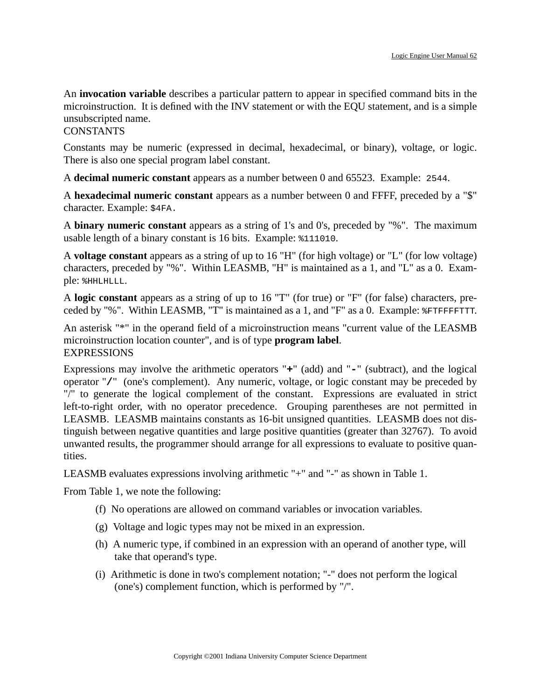An **invocation variable** describes a particular pattern to appear in specified command bits in the microinstruction. It is defined with the INV statement or with the EQU statement, and is a simple unsubscripted name.

#### **CONSTANTS**

Constants may be numeric (expressed in decimal, hexadecimal, or binary), voltage, or logic. There is also one special program label constant.

A **decimal numeric constant** appears as a number between 0 and 65523. Example: 2544.

A **hexadecimal numeric constant** appears as a number between 0 and FFFF, preceded by a "\$" character. Example: \$4FA.

A **binary numeric constant** appears as a string of 1's and 0's, preceded by "%". The maximum usable length of a binary constant is 16 bits. Example: %111010.

A **voltage constant** appears as a string of up to 16 "H" (for high voltage) or "L" (for low voltage) characters, preceded by "%". Within LEASMB, "H" is maintained as a 1, and "L" as a 0. Example: %HHLHLLL.

A **logic constant** appears as a string of up to 16 "T" (for true) or "F" (for false) characters, preceded by "%". Within LEASMB, "T" is maintained as a 1, and "F" as a 0. Example: %FTFFFFTTT.

An asterisk "\*" in the operand field of a microinstruction means "current value of the LEASMB microinstruction location counter", and is of type **program label**. EXPRESSIONS

Expressions may involve the arithmetic operators "**+**" (add) and "**-**" (subtract), and the logical operator "**/**" (one's complement). Any numeric, voltage, or logic constant may be preceded by "/" to generate the logical complement of the constant. Expressions are evaluated in strict left-to-right order, with no operator precedence. Grouping parentheses are not permitted in LEASMB. LEASMB maintains constants as 16-bit unsigned quantities. LEASMB does not distinguish between negative quantities and large positive quantities (greater than 32767). To avoid unwanted results, the programmer should arrange for all expressions to evaluate to positive quantities.

LEASMB evaluates expressions involving arithmetic "+" and "-" as shown in Table 1.

From Table 1, we note the following:

- (f) No operations are allowed on command variables or invocation variables.
- (g) Voltage and logic types may not be mixed in an expression.
- (h) A numeric type, if combined in an expression with an operand of another type, will take that operand's type.
- (i) Arithmetic is done in two's complement notation; "-" does not perform the logical (one's) complement function, which is performed by "/".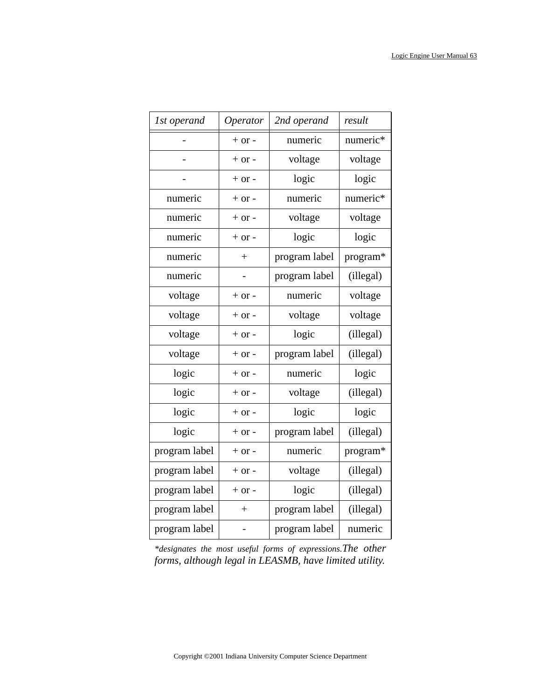| 1st operand   | Operator   | 2nd operand   | result    |
|---------------|------------|---------------|-----------|
|               | $+$ or $-$ | numeric       | numeric*  |
|               | $+$ or $-$ | voltage       | voltage   |
|               | $+$ or $-$ | logic         | logic     |
| numeric       | $+$ or $-$ | numeric       | numeric*  |
| numeric       | $+$ or $-$ | voltage       | voltage   |
| numeric       | $+$ or $-$ | logic         | logic     |
| numeric       | $+$        | program label | program*  |
| numeric       |            | program label | (illegal) |
| voltage       | $+$ or $-$ | numeric       | voltage   |
| voltage       | $+$ or $-$ | voltage       | voltage   |
| voltage       | $+$ or $-$ | logic         | (illegal) |
| voltage       | $+$ or $-$ | program label | (illegal) |
| logic         | $+$ or $-$ | numeric       | logic     |
| logic         | $+$ or $-$ | voltage       | (illegal) |
| logic         | $+$ or $-$ | logic         | logic     |
| logic         | $+$ or $-$ | program label | (illegal) |
| program label | $+$ or $-$ | numeric       | program*  |
| program label | $+$ or $-$ | voltage       | (illegal) |
| program label | $+$ or $-$ | logic         | (illegal) |
| program label | $^{+}$     | program label | (illegal) |
| program label |            | program label | numeric   |

*\*designates the most useful forms of expressions.The other forms, although legal in LEASMB, have limited utility.*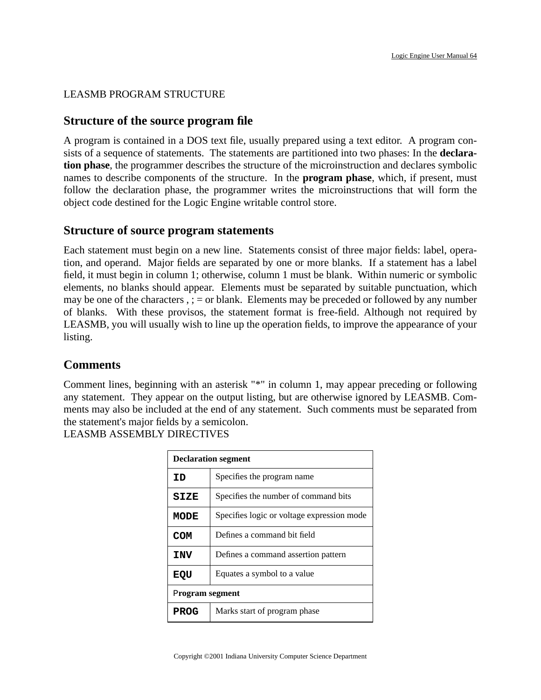#### LEASMB PROGRAM STRUCTURE

#### **Structure of the source program file**

A program is contained in a DOS text file, usually prepared using a text editor. A program consists of a sequence of statements. The statements are partitioned into two phases: In the **declaration phase**, the programmer describes the structure of the microinstruction and declares symbolic names to describe components of the structure. In the **program phase**, which, if present, must follow the declaration phase, the programmer writes the microinstructions that will form the object code destined for the Logic Engine writable control store.

#### **Structure of source program statements**

Each statement must begin on a new line. Statements consist of three major fields: label, operation, and operand. Major fields are separated by one or more blanks. If a statement has a label field, it must begin in column 1; otherwise, column 1 must be blank. Within numeric or symbolic elements, no blanks should appear. Elements must be separated by suitable punctuation, which may be one of the characters ,  $\chi =$  or blank. Elements may be preceded or followed by any number of blanks. With these provisos, the statement format is free-field. Although not required by LEASMB, you will usually wish to line up the operation fields, to improve the appearance of your listing.

#### **Comments**

Comment lines, beginning with an asterisk "\*" in column 1, may appear preceding or following any statement. They appear on the output listing, but are otherwise ignored by LEASMB. Comments may also be included at the end of any statement. Such comments must be separated from the statement's major fields by a semicolon.

LEASMB ASSEMBLY DIRECTIVES

| <b>Declaration segment</b> |                                            |  |  |
|----------------------------|--------------------------------------------|--|--|
| ΙD                         | Specifies the program name                 |  |  |
| SIZE                       | Specifies the number of command bits       |  |  |
| MODE                       | Specifies logic or voltage expression mode |  |  |
| <b>COM</b>                 | Defines a command bit field                |  |  |
| <b>INV</b>                 | Defines a command assertion pattern        |  |  |
| <b>EQU</b>                 | Equates a symbol to a value                |  |  |
| <b>Program segment</b>     |                                            |  |  |
| PROG                       | Marks start of program phase               |  |  |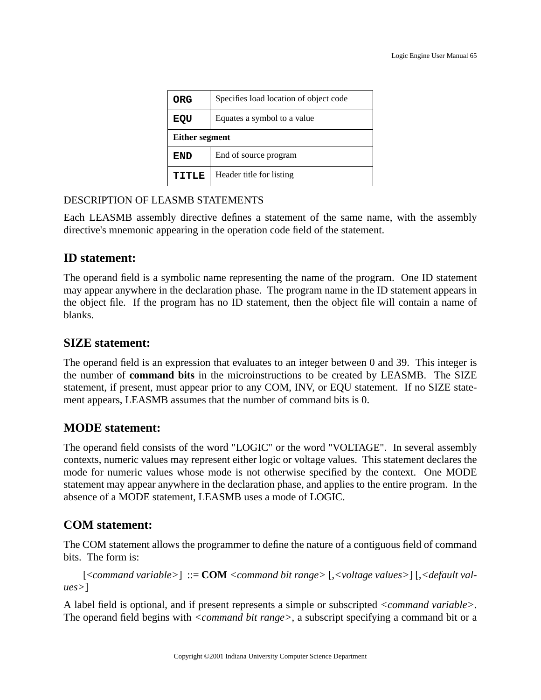| ORG                   | Specifies load location of object code |  |  |
|-----------------------|----------------------------------------|--|--|
| <b>EQU</b>            | Equates a symbol to a value            |  |  |
| <b>Either segment</b> |                                        |  |  |
| END                   | End of source program                  |  |  |
| <b>TITLE</b>          | Header title for listing               |  |  |

#### DESCRIPTION OF LEASMB STATEMENTS

Each LEASMB assembly directive defines a statement of the same name, with the assembly directive's mnemonic appearing in the operation code field of the statement.

#### **ID statement:**

The operand field is a symbolic name representing the name of the program. One ID statement may appear anywhere in the declaration phase. The program name in the ID statement appears in the object file. If the program has no ID statement, then the object file will contain a name of blanks.

### **SIZE statement:**

The operand field is an expression that evaluates to an integer between 0 and 39. This integer is the number of **command bits** in the microinstructions to be created by LEASMB. The SIZE statement, if present, must appear prior to any COM, INV, or EQU statement. If no SIZE statement appears, LEASMB assumes that the number of command bits is 0.

## **MODE statement:**

The operand field consists of the word "LOGIC" or the word "VOLTAGE". In several assembly contexts, numeric values may represent either logic or voltage values. This statement declares the mode for numeric values whose mode is not otherwise specified by the context. One MODE statement may appear anywhere in the declaration phase, and applies to the entire program. In the absence of a MODE statement, LEASMB uses a mode of LOGIC.

## **COM statement:**

The COM statement allows the programmer to define the nature of a contiguous field of command bits. The form is:

[<*command variable>*] ::= **COM** *<command bit range>* [,*<voltage values>*] [*,<default values>*]

A label field is optional, and if present represents a simple or subscripted *<command variable>.* The operand field begins with *<command bit range>*, a subscript specifying a command bit or a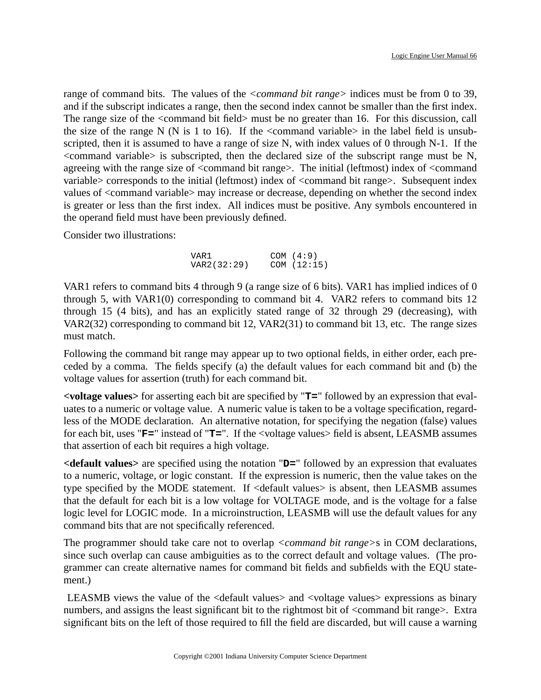range of command bits. The values of the *<command bit range>* indices must be from 0 to 39, and if the subscript indicates a range, then the second index cannot be smaller than the first index. The range size of the  $\leq$ command bit field $\geq$  must be no greater than 16. For this discussion, call the size of the range N (N is 1 to 16). If the  $\leq$ command variable $>$  in the label field is unsubscripted, then it is assumed to have a range of size N, with index values of 0 through N-1. If the  $\leq$ command variable $>$  is subscripted, then the declared size of the subscript range must be N, agreeing with the range size of <command bit range>. The initial (leftmost) index of <command variable> corresponds to the initial (leftmost) index of <command bit range>. Subsequent index values of <command variable> may increase or decrease, depending on whether the second index is greater or less than the first index. All indices must be positive. Any symbols encountered in the operand field must have been previously defined.

Consider two illustrations:

VAR1 COM (4:9) VAR2(32:29) COM (12:15)

VAR1 refers to command bits 4 through 9 (a range size of 6 bits). VAR1 has implied indices of 0 through 5, with VAR1(0) corresponding to command bit 4. VAR2 refers to command bits 12 through 15 (4 bits), and has an explicitly stated range of 32 through 29 (decreasing), with VAR2(32) corresponding to command bit 12, VAR2(31) to command bit 13, etc. The range sizes must match.

Following the command bit range may appear up to two optional fields, in either order, each preceded by a comma. The fields specify (a) the default values for each command bit and (b) the voltage values for assertion (truth) for each command bit.

**<voltage values>** for asserting each bit are specified by "**T=**" followed by an expression that evaluates to a numeric or voltage value. A numeric value is taken to be a voltage specification, regardless of the MODE declaration. An alternative notation, for specifying the negation (false) values for each bit, uses "**F=**" instead of "**T=**". If the <voltage values> field is absent, LEASMB assumes that assertion of each bit requires a high voltage.

**<default values>** are specified using the notation "**D=**" followed by an expression that evaluates to a numeric, voltage, or logic constant. If the expression is numeric, then the value takes on the type specified by the MODE statement. If <default values> is absent, then LEASMB assumes that the default for each bit is a low voltage for VOLTAGE mode, and is the voltage for a false logic level for LOGIC mode. In a microinstruction, LEASMB will use the default values for any command bits that are not specifically referenced.

The programmer should take care not to overlap *<command bit range>*s in COM declarations, since such overlap can cause ambiguities as to the correct default and voltage values. (The programmer can create alternative names for command bit fields and subfields with the EQU statement.)

LEASMB views the value of the <default values> and <voltage values> expressions as binary numbers, and assigns the least significant bit to the rightmost bit of  $\alpha$  command bit ranges. Extra significant bits on the left of those required to fill the field are discarded, but will cause a warning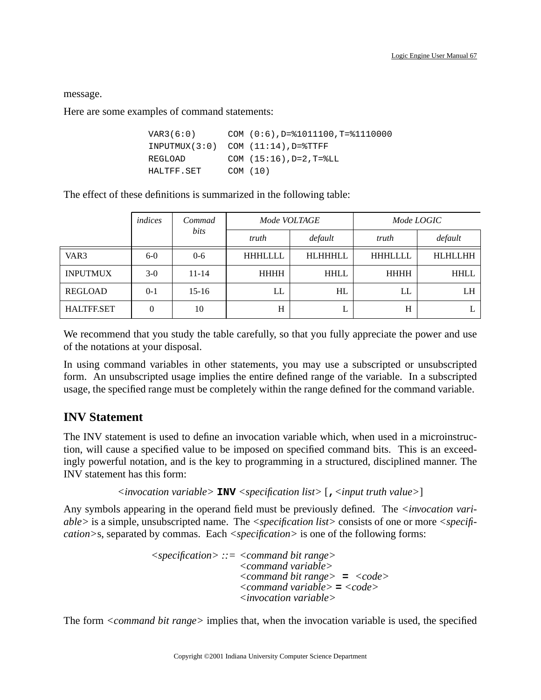message.

Here are some examples of command statements:

VAR3(6:0) COM (0:6),D=%1011100,T=%1110000 INPUTMUX(3:0) COM (11:14),D=%TTFF REGLOAD COM (15:16), D=2, T=%LL HALTFF.SET COM (10)

The effect of these definitions is summarized in the following table:

|                   | indices | Commad  | Mode VOLTAGE    |                | Mode LOGIC      |                |
|-------------------|---------|---------|-----------------|----------------|-----------------|----------------|
|                   |         | bits    | truth           | default        | truth           | default        |
| VAR3              | $6-0$   | $0 - 6$ | <b>HHHLLLLL</b> | <b>HLHHHLL</b> | <b>HHHLLLLL</b> | <b>HLHLLHH</b> |
| <b>INPUTMUX</b>   | $3-0$   | 11-14   | HHHH            | <b>HHLL</b>    | <b>HHHH</b>     | <b>HHLL</b>    |
| <b>REGLOAD</b>    | $0 - 1$ | $15-16$ | LL              | HL             | LL              | LH             |
| <b>HALTFF.SET</b> | 0       | 10      | H               | ட              | Н               |                |

We recommend that you study the table carefully, so that you fully appreciate the power and use of the notations at your disposal.

In using command variables in other statements, you may use a subscripted or unsubscripted form. An unsubscripted usage implies the entire defined range of the variable. In a subscripted usage, the specified range must be completely within the range defined for the command variable.

#### **INV Statement**

The INV statement is used to define an invocation variable which, when used in a microinstruction, will cause a specified value to be imposed on specified command bits. This is an exceedingly powerful notation, and is the key to programming in a structured, disciplined manner. The INV statement has this form:

```
<invocation variable> INV <specification list> [,<input truth value>]
```
Any symbols appearing in the operand field must be previously defined. The *<invocation variable>* is a simple, unsubscripted name. The *<specification list>* consists of one or more *<specification>*s, separated by commas. Each *<specification>* is one of the following forms:

> *<specification> ::= <command bit range> <command variable> <command bit range>* **=** *<code> <command variable>* **=** *<code> <invocation variable>*

The form *<command bit range>* implies that, when the invocation variable is used, the specified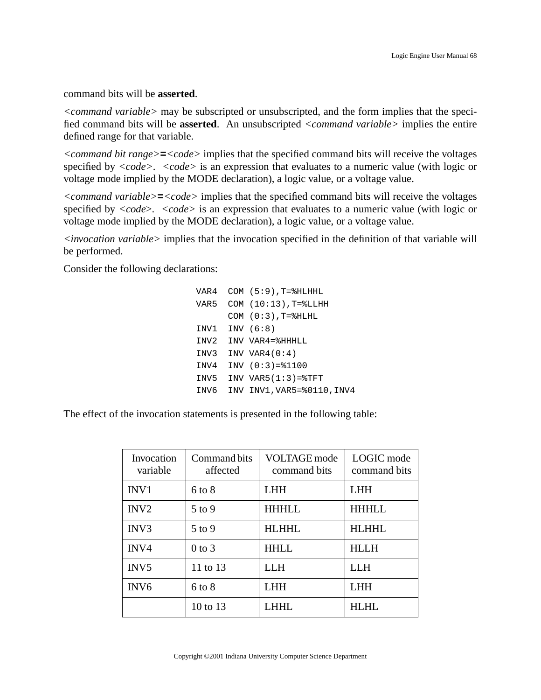#### command bits will be **asserted**.

*<command variable>* may be subscripted or unsubscripted, and the form implies that the specified command bits will be **asserted**. An unsubscripted *<command variable>* implies the entire defined range for that variable.

*<command bit range>***=***<code>* implies that the specified command bits will receive the voltages specified by  $\langle code \rangle$ .  $\langle code \rangle$  is an expression that evaluates to a numeric value (with logic or voltage mode implied by the MODE declaration), a logic value, or a voltage value.

*<command variable>***=***<code>* implies that the specified command bits will receive the voltages specified by *<code>*. *<code>* is an expression that evaluates to a numeric value (with logic or voltage mode implied by the MODE declaration), a logic value, or a voltage value.

*<invocation variable>* implies that the invocation specified in the definition of that variable will be performed.

Consider the following declarations:

| VAR4 | COM $(5:9)$ , T= $\$$ HLHHL |
|------|-----------------------------|
| VAR5 | COM $(10:13)$ , T= $\$LLHH$ |
|      | COM $(0:3)$ , T= $$HLHL$    |
| INV1 | INV $(6:8)$                 |
| INV2 | $INV$ $VAR4 =$ $HHHLL$      |
| INV3 | $INV$ $VAR4(0:4)$           |
| INV4 | $INV (0:3)=\$1100$          |
| INV5 | $INV$ $VAR5(1:3) =$ $TFT$   |
| INV6 | INV INV1, VAR5=%0110, INV4  |

The effect of the invocation statements is presented in the following table:

| Invocation<br>variable | Command bits<br>affected | <b>VOLTAGE</b> mode<br>command bits | LOGIC mode<br>command bits |
|------------------------|--------------------------|-------------------------------------|----------------------------|
| INV1                   | $6 \text{ to } 8$        | LHH                                 | LHH                        |
| INV <sub>2</sub>       | 5 to 9                   | <b>HHHLL</b>                        | <b>HHHLL</b>               |
| INV3                   | 5 to 9                   | <b>HLHHL</b>                        | <b>HLHHL</b>               |
| INV4                   | $0$ to $3$               | <b>HHLL</b>                         | <b>HLLH</b>                |
| INV <sub>5</sub>       | 11 to 13                 | <b>LLH</b>                          | <b>LLH</b>                 |
| INV <sub>6</sub>       | $6$ to $8$               | <b>LHH</b>                          | <b>LHH</b>                 |
|                        | 10 to 13                 | LHHL.                               | <b>HLHL</b>                |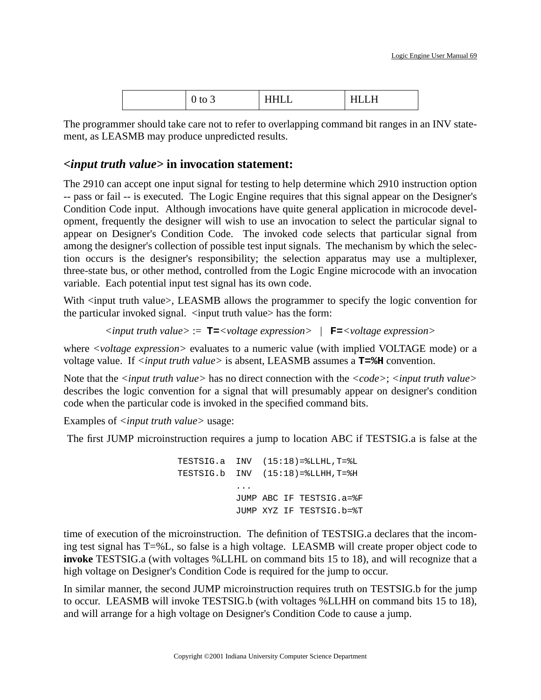|--|

The programmer should take care not to refer to overlapping command bit ranges in an INV statement, as LEASMB may produce unpredicted results.

### *<input truth value>* **in invocation statement:**

The 2910 can accept one input signal for testing to help determine which 2910 instruction option -- pass or fail -- is executed. The Logic Engine requires that this signal appear on the Designer's Condition Code input. Although invocations have quite general application in microcode development, frequently the designer will wish to use an invocation to select the particular signal to appear on Designer's Condition Code. The invoked code selects that particular signal from among the designer's collection of possible test input signals. The mechanism by which the selection occurs is the designer's responsibility; the selection apparatus may use a multiplexer, three-state bus, or other method, controlled from the Logic Engine microcode with an invocation variable. Each potential input test signal has its own code.

With  $\le$ input truth value>, LEASMB allows the programmer to specify the logic convention for the particular invoked signal. <input truth value> has the form:

*<input truth value>* := **T=***<voltage expression>* | **F=***<voltage expression>*

where *<voltage expression*> evaluates to a numeric value (with implied VOLTAGE mode) or a voltage value. If *<input truth value>* is absent, LEASMB assumes a **T=%H** convention.

Note that the *<input truth value>* has no direct connection with the *<code>*; *<input truth value>* describes the logic convention for a signal that will presumably appear on designer's condition code when the particular code is invoked in the specified command bits.

Examples of *<input truth value>* usage:

The first JUMP microinstruction requires a jump to location ABC if TESTSIG.a is false at the

TESTSIG.a INV (15:18)=%LLHL,T=%L TESTSIG.b INV (15:18)=%LLHH,T=%H ... JUMP ABC IF TESTSIG.a=%F JUMP XYZ IF TESTSIG.b=%T

time of execution of the microinstruction. The definition of TESTSIG.a declares that the incoming test signal has T=%L, so false is a high voltage. LEASMB will create proper object code to **invoke** TESTSIG.a (with voltages %LLHL on command bits 15 to 18), and will recognize that a high voltage on Designer's Condition Code is required for the jump to occur.

In similar manner, the second JUMP microinstruction requires truth on TESTSIG.b for the jump to occur. LEASMB will invoke TESTSIG.b (with voltages %LLHH on command bits 15 to 18), and will arrange for a high voltage on Designer's Condition Code to cause a jump.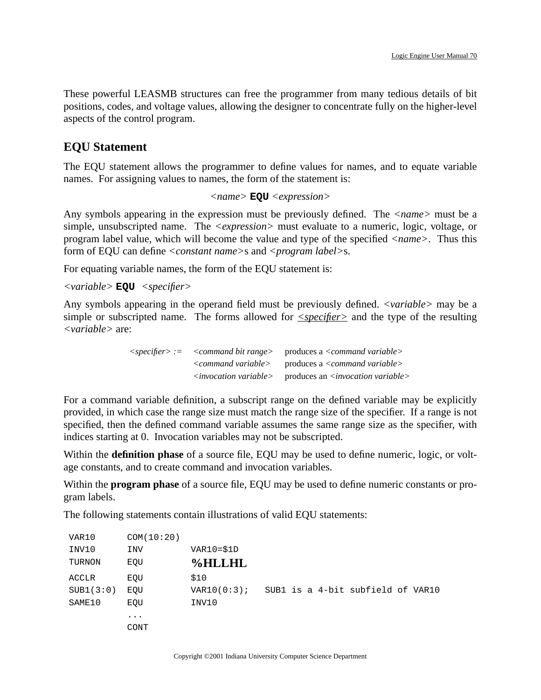These powerful LEASMB structures can free the programmer from many tedious details of bit positions, codes, and voltage values, allowing the designer to concentrate fully on the higher-level aspects of the control program.

### **EQU Statement**

The EQU statement allows the programmer to define values for names, and to equate variable names. For assigning values to names, the form of the statement is:

*<name>* **EQU** *<expression>*

Any symbols appearing in the expression must be previously defined. The *<name>* must be a simple, unsubscripted name. The *<expression>* must evaluate to a numeric, logic, voltage, or program label value, which will become the value and type of the specified *<name>*. Thus this form of EQU can define *<constant name>*s and *<program label>*s.

For equating variable names, the form of the EQU statement is:

```
<variable> EQU <specifier>
```
Any symbols appearing in the operand field must be previously defined. *<variable>* may be a simple or subscripted name. The forms allowed for *<specifier>* and the type of the resulting *<variable>* are:

|  | $\langle specifier \rangle := \langle command \; bit \; range \rangle$ produces a $\langle command \; variable \rangle$ |
|--|-------------------------------------------------------------------------------------------------------------------------|
|  | $\leq$ command variable $>$ produces a $\leq$ command variable $>$                                                      |
|  | $\langle$ <i>invocation variable</i> $>$ produces an $\langle$ <i>invocation variable</i> $>$                           |

For a command variable definition, a subscript range on the defined variable may be explicitly provided, in which case the range size must match the range size of the specifier. If a range is not specified, then the defined command variable assumes the same range size as the specifier, with indices starting at 0. Invocation variables may not be subscripted.

Within the **definition phase** of a source file, EQU may be used to define numeric, logic, or voltage constants, and to create command and invocation variables.

Within the **program phase** of a source file, EQU may be used to define numeric constants or program labels.

The following statements contain illustrations of valid EQU statements:

| VAR10     | COM(10:20) |               |  |                                   |  |
|-----------|------------|---------------|--|-----------------------------------|--|
| INV10     | INV        | $VAR10 = $1D$ |  |                                   |  |
| TURNON    | EQU        | <b>%HLLHL</b> |  |                                   |  |
| ACCLR     | EQU        | \$10          |  |                                   |  |
| SUB1(3:0) | EOU        | VAR10(0:3);   |  | SUB1 is a 4-bit subfield of VAR10 |  |
| SAME10    | EOU        | INV10         |  |                                   |  |
|           | $\cdots$   |               |  |                                   |  |
|           | CONT       |               |  |                                   |  |
|           |            |               |  |                                   |  |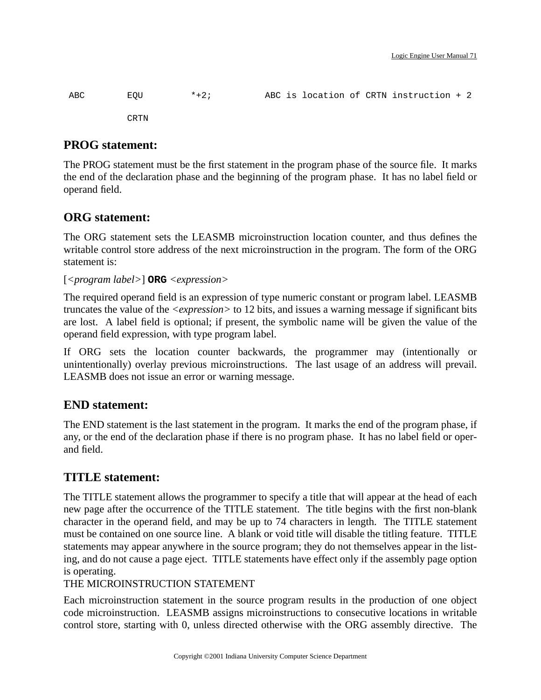ABC EQU \*+2; ABC is location of CRTN instruction + 2

CRTN

### **PROG statement:**

The PROG statement must be the first statement in the program phase of the source file. It marks the end of the declaration phase and the beginning of the program phase. It has no label field or operand field.

### **ORG statement:**

The ORG statement sets the LEASMB microinstruction location counter, and thus defines the writable control store address of the next microinstruction in the program. The form of the ORG statement is:

[*<program label>*] **ORG** *<expression>*

The required operand field is an expression of type numeric constant or program label. LEASMB truncates the value of the *<expression>* to 12 bits, and issues a warning message if significant bits are lost. A label field is optional; if present, the symbolic name will be given the value of the operand field expression, with type program label.

If ORG sets the location counter backwards, the programmer may (intentionally or unintentionally) overlay previous microinstructions. The last usage of an address will prevail. LEASMB does not issue an error or warning message.

### **END statement:**

The END statement is the last statement in the program. It marks the end of the program phase, if any, or the end of the declaration phase if there is no program phase. It has no label field or operand field.

### **TITLE statement:**

The TITLE statement allows the programmer to specify a title that will appear at the head of each new page after the occurrence of the TITLE statement. The title begins with the first non-blank character in the operand field, and may be up to 74 characters in length. The TITLE statement must be contained on one source line. A blank or void title will disable the titling feature. TITLE statements may appear anywhere in the source program; they do not themselves appear in the listing, and do not cause a page eject. TITLE statements have effect only if the assembly page option is operating.

### THE MICROINSTRUCTION STATEMENT

Each microinstruction statement in the source program results in the production of one object code microinstruction. LEASMB assigns microinstructions to consecutive locations in writable control store, starting with 0, unless directed otherwise with the ORG assembly directive. The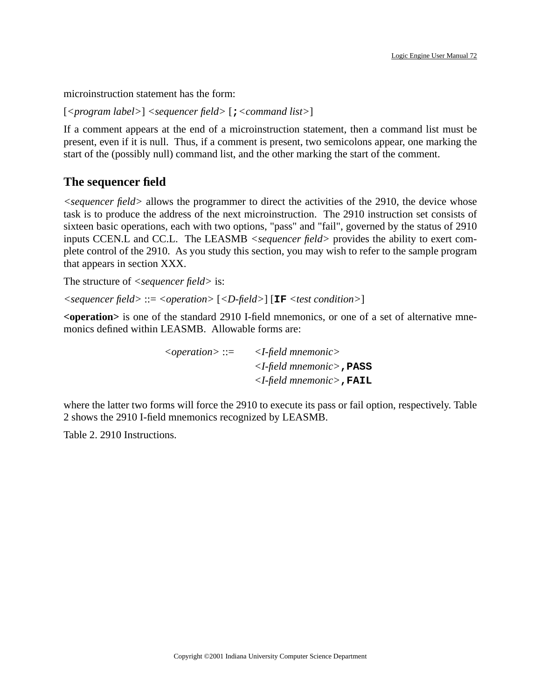microinstruction statement has the form:

[*<program label>*] *<sequencer field>* [**;***<command list>*]

If a comment appears at the end of a microinstruction statement, then a command list must be present, even if it is null. Thus, if a comment is present, two semicolons appear, one marking the start of the (possibly null) command list, and the other marking the start of the comment.

### **The sequencer field**

*<sequencer field>* allows the programmer to direct the activities of the 2910, the device whose task is to produce the address of the next microinstruction. The 2910 instruction set consists of sixteen basic operations, each with two options, "pass" and "fail", governed by the status of 2910 inputs CCEN.L and CC.L. The LEASMB *<sequencer field>* provides the ability to exert complete control of the 2910. As you study this section, you may wish to refer to the sample program that appears in section XXX.

The structure of *<sequencer field>* is:

*<sequencer field>* ::= *<operation>* [*<D-field>*] [**IF** *<test condition>*]

**<operation>** is one of the standard 2910 I-field mnemonics, or one of a set of alternative mnemonics defined within LEASMB. Allowable forms are:

| $\langle operation \rangle ::=$ | $\langle$ -field mnemonic $\rangle$        |
|---------------------------------|--------------------------------------------|
|                                 | $\langle$ -field mnemonic $\rangle$ , PASS |
|                                 | $\langle$ -field mnemonic $\rangle$ , FAIL |

where the latter two forms will force the 2910 to execute its pass or fail option, respectively. Table 2 shows the 2910 I-field mnemonics recognized by LEASMB.

Table 2. 2910 Instructions.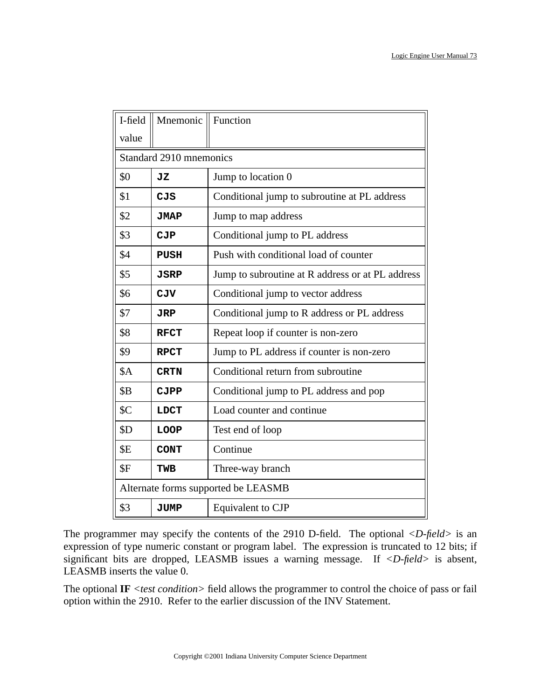| I-field<br>value                    | Mnemonic                       | Function                                         |
|-------------------------------------|--------------------------------|--------------------------------------------------|
|                                     | <b>Standard 2910 mnemonics</b> |                                                  |
| \$0                                 | JZ                             | Jump to location 0                               |
| \$1                                 | CJS                            | Conditional jump to subroutine at PL address     |
| \$2                                 | <b>JMAP</b>                    | Jump to map address                              |
| \$3                                 | <b>CJP</b>                     | Conditional jump to PL address                   |
| \$4                                 | <b>PUSH</b>                    | Push with conditional load of counter            |
| \$5                                 | JSRP                           | Jump to subroutine at R address or at PL address |
| \$6                                 | <b>CJV</b>                     | Conditional jump to vector address               |
| \$7                                 | JRP                            | Conditional jump to R address or PL address      |
| \$8                                 | <b>RFCT</b>                    | Repeat loop if counter is non-zero               |
| \$9                                 | <b>RPCT</b>                    | Jump to PL address if counter is non-zero        |
| <b>\$A</b>                          | <b>CRTN</b>                    | Conditional return from subroutine               |
| <b>\$B</b>                          | <b>CJPP</b>                    | Conditional jump to PL address and pop           |
| \$C                                 | <b>LDCT</b>                    | Load counter and continue                        |
| \$D                                 | <b>LOOP</b>                    | Test end of loop                                 |
| \$E                                 | <b>CONT</b>                    | Continue                                         |
| \$F                                 | TWB                            | Three-way branch                                 |
| Alternate forms supported be LEASMB |                                |                                                  |
| \$3                                 | <b>JUMP</b>                    | Equivalent to CJP                                |

The programmer may specify the contents of the 2910 D-field. The optional *<D-field>* is an expression of type numeric constant or program label. The expression is truncated to 12 bits; if significant bits are dropped, LEASMB issues a warning message. If *<D-field>* is absent, LEASMB inserts the value 0.

The optional **IF** *<test condition>* field allows the programmer to control the choice of pass or fail option within the 2910. Refer to the earlier discussion of the INV Statement.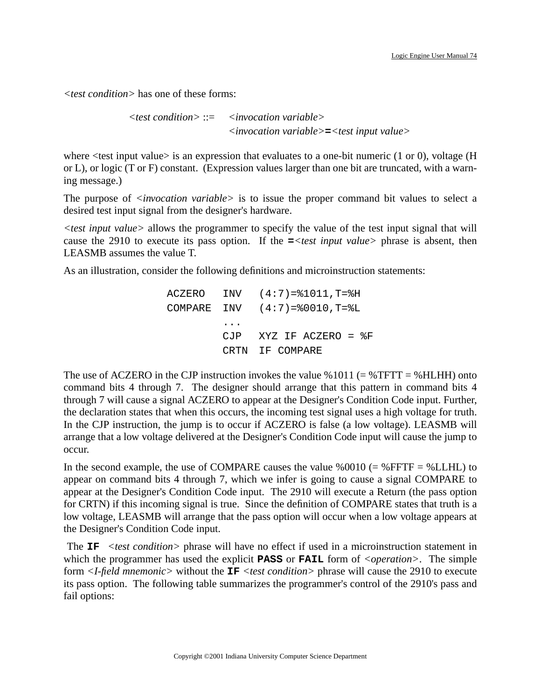*<test condition>* has one of these forms:

*<test condition>* ::= *<invocation variable> <invocation variable>***=***<test input value>*

where  $\le$  test input value> is an expression that evaluates to a one-bit numeric (1 or 0), voltage (H or L), or logic (T or F) constant. (Expression values larger than one bit are truncated, with a warning message.)

The purpose of *<invocation variable>* is to issue the proper command bit values to select a desired test input signal from the designer's hardware.

*<test input value>* allows the programmer to specify the value of the test input signal that will cause the 2910 to execute its pass option. If the **=***<test input value>* phrase is absent, then LEASMB assumes the value T.

As an illustration, consider the following definitions and microinstruction statements:

|           | ACZERO INV (4:7)=%1011,T=%H           |
|-----------|---------------------------------------|
|           | COMPARE $INV$ $(4:7) = 80010, T = 8L$ |
| $\ddotsc$ |                                       |
|           | $CJP$ XYZ IF ACZERO = $\$F$           |
|           | CRTN IF COMPARE                       |

The use of ACZERO in the CJP instruction invokes the value  $%1011 (= %TFT = %HLHH)$  onto command bits 4 through 7. The designer should arrange that this pattern in command bits 4 through 7 will cause a signal ACZERO to appear at the Designer's Condition Code input. Further, the declaration states that when this occurs, the incoming test signal uses a high voltage for truth. In the CJP instruction, the jump is to occur if ACZERO is false (a low voltage). LEASMB will arrange that a low voltage delivered at the Designer's Condition Code input will cause the jump to occur.

In the second example, the use of COMPARE causes the value  $\%0010$  (=  $\%$ FFTF =  $\%$ LLHL) to appear on command bits 4 through 7, which we infer is going to cause a signal COMPARE to appear at the Designer's Condition Code input. The 2910 will execute a Return (the pass option for CRTN) if this incoming signal is true. Since the definition of COMPARE states that truth is a low voltage, LEASMB will arrange that the pass option will occur when a low voltage appears at the Designer's Condition Code input.

The **IF** *<test condition>* phrase will have no effect if used in a microinstruction statement in which the programmer has used the explicit **PASS** or **FAIL** form of *<operation>*. The simple form *<I-field mnemonic>* without the **IF** *<test condition>* phrase will cause the 2910 to execute its pass option. The following table summarizes the programmer's control of the 2910's pass and fail options: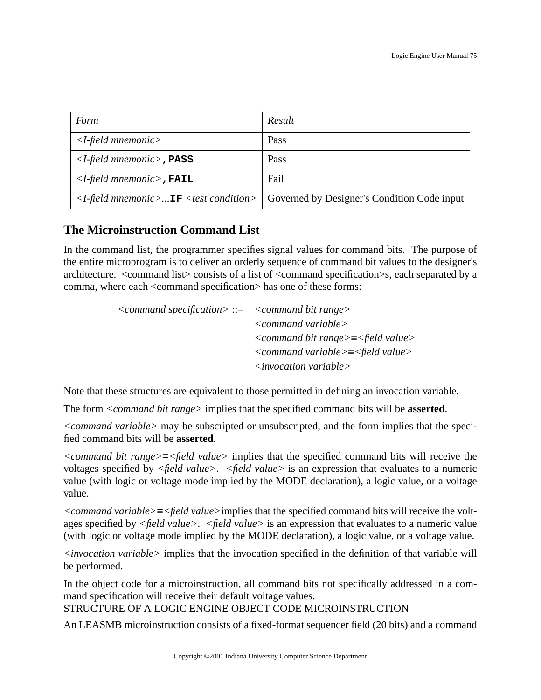| Form                                                           | Result                                      |
|----------------------------------------------------------------|---------------------------------------------|
| $\langle$ -field mnemonic $\rangle$                            | Pass                                        |
| $\langle$ -field mnemonic $\rangle$ , PASS                     | Pass                                        |
| $\langle$ -field mnemonic $\rangle$ , FAIL                     | Fail                                        |
| $\langle$ -field mnemonic> <b>IF</b> $\langle$ test condition> | Governed by Designer's Condition Code input |

# **The Microinstruction Command List**

In the command list, the programmer specifies signal values for command bits. The purpose of the entire microprogram is to deliver an orderly sequence of command bit values to the designer's architecture. <command list> consists of a list of <command specification>s, each separated by a comma, where each <command specification> has one of these forms:

| $\leq$ command specification $\geq$ ::= $\leq$ command bit range $\geq$ |                                                      |
|-------------------------------------------------------------------------|------------------------------------------------------|
|                                                                         | $\leq$ command variable $>$                          |
|                                                                         | $\leq$ command bit range $>=$ $\leq$ field value $>$ |
|                                                                         | $\leq$ command variable>= $\leq$ field value>        |
|                                                                         | $\langle$ <i>invocation variable</i> $>$             |

Note that these structures are equivalent to those permitted in defining an invocation variable.

The form *<command bit range>* implies that the specified command bits will be **asserted**.

*<command variable>* may be subscripted or unsubscripted, and the form implies that the specified command bits will be **asserted**.

*<command bit range>***=***<field value>* implies that the specified command bits will receive the voltages specified by *<field value>*. *<field value>* is an expression that evaluates to a numeric value (with logic or voltage mode implied by the MODE declaration), a logic value, or a voltage value.

*<command variable>***=***<field value>*implies that the specified command bits will receive the voltages specified by *<field value>*. *<field value>* is an expression that evaluates to a numeric value (with logic or voltage mode implied by the MODE declaration), a logic value, or a voltage value.

*<invocation variable>* implies that the invocation specified in the definition of that variable will be performed.

In the object code for a microinstruction, all command bits not specifically addressed in a command specification will receive their default voltage values.

STRUCTURE OF A LOGIC ENGINE OBJECT CODE MICROINSTRUCTION

An LEASMB microinstruction consists of a fixed-format sequencer field (20 bits) and a command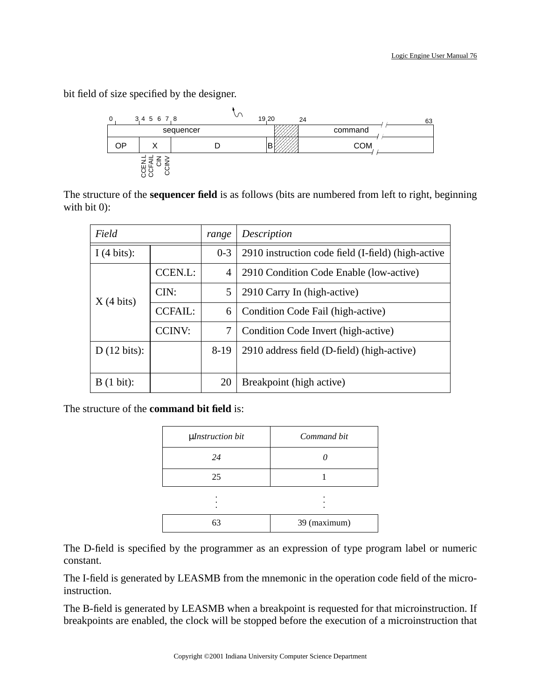bit field of size specified by the designer.



The structure of the **sequencer field** is as follows (bits are numbered from left to right, beginning with bit 0):

| Field                  |                | range                                   | Description                                        |
|------------------------|----------------|-----------------------------------------|----------------------------------------------------|
| I $(4 \text{ bits})$ : |                | $0 - 3$                                 | 2910 instruction code field (I-field) (high-active |
| <b>CCEN.L:</b><br>4    |                | 2910 Condition Code Enable (low-active) |                                                    |
|                        | CIN:           | 5                                       | 2910 Carry In (high-active)                        |
| $X(4 \text{ bits})$    | <b>CCFAIL:</b> | 6                                       | Condition Code Fail (high-active)                  |
| <b>CCINV:</b>          |                | 7                                       | Condition Code Invert (high-active)                |
| $D(12 \text{ bits})$ : |                | $8-19$                                  | 2910 address field (D-field) (high-active)         |
|                        |                |                                         |                                                    |
| B(1 bit):              |                | 20                                      | Breakpoint (high active)                           |

The structure of the **command bit field** is:

| <b>µInstruction</b> bit | Command bit  |
|-------------------------|--------------|
| 24                      |              |
| 25                      |              |
|                         |              |
| 63                      | 39 (maximum) |

The D-field is specified by the programmer as an expression of type program label or numeric constant.

The I-field is generated by LEASMB from the mnemonic in the operation code field of the microinstruction.

The B-field is generated by LEASMB when a breakpoint is requested for that microinstruction. If breakpoints are enabled, the clock will be stopped before the execution of a microinstruction that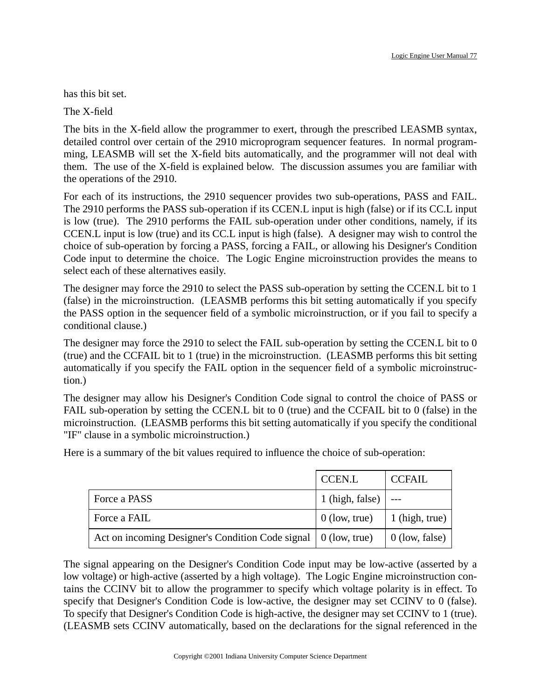has this bit set.

The X-field

The bits in the X-field allow the programmer to exert, through the prescribed LEASMB syntax, detailed control over certain of the 2910 microprogram sequencer features. In normal programming, LEASMB will set the X-field bits automatically, and the programmer will not deal with them. The use of the X-field is explained below. The discussion assumes you are familiar with the operations of the 2910.

For each of its instructions, the 2910 sequencer provides two sub-operations, PASS and FAIL. The 2910 performs the PASS sub-operation if its CCEN.L input is high (false) or if its CC.L input is low (true). The 2910 performs the FAIL sub-operation under other conditions, namely, if its CCEN.L input is low (true) and its CC.L input is high (false). A designer may wish to control the choice of sub-operation by forcing a PASS, forcing a FAIL, or allowing his Designer's Condition Code input to determine the choice. The Logic Engine microinstruction provides the means to select each of these alternatives easily.

The designer may force the 2910 to select the PASS sub-operation by setting the CCEN.L bit to 1 (false) in the microinstruction. (LEASMB performs this bit setting automatically if you specify the PASS option in the sequencer field of a symbolic microinstruction, or if you fail to specify a conditional clause.)

The designer may force the 2910 to select the FAIL sub-operation by setting the CCEN.L bit to 0 (true) and the CCFAIL bit to 1 (true) in the microinstruction. (LEASMB performs this bit setting automatically if you specify the FAIL option in the sequencer field of a symbolic microinstruction.)

The designer may allow his Designer's Condition Code signal to control the choice of PASS or FAIL sub-operation by setting the CCEN.L bit to 0 (true) and the CCFAIL bit to 0 (false) in the microinstruction. (LEASMB performs this bit setting automatically if you specify the conditional "IF" clause in a symbolic microinstruction.)

Here is a summary of the bit values required to influence the choice of sub-operation:

|                                                                  | <b>CCEN.L</b>   | <b>CCFAIL</b>          |
|------------------------------------------------------------------|-----------------|------------------------|
| Force a PASS                                                     | 1 (high, false) |                        |
| Force a FAIL                                                     | $0$ (low, true) | 1 (high, true)         |
| Act on incoming Designer's Condition Code signal   0 (low, true) |                 | $\vert$ 0 (low, false) |

The signal appearing on the Designer's Condition Code input may be low-active (asserted by a low voltage) or high-active (asserted by a high voltage). The Logic Engine microinstruction contains the CCINV bit to allow the programmer to specify which voltage polarity is in effect. To specify that Designer's Condition Code is low-active, the designer may set CCINV to 0 (false). To specify that Designer's Condition Code is high-active, the designer may set CCINV to 1 (true). (LEASMB sets CCINV automatically, based on the declarations for the signal referenced in the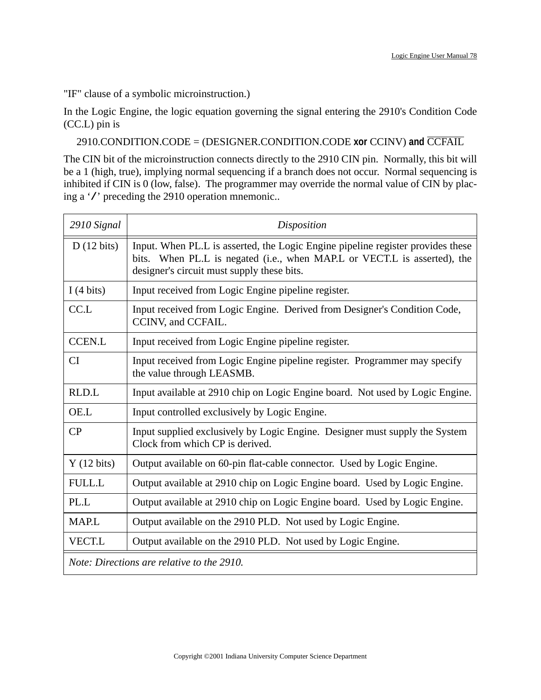"IF" clause of a symbolic microinstruction.)

In the Logic Engine, the logic equation governing the signal entering the 2910's Condition Code (CC.L) pin is

2910.CONDITION.CODE = (DESIGNER.CONDITION.CODE **xor** CCINV) **and** CCFAIL

The CIN bit of the microinstruction connects directly to the 2910 CIN pin. Normally, this bit will be a 1 (high, true), implying normal sequencing if a branch does not occur. Normal sequencing is inhibited if CIN is 0 (low, false). The programmer may override the normal value of CIN by placing a '**/**' preceding the 2910 operation mnemonic..

| 2910 Signal          | Disposition                                                                                                                                                                                               |
|----------------------|-----------------------------------------------------------------------------------------------------------------------------------------------------------------------------------------------------------|
| $D(12 \text{ bits})$ | Input. When PL.L is asserted, the Logic Engine pipeline register provides these<br>bits. When PL.L is negated (i.e., when MAP.L or VECT.L is asserted), the<br>designer's circuit must supply these bits. |
| I $(4 \text{ bits})$ | Input received from Logic Engine pipeline register.                                                                                                                                                       |
| CCL                  | Input received from Logic Engine. Derived from Designer's Condition Code,<br>CCINV, and CCFAIL.                                                                                                           |
| <b>CCEN.L</b>        | Input received from Logic Engine pipeline register.                                                                                                                                                       |
| CI                   | Input received from Logic Engine pipeline register. Programmer may specify<br>the value through LEASMB.                                                                                                   |
| RLD.L                | Input available at 2910 chip on Logic Engine board. Not used by Logic Engine.                                                                                                                             |
| <b>OE.L</b>          | Input controlled exclusively by Logic Engine.                                                                                                                                                             |
| CP                   | Input supplied exclusively by Logic Engine. Designer must supply the System<br>Clock from which CP is derived.                                                                                            |
| $Y(12 \text{ bits})$ | Output available on 60-pin flat-cable connector. Used by Logic Engine.                                                                                                                                    |
| <b>FULL.L</b>        | Output available at 2910 chip on Logic Engine board. Used by Logic Engine.                                                                                                                                |
| PL.L                 | Output available at 2910 chip on Logic Engine board. Used by Logic Engine.                                                                                                                                |
| <b>MAP.L</b>         | Output available on the 2910 PLD. Not used by Logic Engine.                                                                                                                                               |
| <b>VECT.L</b>        | Output available on the 2910 PLD. Not used by Logic Engine.                                                                                                                                               |
|                      | <i>Note: Directions are relative to the 2910.</i>                                                                                                                                                         |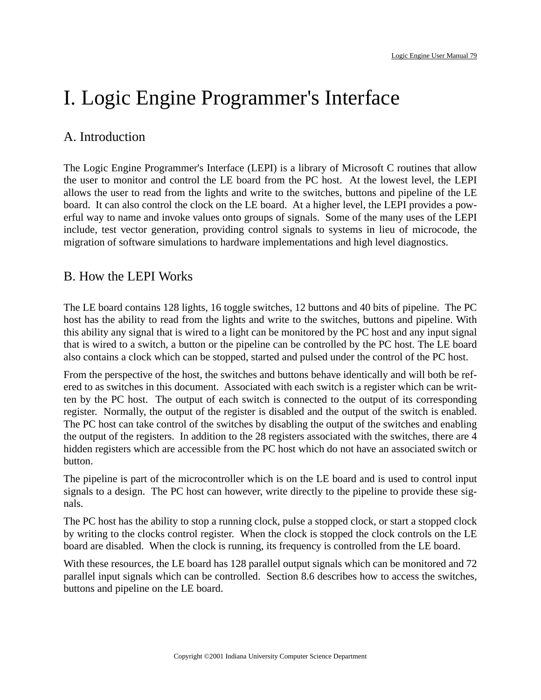# I. Logic Engine Programmer's Interface

# A. Introduction

The Logic Engine Programmer's Interface (LEPI) is a library of Microsoft C routines that allow the user to monitor and control the LE board from the PC host. At the lowest level, the LEPI allows the user to read from the lights and write to the switches, buttons and pipeline of the LE board. It can also control the clock on the LE board. At a higher level, the LEPI provides a powerful way to name and invoke values onto groups of signals. Some of the many uses of the LEPI include, test vector generation, providing control signals to systems in lieu of microcode, the migration of software simulations to hardware implementations and high level diagnostics.

# B. How the LEPI Works

The LE board contains 128 lights, 16 toggle switches, 12 buttons and 40 bits of pipeline. The PC host has the ability to read from the lights and write to the switches, buttons and pipeline. With this ability any signal that is wired to a light can be monitored by the PC host and any input signal that is wired to a switch, a button or the pipeline can be controlled by the PC host. The LE board also contains a clock which can be stopped, started and pulsed under the control of the PC host.

From the perspective of the host, the switches and buttons behave identically and will both be refered to as switches in this document. Associated with each switch is a register which can be written by the PC host. The output of each switch is connected to the output of its corresponding register. Normally, the output of the register is disabled and the output of the switch is enabled. The PC host can take control of the switches by disabling the output of the switches and enabling the output of the registers. In addition to the 28 registers associated with the switches, there are 4 hidden registers which are accessible from the PC host which do not have an associated switch or button.

The pipeline is part of the microcontroller which is on the LE board and is used to control input signals to a design. The PC host can however, write directly to the pipeline to provide these signals.

The PC host has the ability to stop a running clock, pulse a stopped clock, or start a stopped clock by writing to the clocks control register. When the clock is stopped the clock controls on the LE board are disabled. When the clock is running, its frequency is controlled from the LE board.

With these resources, the LE board has 128 parallel output signals which can be monitored and 72 parallel input signals which can be controlled. Section 8.6 describes how to access the switches, buttons and pipeline on the LE board.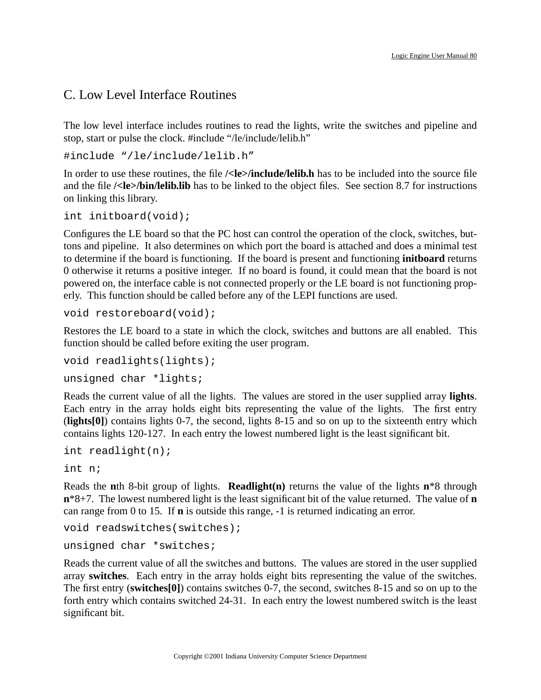# C. Low Level Interface Routines

The low level interface includes routines to read the lights, write the switches and pipeline and stop, start or pulse the clock. #include "/le/include/lelib.h"

```
#include "/le/include/lelib.h"
```
In order to use these routines, the file **/<le>/include/lelib.h** has to be included into the source file and the file **/<le>/bin/lelib.lib** has to be linked to the object files. See section 8.7 for instructions on linking this library.

```
int initboard(void);
```
Configures the LE board so that the PC host can control the operation of the clock, switches, buttons and pipeline. It also determines on which port the board is attached and does a minimal test to determine if the board is functioning. If the board is present and functioning **initboard** returns 0 otherwise it returns a positive integer. If no board is found, it could mean that the board is not powered on, the interface cable is not connected properly or the LE board is not functioning properly. This function should be called before any of the LEPI functions are used.

```
void restoreboard(void);
```
Restores the LE board to a state in which the clock, switches and buttons are all enabled. This function should be called before exiting the user program.

```
void readlights(lights);
```
unsigned char \*lights;

Reads the current value of all the lights. The values are stored in the user supplied array **lights**. Each entry in the array holds eight bits representing the value of the lights. The first entry (**lights[0]**) contains lights 0-7, the second, lights 8-15 and so on up to the sixteenth entry which contains lights 120-127. In each entry the lowest numbered light is the least significant bit.

```
int readlight(n);
```
int n;

Reads the **n**th 8-bit group of lights. **Readlight(n)** returns the value of the lights **n**\*8 through **n**\*8+7. The lowest numbered light is the least significant bit of the value returned. The value of **n** can range from 0 to 15. If **n** is outside this range, -1 is returned indicating an error.

```
void readswitches(switches);
```

```
unsigned char *switches;
```
Reads the current value of all the switches and buttons. The values are stored in the user supplied array **switches**. Each entry in the array holds eight bits representing the value of the switches. The first entry (**switches[0]**) contains switches 0-7, the second, switches 8-15 and so on up to the forth entry which contains switched 24-31. In each entry the lowest numbered switch is the least significant bit.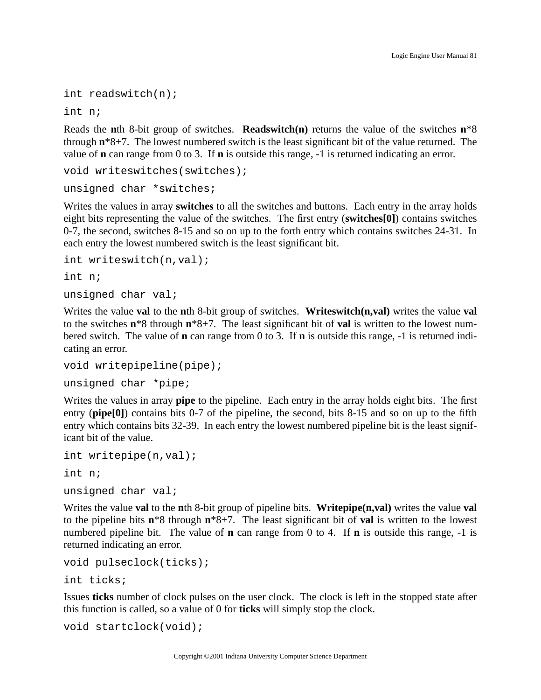```
int readswitch(n);
```
int n;

Reads the **n**th 8-bit group of switches. **Readswitch(n)** returns the value of the switches **n**\*8 through **n**\*8+7. The lowest numbered switch is the least significant bit of the value returned. The value of **n** can range from 0 to 3. If **n** is outside this range, -1 is returned indicating an error.

```
void writeswitches(switches);
```
unsigned char \*switches;

Writes the values in array **switches** to all the switches and buttons. Each entry in the array holds eight bits representing the value of the switches. The first entry (**switches[0]**) contains switches 0-7, the second, switches 8-15 and so on up to the forth entry which contains switches 24-31. In each entry the lowest numbered switch is the least significant bit.

```
int writeswitch(n,val);
int n;
unsigned char val;
```
Writes the value **val** to the **n**th 8-bit group of switches. **Writeswitch(n,val)** writes the value **val** to the switches **n**\*8 through **n**\*8+7. The least significant bit of **val** is written to the lowest numbered switch. The value of **n** can range from 0 to 3. If **n** is outside this range, -1 is returned indicating an error.

```
void writepipeline(pipe);
unsigned char *pipe;
```
Writes the values in array **pipe** to the pipeline. Each entry in the array holds eight bits. The first entry (**pipe**[0]) contains bits 0-7 of the pipeline, the second, bits 8-15 and so on up to the fifth entry which contains bits 32-39. In each entry the lowest numbered pipeline bit is the least significant bit of the value.

```
int writepipe(n,val);
int n;
unsigned char val;
```
Writes the value **val** to the **n**th 8-bit group of pipeline bits. **Writepipe(n,val)** writes the value **val** to the pipeline bits **n**\*8 through **n**\*8+7. The least significant bit of **val** is written to the lowest numbered pipeline bit. The value of **n** can range from 0 to 4. If **n** is outside this range, -1 is returned indicating an error.

```
void pulseclock(ticks);
```
int ticks;

Issues **ticks** number of clock pulses on the user clock. The clock is left in the stopped state after this function is called, so a value of 0 for **ticks** will simply stop the clock.

```
void startclock(void);
```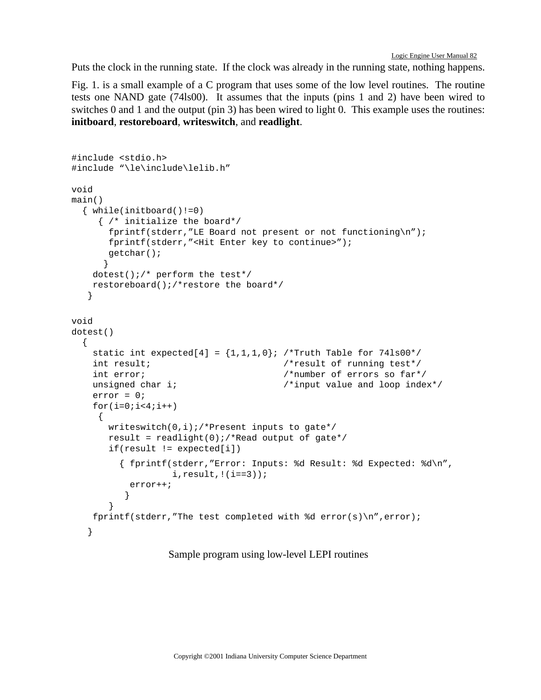Puts the clock in the running state. If the clock was already in the running state, nothing happens.

Fig. 1. is a small example of a C program that uses some of the low level routines. The routine tests one NAND gate (74ls00). It assumes that the inputs (pins 1 and 2) have been wired to switches 0 and 1 and the output (pin 3) has been wired to light 0. This example uses the routines: **initboard**, **restoreboard**, **writeswitch**, and **readlight**.

```
#include <stdio.h>
#include "\le\include\lelib.h"
void
main()
   { while(initboard()!=0)
      { /* initialize the board*/
        fprintf(stderr,"LE Board not present or not functioning\n");
        fprintf(stderr,"<Hit Enter key to continue>");
        getchar();
       }
     dotest();/* perform the test*/
     restoreboard();/*restore the board*/
    }
void
dotest()
   {
    static int expected[4] = \{1,1,1,0\}; /*Truth Table for 741s00*/
    int result; \overline{\phantom{a}} /*result of running test*/
     int error; /*number of errors so far*/
     unsigned char i; /*input value and loop index*/
     error = 0;
    for(i=0;i<4;i++) {
        writeswitch(0,i);/*Present inputs to gate*/
       result = readlight(0);/*Read output of gate*/
        if(result != expected[i])
          { fprintf(stderr,"Error: Inputs: %d Result: %d Expected: %d\n",
                   i, result, (i == 3);
            error++;
           }
        }
     fprintf(stderr,"The test completed with %d error(s)\n",error);
    }
```
Sample program using low-level LEPI routines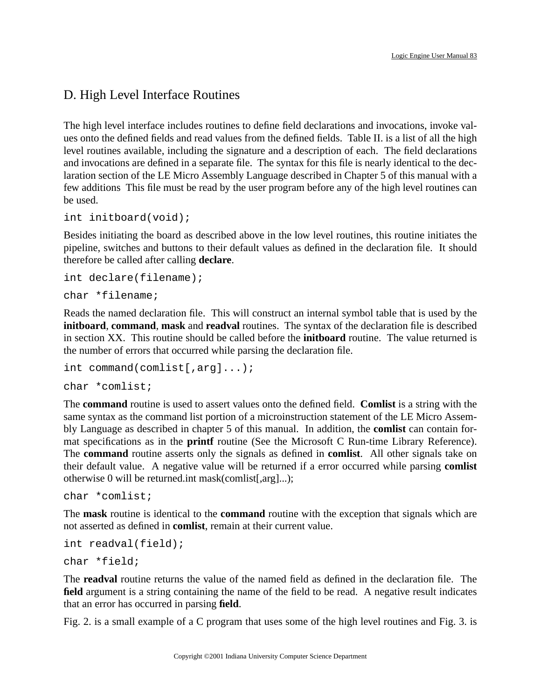# D. High Level Interface Routines

The high level interface includes routines to define field declarations and invocations, invoke values onto the defined fields and read values from the defined fields. Table II. is a list of all the high level routines available, including the signature and a description of each. The field declarations and invocations are defined in a separate file. The syntax for this file is nearly identical to the declaration section of the LE Micro Assembly Language described in Chapter 5 of this manual with a few additions This file must be read by the user program before any of the high level routines can be used.

```
int initboard(void);
```
Besides initiating the board as described above in the low level routines, this routine initiates the pipeline, switches and buttons to their default values as defined in the declaration file. It should therefore be called after calling **declare**.

```
int declare(filename);
```

```
char *filename;
```
Reads the named declaration file. This will construct an internal symbol table that is used by the **initboard**, **command**, **mask** and **readval** routines. The syntax of the declaration file is described in section XX. This routine should be called before the **initboard** routine. The value returned is the number of errors that occurred while parsing the declaration file.

```
int command(comlist[,arg]...);
```

```
char *comlist;
```
The **command** routine is used to assert values onto the defined field. **Comlist** is a string with the same syntax as the command list portion of a microinstruction statement of the LE Micro Assembly Language as described in chapter 5 of this manual. In addition, the **comlist** can contain format specifications as in the **printf** routine (See the Microsoft C Run-time Library Reference). The **command** routine asserts only the signals as defined in **comlist**. All other signals take on their default value. A negative value will be returned if a error occurred while parsing **comlist** otherwise 0 will be returned.int mask(comlist[,arg]...);

```
char *comlist;
```
The **mask** routine is identical to the **command** routine with the exception that signals which are not asserted as defined in **comlist**, remain at their current value.

```
int readval(field);
char *field;
```
The **readval** routine returns the value of the named field as defined in the declaration file. The **field** argument is a string containing the name of the field to be read. A negative result indicates that an error has occurred in parsing **field**.

Fig. 2. is a small example of a C program that uses some of the high level routines and Fig. 3. is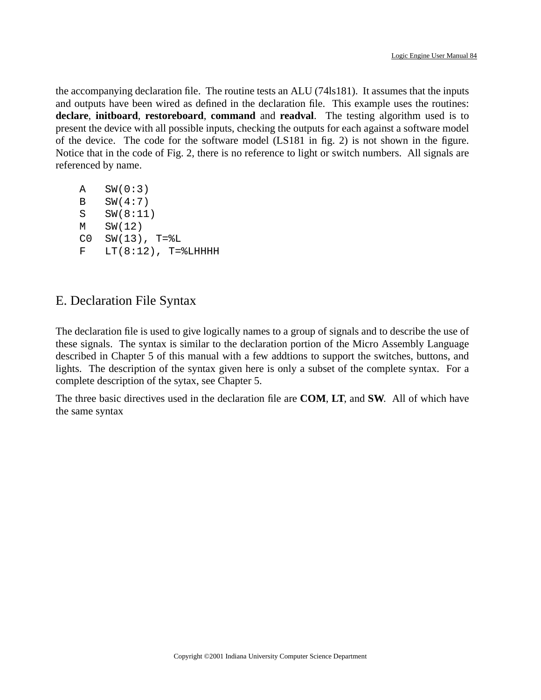the accompanying declaration file. The routine tests an ALU (74ls181). It assumes that the inputs and outputs have been wired as defined in the declaration file. This example uses the routines: **declare**, **initboard**, **restoreboard**, **command** and **readval**. The testing algorithm used is to present the device with all possible inputs, checking the outputs for each against a software model of the device. The code for the software model (LS181 in fig. 2) is not shown in the figure. Notice that in the code of Fig. 2, there is no reference to light or switch numbers. All signals are referenced by name.

A SW(0:3)  $B$  SW(4:7) S SW(8:11) M SW(12) C0 SW(13), T=%L  $F$  LT(8:12), T=%LHHHH

# E. Declaration File Syntax

The declaration file is used to give logically names to a group of signals and to describe the use of these signals. The syntax is similar to the declaration portion of the Micro Assembly Language described in Chapter 5 of this manual with a few addtions to support the switches, buttons, and lights. The description of the syntax given here is only a subset of the complete syntax. For a complete description of the sytax, see Chapter 5.

The three basic directives used in the declaration file are **COM**, **LT**, and **SW**. All of which have the same syntax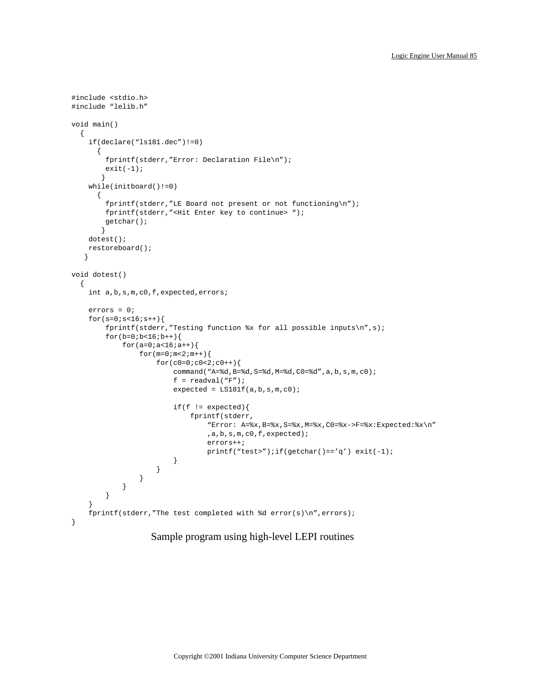```
#include <stdio.h>
#include "lelib.h"
void main()
   {
     if(declare("ls181.dec")!=0)
       {
        fprintf(stderr,"Error: Declaration File\n");
       exit(-1); }
     while(initboard()!=0)
       {
         fprintf(stderr,"LE Board not present or not functioning\n");
         fprintf(stderr,"<Hit Enter key to continue> ");
        getchar();
        }
    dotest();
    restoreboard();
    }
void dotest()
   {
    int a,b,s,m,c0,f,expected,errors;
     errors = 0;
    for(s=0:s<16:s++) fprintf(stderr,"Testing function %x for all possible inputs\n",s);
       for(b=0;b<16;b++){
           for(a=0;a<16;a++){
                for(m=0; m<2; m++){
                   for(c0=0;c0<2;c0++){
                        command("A=%d,B=%d,S=%d,M=%d,C0=%d",a,b,s,m,c0);
                       f = \text{readval}("F");
                        expected = LS181f(a,b,s,m,c0);if(f := expected) fprintf(stderr,
                                 "Error: A=%x,B=%x,S=%x,M=%x,C0=%x->F=%x:Expected:%x\n"
                                 ,a,b,s,m,c0,f,expected);
                                errors++;
                               print(f("test>");if(getchar() == 'q') ext(-1); }
 }
               }
           }
        }
 }
    fprintf(stderr, "The test completed with d error(s)\n", errors);
}
```

```
Sample program using high-level LEPI routines
```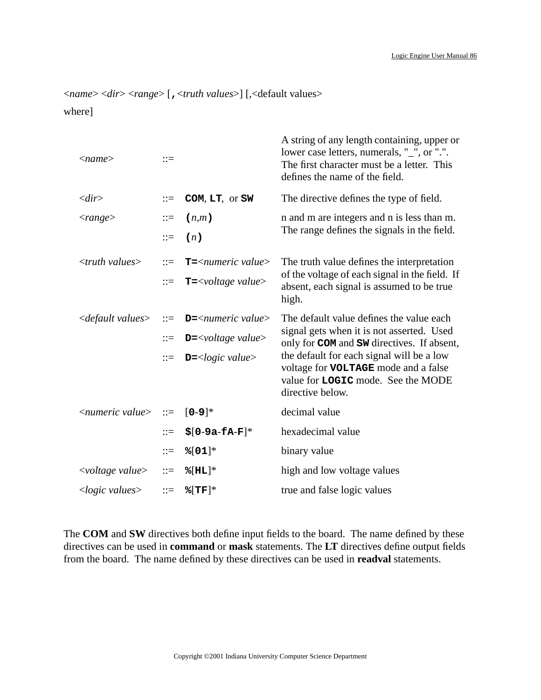### <*name*> <*dir*> <*range*> [**,**<*truth values*>] [,<default values>

where]

| <name></name>                     | $::=$                 |                                                                             | A string of any length containing, upper or<br>lower case letters, numerals, "_", or ".".<br>The first character must be a letter. This<br>defines the name of the field. |
|-----------------------------------|-----------------------|-----------------------------------------------------------------------------|---------------------------------------------------------------------------------------------------------------------------------------------------------------------------|
| $\langle$ dir $\rangle$           |                       | COM, LT, or SW                                                              | The directive defines the type of field.                                                                                                                                  |
| $\langle range \rangle$           | $::=$                 | (n,m)                                                                       | n and m are integers and n is less than m.                                                                                                                                |
|                                   | $::=$                 | (n)                                                                         | The range defines the signals in the field.                                                                                                                               |
| $\langle$ truth values $\rangle$  | $::=$                 | $\mathbf{T}$ = <numeric value=""></numeric>                                 | The truth value defines the interpretation                                                                                                                                |
|                                   | $::=$                 | $T = \vee$ oltage value>                                                    | of the voltage of each signal in the field. If<br>absent, each signal is assumed to be true<br>high.                                                                      |
|                                   |                       | $\langle$ default values $\rangle$ ::= D= $\langle$ numeric value $\rangle$ | The default value defines the value each                                                                                                                                  |
|                                   |                       | $D = \vee$ voltage value>                                                   | signal gets when it is not asserted. Used<br>only for COM and SW directives. If absent,                                                                                   |
|                                   | $::=$                 | $D = $                                                                      | the default for each signal will be a low<br>voltage for VOLTAGE mode and a false<br>value for LOGIC mode. See the MODE<br>directive below.                               |
| $\leq$ numeric value> ::= [0-9]*  |                       |                                                                             | decimal value                                                                                                                                                             |
|                                   |                       | $ ::=$ \$[0-9a-fA-F]*                                                       | hexadecimal value                                                                                                                                                         |
|                                   | $::=$                 | $\S[01]^*$                                                                  | binary value                                                                                                                                                              |
| $\langle$ voltage value $\rangle$ | $\mathrel{\mathop:}=$ | $ \mathcal{E}[\mathbf{H}\mathbf{L}] $                                       | high and low voltage values                                                                                                                                               |
| $<$ logic values $>$              |                       | $ ::=$ $\mathcal{E}[\mathbf{TF}]^*$                                         | true and false logic values                                                                                                                                               |

The **COM** and **SW** directives both define input fields to the board. The name defined by these directives can be used in **command** or **mask** statements. The **LT** directives define output fields from the board. The name defined by these directives can be used in **readval** statements.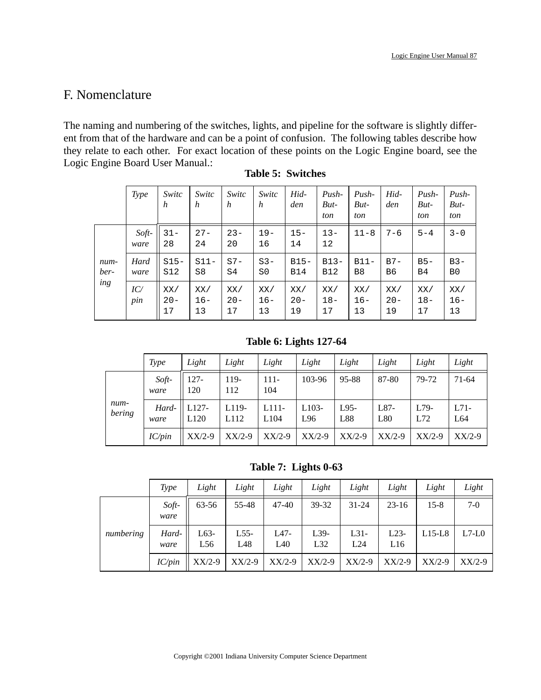# F. Nomenclature

The naming and numbering of the switches, lights, and pipeline for the software is slightly different from that of the hardware and can be a point of confusion. The following tables describe how they relate to each other. For exact location of these points on the Logic Engine board, see the Logic Engine Board User Manual.:

|                     | <b>Type</b>   | Switc<br>h          | Switc<br>h          | Switc<br>h              | Switc<br>$\boldsymbol{h}$ | Hid-<br>den          | Push-<br>$But-$<br>ton | $Push-$<br>$But-$<br>ton | Hid-<br>den         | Push-<br>$But-$<br>ton | Push-<br>But-<br>ton    |
|---------------------|---------------|---------------------|---------------------|-------------------------|---------------------------|----------------------|------------------------|--------------------------|---------------------|------------------------|-------------------------|
| num-<br>ber-<br>ing | Soft-<br>ware | $31 -$<br>28        | $27 -$<br>24        | $23 -$<br>20            | $19-$<br>16               | $15 -$<br>14         | $13 -$<br>12           | $11 - 8$                 | $7 - 6$             | $5 - 4$                | $3 - 0$                 |
|                     | Hard<br>ware  | $S15-$<br>S12       | $S11-$<br>S8        | $S7-$<br>S <sub>4</sub> | $S3-$<br>SO               | $B15-$<br><b>B14</b> | $B13-$<br><b>B12</b>   | $B11-$<br>B8             | $B7-$<br>B6         | $B5-$<br>B4            | $B3-$<br>B <sub>0</sub> |
|                     | IC/<br>pin    | XX/<br>$20 -$<br>17 | XX/<br>$16 -$<br>13 | XX/<br>$20 -$<br>17     | XX/<br>$16 -$<br>13       | XX/<br>$20 -$<br>19  | XX/<br>$18 -$<br>17    | XX/<br>$16 -$<br>13      | XX/<br>$20 -$<br>19 | XX/<br>$18 -$<br>17    | XX/<br>$16 -$<br>13     |

**Table 5: Switches**

**Table 6: Lights 127-64**

|                | Type          | Light                       | Light                                  | Light                       | Light          | Light         | Light         | Light       | Light         |
|----------------|---------------|-----------------------------|----------------------------------------|-----------------------------|----------------|---------------|---------------|-------------|---------------|
| num-<br>bering | Soft-<br>ware | $127 -$<br>120              | 119-<br>112                            | $111 -$<br>104              | 103-96         | 95-88         | 87-80         | 79-72       | $71-64$       |
|                | Hard-<br>ware | $L127-$<br>L <sub>120</sub> | L <sub>119</sub> -<br>L <sub>112</sub> | $L111-$<br>L <sub>104</sub> | $L103-$<br>L96 | $L95-$<br>L88 | $L87-$<br>L80 | L79-<br>L72 | $L71-$<br>L64 |
|                | IC/pin        | $XX/2-9$                    | $XX/2-9$                               | $XX/2-9$                    | $XX/2-9$       | $XX/2-9$      | $XX/2-9$      | $XX/2-9$    | $XX/2-9$      |

**Table 7: Lights 0-63**

|           | <b>Type</b>   | Light                     | Light         | Light         | Light                    | Light         | Light         | Light    | Light    |
|-----------|---------------|---------------------------|---------------|---------------|--------------------------|---------------|---------------|----------|----------|
|           | Soft-<br>ware | 63-56                     | 55-48         | $47 - 40$     | 39-32                    | $31 - 24$     | $23-16$       | $15-8$   | $7-0$    |
| numbering | Hard-<br>ware | $L63-$<br>L <sub>56</sub> | $L55-$<br>L48 | $L47-$<br>L40 | L <sub>39</sub> -<br>L32 | $L31-$<br>L24 | $L23-$<br>L16 | $L15-L8$ | $L7-L0$  |
|           | $IC$ /pin     | $XX/2-9$                  | $XX/2-9$      | $XX/2-9$      | $XX/2-9$                 | $XX/2-9$      | $XX/2-9$      | $XX/2-9$ | $XX/2-9$ |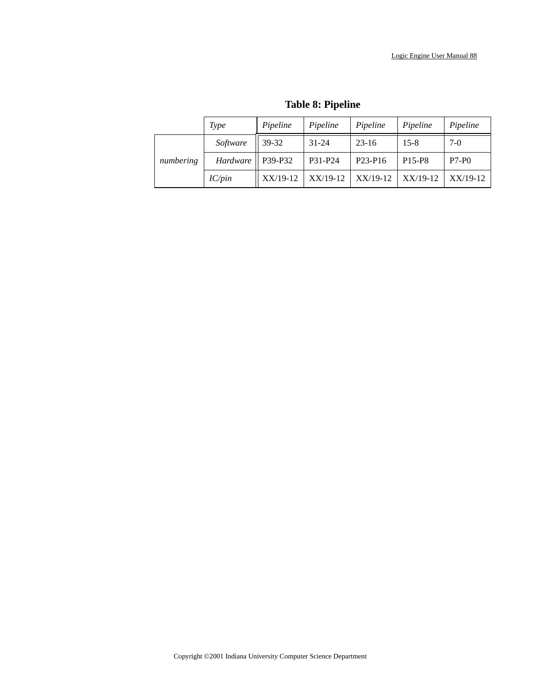|           | <i>Type</i>         | Pipeline                                                            | Pipeline  | Pipeline                         | Pipeline                        | Pipeline |
|-----------|---------------------|---------------------------------------------------------------------|-----------|----------------------------------|---------------------------------|----------|
|           | Software            | $39-32$                                                             | $31 - 24$ | 23-16                            | $15 - 8$                        | $7-0$    |
| numbering | Hardware    P39-P32 |                                                                     | P31-P24   | P <sub>23</sub> -P <sub>16</sub> | P <sub>15</sub> -P <sub>8</sub> | $P7-P0$  |
|           | IC/pin              | $\vert$ XX/19-12 $\vert$ XX/19-12 $\vert$ XX/19-12 $\vert$ XX/19-12 |           |                                  |                                 | XX/19-12 |

**Table 8: Pipeline**